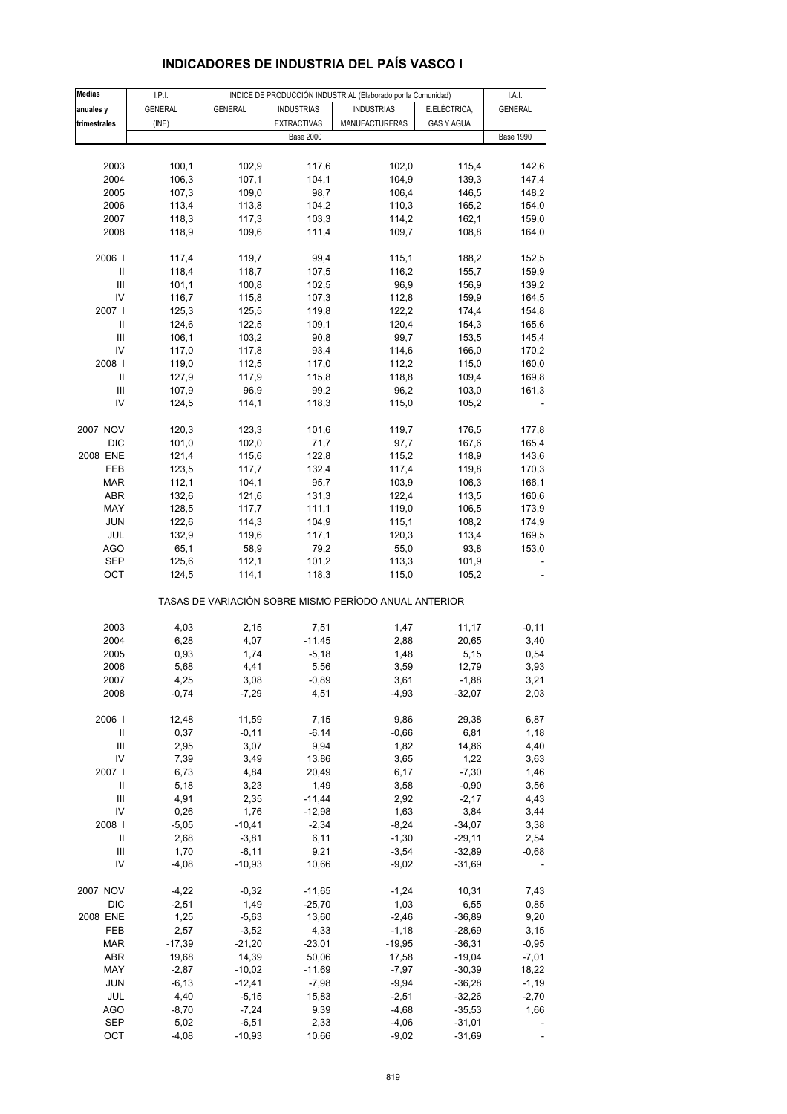| <b>Medias</b>              | I.P.I.   |                | INDICE DE PRODUCCIÓN INDUSTRIAL (Elaborado por la Comunidad) |                                                       |                   |                          |  |  |
|----------------------------|----------|----------------|--------------------------------------------------------------|-------------------------------------------------------|-------------------|--------------------------|--|--|
| anuales y                  | GENERAL  | <b>GENERAL</b> | <b>INDUSTRIAS</b>                                            | <b>INDUSTRIAS</b>                                     | E.ELÉCTRICA,      | I.A.I.<br><b>GENERAL</b> |  |  |
| trimestrales               | (INE)    |                | <b>EXTRACTIVAS</b>                                           | MANUFACTURERAS                                        | <b>GAS Y AGUA</b> |                          |  |  |
|                            |          |                | <b>Base 2000</b>                                             |                                                       |                   | <b>Base 1990</b>         |  |  |
|                            |          |                |                                                              |                                                       |                   |                          |  |  |
| 2003                       | 100,1    | 102,9          | 117,6                                                        | 102,0                                                 | 115,4             | 142,6                    |  |  |
| 2004                       | 106,3    | 107,1          | 104,1                                                        | 104,9                                                 | 139,3             | 147,4                    |  |  |
| 2005                       | 107,3    | 109,0          | 98,7                                                         | 106,4                                                 | 146,5             | 148,2                    |  |  |
| 2006                       | 113,4    | 113,8          | 104,2                                                        | 110,3                                                 | 165,2             | 154,0                    |  |  |
| 2007                       | 118,3    | 117,3          | 103,3                                                        | 114,2                                                 | 162,1             | 159,0                    |  |  |
| 2008                       | 118,9    | 109,6          | 111,4                                                        | 109,7                                                 | 108,8             | 164,0                    |  |  |
| 2006                       | 117,4    | 119,7          | 99,4                                                         | 115,1                                                 | 188,2             | 152,5                    |  |  |
| Ш                          | 118,4    | 118,7          | 107,5                                                        | 116,2                                                 | 155,7             | 159,9                    |  |  |
| Ш                          | 101,1    | 100,8          | 102,5                                                        | 96,9                                                  | 156,9             | 139,2                    |  |  |
| IV                         | 116,7    | 115,8          | 107,3                                                        | 112,8                                                 | 159,9             | 164,5                    |  |  |
| 2007 I                     | 125,3    | 125,5          | 119,8                                                        | 122,2                                                 | 174,4             | 154,8                    |  |  |
| Ш                          | 124,6    | 122,5          | 109,1                                                        | 120,4                                                 | 154,3             | 165,6                    |  |  |
| Ш                          | 106,1    | 103,2          | 90,8                                                         | 99,7                                                  | 153,5             | 145,4                    |  |  |
| IV                         | 117,0    | 117,8          | 93,4                                                         | 114,6                                                 | 166,0             | 170,2                    |  |  |
| 2008                       | 119,0    | 112,5          | 117,0                                                        | 112,2                                                 | 115,0             | 160,0                    |  |  |
| Ш                          | 127,9    | 117,9          | 115,8                                                        | 118,8                                                 | 109,4             | 169,8                    |  |  |
| Ш                          | 107,9    | 96,9           | 99,2                                                         | 96,2                                                  | 103,0             | 161,3                    |  |  |
| IV                         | 124,5    | 114,1          | 118,3                                                        | 115,0                                                 | 105,2             |                          |  |  |
| 2007 NOV                   | 120,3    | 123,3          | 101,6                                                        | 119,7                                                 | 176,5             | 177,8                    |  |  |
| <b>DIC</b>                 | 101,0    | 102,0          | 71,7                                                         | 97,7                                                  | 167,6             | 165,4                    |  |  |
| 2008 ENE                   | 121,4    | 115,6          | 122,8                                                        | 115,2                                                 | 118,9             | 143,6                    |  |  |
| FEB                        | 123,5    | 117,7          | 132,4                                                        | 117,4                                                 | 119,8             | 170,3                    |  |  |
| <b>MAR</b>                 | 112,1    | 104,1          | 95,7                                                         | 103,9                                                 | 106,3             | 166,1                    |  |  |
| ABR                        | 132,6    | 121,6          | 131,3                                                        | 122,4                                                 | 113,5             | 160,6                    |  |  |
| MAY                        | 128,5    | 117,7          | 111,1                                                        | 119,0                                                 | 106,5             | 173,9                    |  |  |
| <b>JUN</b>                 | 122,6    | 114,3          | 104,9                                                        | 115,1                                                 | 108,2             | 174,9                    |  |  |
| JUL                        | 132,9    | 119,6          | 117,1                                                        | 120,3                                                 | 113,4             | 169,5                    |  |  |
| <b>AGO</b>                 | 65,1     | 58,9           | 79,2                                                         | 55,0                                                  | 93,8              | 153,0                    |  |  |
| <b>SEP</b>                 | 125,6    | 112,1          | 101,2                                                        | 113,3                                                 | 101,9             |                          |  |  |
| OCT                        | 124,5    | 114,1          | 118,3                                                        | 115,0                                                 | 105,2             |                          |  |  |
|                            |          |                |                                                              | TASAS DE VARIACIÓN SOBRE MISMO PERÍODO ANUAL ANTERIOR |                   |                          |  |  |
| 2003                       | 4,03     | 2,15           | 7,51                                                         | 1,47                                                  | 11,17             | $-0, 11$                 |  |  |
| 2004                       | 6,28     | 4,07           | $-11,45$                                                     | 2,88                                                  | 20,65             | 3,40                     |  |  |
| 2005                       | 0,93     | 1,74           | $-5,18$                                                      | 1,48                                                  | 5,15              | 0,54                     |  |  |
| 2006                       | 5,68     | 4,41           | 5,56                                                         | 3,59                                                  | 12,79             | 3,93                     |  |  |
| 2007                       | 4,25     | 3,08           | $-0,89$                                                      | 3,61                                                  | $-1,88$           | 3,21                     |  |  |
| 2008                       | $-0,74$  | $-7,29$        | 4,51                                                         | $-4,93$                                               | $-32,07$          | 2,03                     |  |  |
|                            |          |                |                                                              |                                                       |                   |                          |  |  |
| 2006                       | 12,48    | 11,59          | 7,15                                                         | 9,86                                                  | 29,38             | 6,87                     |  |  |
| $\ensuremath{\mathsf{II}}$ | 0,37     | $-0, 11$       | $-6, 14$                                                     | $-0,66$                                               | 6,81              | 1,18                     |  |  |
| $\mathsf{III}$             | 2,95     | 3,07           | 9,94                                                         | 1,82                                                  | 14,86             | 4,40                     |  |  |
| IV                         | 7,39     | 3,49           | 13,86                                                        | 3,65                                                  | 1,22              | 3,63                     |  |  |
| 2007 l                     | 6,73     | 4,84           | 20,49                                                        | 6,17                                                  | $-7,30$           | 1,46                     |  |  |
| Ш                          | 5,18     | 3,23           | 1,49                                                         | 3,58                                                  | $-0,90$           | 3,56                     |  |  |
| Ш                          | 4,91     | 2,35           | $-11,44$                                                     | 2,92                                                  | $-2,17$           | 4,43                     |  |  |
| IV                         | 0,26     | 1,76           | $-12,98$                                                     | 1,63                                                  | 3,84              | 3,44                     |  |  |
| 2008                       | $-5,05$  | $-10,41$       | $-2,34$                                                      | $-8,24$                                               | $-34,07$          | 3,38                     |  |  |
| Ш                          | 2,68     | $-3,81$        | 6,11                                                         | $-1,30$                                               | $-29,11$          | 2,54                     |  |  |
| $\mathsf{III}$             | 1,70     | $-6, 11$       | 9,21                                                         | $-3,54$                                               | $-32,89$          | $-0,68$                  |  |  |
| IV                         | $-4,08$  | $-10,93$       | 10,66                                                        | $-9,02$                                               | $-31,69$          |                          |  |  |
| 2007 NOV                   | $-4,22$  | $-0,32$        | $-11,65$                                                     | $-1,24$                                               | 10,31             | 7,43                     |  |  |
| DIC                        | $-2,51$  | 1,49           | $-25,70$                                                     | 1,03                                                  | 6,55              | 0,85                     |  |  |
| 2008 ENE                   | 1,25     | $-5,63$        | 13,60                                                        | $-2,46$                                               | $-36,89$          | 9,20                     |  |  |
| FEB                        | 2,57     | $-3,52$        | 4,33                                                         | $-1,18$                                               | $-28,69$          | 3,15                     |  |  |
| <b>MAR</b>                 | $-17,39$ | $-21,20$       | $-23,01$                                                     | $-19,95$                                              | $-36,31$          | $-0,95$                  |  |  |
| ABR                        | 19,68    | 14,39          | 50,06                                                        | 17,58                                                 | $-19,04$          | $-7,01$                  |  |  |
| MAY                        | $-2,87$  | $-10,02$       | $-11,69$                                                     | $-7,97$                                               | $-30,39$          | 18,22                    |  |  |
| <b>JUN</b>                 | $-6, 13$ | $-12,41$       | $-7,98$                                                      | $-9,94$                                               | $-36,28$          | $-1,19$                  |  |  |
| JUL                        | 4,40     | $-5,15$        | 15,83                                                        | $-2,51$                                               | $-32,26$          | $-2,70$                  |  |  |
| <b>AGO</b>                 | $-8,70$  | $-7,24$        | 9,39                                                         | $-4,68$                                               | $-35,53$          | 1,66                     |  |  |
| SEP                        | 5,02     | $-6,51$        | 2,33                                                         | $-4,06$                                               | $-31,01$          |                          |  |  |
| OCT                        | $-4,08$  | $-10,93$       | 10,66                                                        | $-9,02$                                               | $-31,69$          |                          |  |  |

### **INDICADORES DE INDUSTRIA DEL PAÍS VASCO I**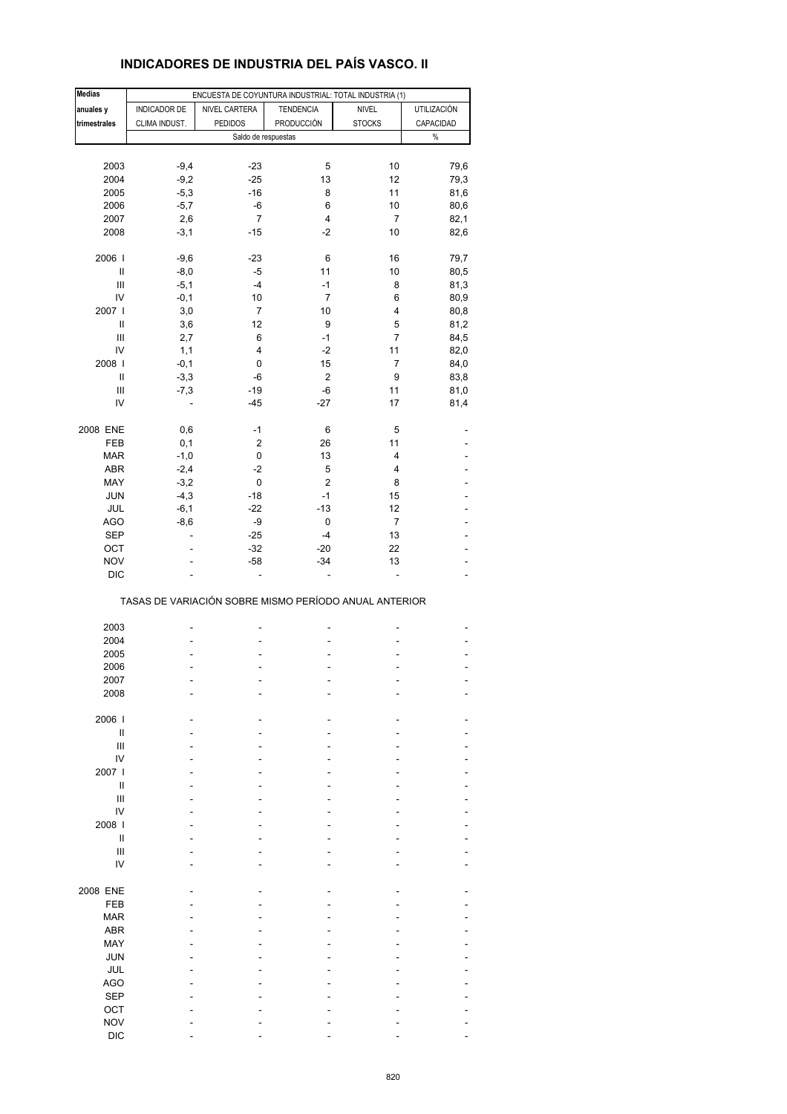# **INDICADORES DE INDUSTRIA DEL PAÍS VASCO. II**

| <b>Medias</b>                      |               | ENCUESTA DE COYUNTURA INDUSTRIAL: TOTAL INDUSTRIA (1) |                  |                |             |
|------------------------------------|---------------|-------------------------------------------------------|------------------|----------------|-------------|
| anuales y                          | INDICADOR DE  | NIVEL CARTERA                                         | <b>TENDENCIA</b> | <b>NIVEL</b>   | UTILIZACIÓN |
| trimestrales                       | CLIMA INDUST. | <b>PEDIDOS</b>                                        | PRODUCCIÓN       | <b>STOCKS</b>  | CAPACIDAD   |
|                                    |               | Saldo de respuestas                                   |                  |                | $\%$        |
|                                    |               |                                                       |                  |                |             |
|                                    |               |                                                       |                  |                |             |
| 2003                               | $-9,4$        | $-23$                                                 | 5                | 10             | 79,6        |
| 2004                               | $-9,2$        | $-25$                                                 | 13               | 12             | 79,3        |
| 2005                               | $-5,3$        | $-16$                                                 | 8                | 11             | 81,6        |
| 2006                               | $-5,7$        | -6                                                    | 6                | 10             | 80,6        |
|                                    |               | $\overline{7}$                                        | 4                | $\overline{7}$ | 82,1        |
| 2007                               | 2,6           |                                                       |                  |                |             |
| 2008                               | $-3,1$        | $-15$                                                 | $-2$             | 10             | 82,6        |
|                                    |               |                                                       |                  |                |             |
| 2006                               | $-9,6$        | $-23$                                                 | 6                | 16             | 79,7        |
| $\ensuremath{\mathsf{II}}$         | $-8,0$        | -5                                                    | 11               | 10             | 80,5        |
| $\ensuremath{\mathsf{III}}\xspace$ | $-5,1$        | $-4$                                                  | $-1$             | 8              | 81,3        |
| IV                                 | $-0,1$        | 10                                                    | $\overline{7}$   | 6              | 80,9        |
| 2007 l                             |               |                                                       |                  | 4              |             |
|                                    | 3,0           | 7                                                     | 10               |                | 80,8        |
| Ш                                  | 3,6           | 12                                                    | 9                | 5              | 81,2        |
| $\ensuremath{\mathsf{III}}\xspace$ | 2,7           | $\,6$                                                 | $-1$             | $\overline{7}$ | 84,5        |
| IV                                 | 1,1           | 4                                                     | -2               | 11             | 82,0        |
|                                    |               |                                                       |                  |                |             |
| 2008                               | $-0,1$        | 0                                                     | 15               | $\overline{7}$ | 84,0        |
| $\ensuremath{\mathsf{II}}$         | $-3,3$        | $-6$                                                  | $\overline{2}$   | 9              | 83,8        |
| Ш                                  | $-7,3$        | $-19$                                                 | -6               | 11             | 81,0        |
| IV                                 |               | $-45$                                                 | $-27$            | 17             | 81,4        |
|                                    |               |                                                       |                  |                |             |
|                                    |               |                                                       |                  |                |             |
| 2008 ENE                           | 0,6           | $-1$                                                  | 6                | 5              |             |
| FEB                                | 0,1           | $\overline{c}$                                        | 26               | 11             |             |
| <b>MAR</b>                         | $-1,0$        | $\pmb{0}$                                             | 13               | 4              |             |
| ABR                                | $-2,4$        | $-2$                                                  | 5                | 4              |             |
|                                    |               |                                                       |                  |                |             |
| MAY                                | $-3,2$        | 0                                                     | $\overline{2}$   | 8              |             |
| JUN                                | $-4,3$        | $-18$                                                 | $-1$             | 15             |             |
| JUL                                | $-6,1$        | $-22$                                                 | $-13$            | 12             |             |
|                                    |               | -9                                                    | 0                | $\overline{7}$ |             |
| <b>AGO</b>                         | $-8,6$        |                                                       |                  |                |             |
| <b>SEP</b>                         | ÷,            | $-25$                                                 | $-4$             | 13             |             |
| OCT                                |               | $-32$                                                 | $-20$            | 22             |             |
| <b>NOV</b>                         |               | $-58$                                                 | $-34$            | 13             |             |
| <b>DIC</b>                         |               | ÷                                                     | -                | $\frac{1}{2}$  |             |
|                                    |               |                                                       |                  |                |             |
|                                    |               | TASAS DE VARIACIÓN SOBRE MISMO PERÍODO ANUAL ANTERIOR |                  |                |             |
|                                    |               |                                                       |                  |                |             |
| 2003                               |               | ٠                                                     | Ĭ.               | ٠              |             |
| 2004                               |               |                                                       |                  |                |             |
| 2005                               |               |                                                       | ä,               |                |             |
| 2006                               |               |                                                       | L,               |                |             |
|                                    |               |                                                       |                  |                |             |
| 2007                               |               |                                                       |                  |                |             |
| 2008                               |               |                                                       |                  |                |             |
|                                    |               |                                                       |                  |                |             |
| 2006                               |               |                                                       |                  |                |             |
|                                    |               |                                                       |                  |                |             |
| Ш                                  |               |                                                       |                  |                |             |
| $\mathsf{III}$                     |               |                                                       |                  |                |             |
| IV                                 |               |                                                       |                  |                |             |
| 2007 l                             |               |                                                       |                  |                |             |
| $\sf II$                           |               |                                                       |                  |                |             |
|                                    |               |                                                       |                  |                |             |
| Ш                                  |               |                                                       |                  |                |             |
| IV                                 |               |                                                       |                  |                |             |
| 2008                               |               |                                                       |                  |                |             |
| Ш                                  |               |                                                       |                  |                |             |
|                                    |               |                                                       |                  |                |             |
| $\mathsf{III}$                     |               |                                                       |                  |                |             |
| IV                                 |               |                                                       |                  |                |             |
|                                    |               |                                                       |                  |                |             |
| 2008 ENE                           |               |                                                       |                  |                |             |
| FEB                                |               |                                                       |                  |                |             |
|                                    |               |                                                       |                  |                |             |
| <b>MAR</b>                         |               |                                                       |                  |                |             |
| <b>ABR</b>                         |               |                                                       |                  |                |             |
| MAY                                |               |                                                       |                  |                |             |
|                                    |               |                                                       |                  |                |             |
| <b>JUN</b>                         |               |                                                       |                  |                |             |
| <b>JUL</b>                         |               |                                                       |                  |                |             |
| AGO                                |               |                                                       |                  |                |             |
| <b>SEP</b>                         |               |                                                       |                  |                |             |
|                                    |               |                                                       |                  |                |             |
| OCT                                |               |                                                       |                  |                |             |
| <b>NOV</b>                         |               |                                                       |                  |                |             |
| <b>DIC</b>                         |               |                                                       |                  |                |             |
|                                    |               |                                                       |                  |                |             |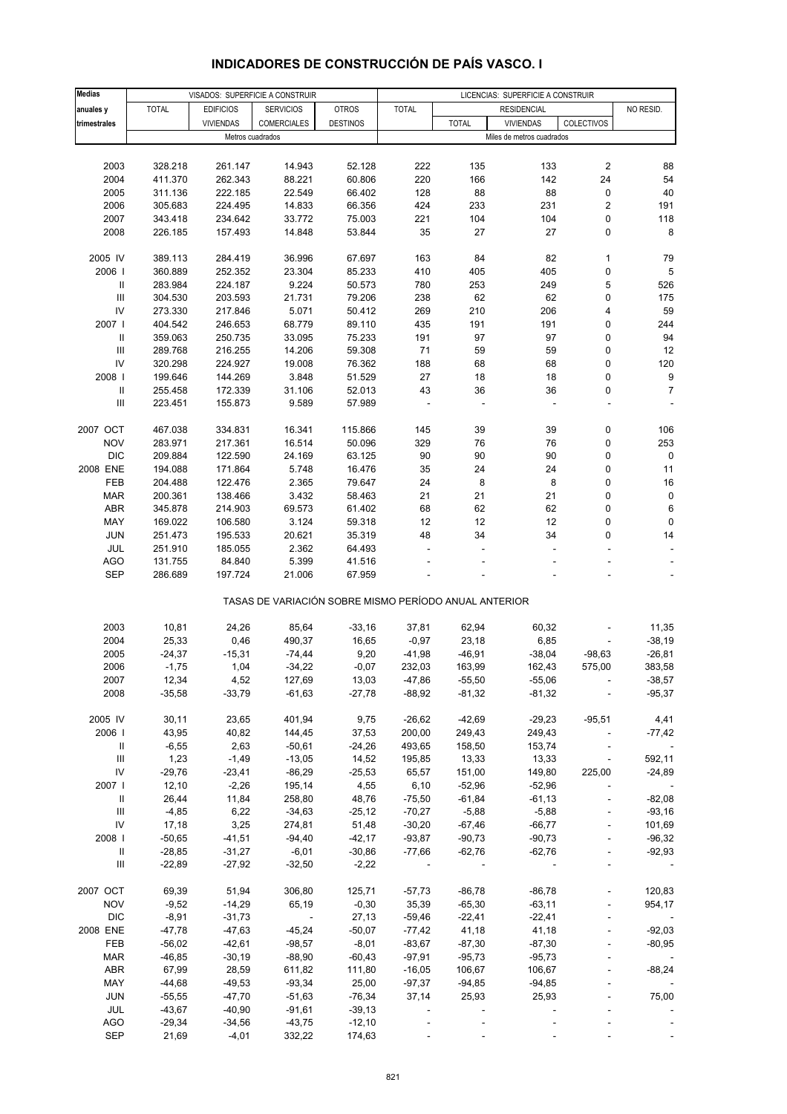| <b>Medias</b>                      |              | VISADOS: SUPERFICIE A CONSTRUIR |                                                       |                 | LICENCIAS: SUPERFICIE A CONSTRUIR |              |                           |                |                          |
|------------------------------------|--------------|---------------------------------|-------------------------------------------------------|-----------------|-----------------------------------|--------------|---------------------------|----------------|--------------------------|
| anuales y                          | <b>TOTAL</b> | <b>EDIFICIOS</b>                | <b>SERVICIOS</b>                                      | <b>OTROS</b>    | <b>TOTAL</b>                      |              | <b>RESIDENCIAL</b>        |                | NO RESID.                |
| trimestrales                       |              | <b>VIVIENDAS</b>                | <b>COMERCIALES</b>                                    | <b>DESTINOS</b> |                                   | <b>TOTAL</b> | <b>VIVIENDAS</b>          | COLECTIVOS     |                          |
|                                    |              | Metros cuadrados                |                                                       |                 |                                   |              | Miles de metros cuadrados |                |                          |
|                                    |              |                                 |                                                       |                 |                                   |              |                           |                |                          |
| 2003                               | 328.218      | 261.147                         | 14.943                                                | 52.128          | 222                               | 135          | 133                       | 2              | 88                       |
| 2004                               | 411.370      | 262.343                         | 88.221                                                | 60.806          | 220                               | 166          | 142                       | 24             | 54                       |
| 2005                               | 311.136      | 222.185                         | 22.549                                                | 66.402          | 128                               | 88           | 88                        | 0              | 40                       |
| 2006                               | 305.683      | 224.495                         | 14.833                                                | 66.356          | 424                               | 233          | 231                       | 2              | 191                      |
| 2007                               | 343.418      | 234.642                         | 33.772                                                | 75.003          | 221                               | 104          | 104                       | 0              | 118                      |
| 2008                               | 226.185      | 157.493                         | 14.848                                                | 53.844          | 35                                | 27           | 27                        | 0              | 8                        |
|                                    |              |                                 |                                                       |                 |                                   |              |                           |                |                          |
| 2005 IV                            | 389.113      | 284.419                         | 36.996                                                | 67.697          | 163                               | 84           | 82                        | 1              | 79                       |
| 2006                               | 360.889      | 252.352                         | 23.304                                                | 85.233          | 410                               | 405          | 405                       | 0              | 5                        |
| Ш                                  | 283.984      | 224.187                         | 9.224                                                 | 50.573          | 780                               | 253          | 249                       | 5              | 526                      |
| $\ensuremath{\mathsf{III}}\xspace$ | 304.530      | 203.593                         | 21.731                                                | 79.206          | 238                               | 62           | 62                        | 0              | 175                      |
| IV                                 | 273.330      | 217.846                         | 5.071                                                 | 50.412          | 269                               | 210          | 206                       | 4              | 59                       |
| 2007                               | 404.542      | 246.653                         | 68.779                                                | 89.110          | 435                               | 191          | 191                       | 0              | 244                      |
| Ш                                  | 359.063      | 250.735                         | 33.095                                                | 75.233          | 191                               | 97           | 97                        | 0              | 94                       |
| $\mathsf{III}$                     | 289.768      | 216.255                         | 14.206                                                | 59.308          | 71                                | 59           | 59                        | 0              | 12                       |
| IV                                 | 320.298      | 224.927                         | 19.008                                                | 76.362          | 188                               | 68           | 68                        | 0              | 120                      |
| 2008                               | 199.646      | 144.269                         | 3.848                                                 | 51.529          | 27                                | 18           | 18                        | 0              | 9                        |
| $\,$ II                            | 255.458      | 172.339                         | 31.106                                                | 52.013          | 43                                | 36           | 36                        | 0              | $\overline{7}$           |
| Ш                                  | 223.451      | 155.873                         | 9.589                                                 | 57.989          |                                   |              |                           |                |                          |
|                                    |              |                                 |                                                       |                 |                                   |              |                           |                |                          |
| 2007 OCT                           | 467.038      | 334.831                         | 16.341                                                | 115.866         | 145                               | 39           | 39                        | 0              | 106                      |
| <b>NOV</b>                         | 283.971      | 217.361                         | 16.514                                                | 50.096          | 329                               | 76           | 76                        | 0              | 253                      |
| <b>DIC</b>                         | 209.884      | 122.590                         | 24.169                                                | 63.125          | 90                                | 90           | 90                        | 0              | $\pmb{0}$                |
| 2008 ENE                           | 194.088      | 171.864                         | 5.748                                                 | 16.476          | 35                                | 24           | 24                        | 0              | 11                       |
| FEB                                | 204.488      | 122.476                         | 2.365                                                 | 79.647          | 24                                | 8            | 8                         | 0              | 16                       |
| <b>MAR</b>                         | 200.361      | 138.466                         | 3.432                                                 | 58.463          | 21                                | 21           | 21                        | 0              | 0                        |
| <b>ABR</b>                         | 345.878      | 214.903                         | 69.573                                                | 61.402          | 68                                | 62           | 62                        | 0              | 6                        |
| MAY                                | 169.022      | 106.580                         | 3.124                                                 | 59.318          | 12                                | 12           | 12                        | 0              | $\mathbf 0$              |
| JUN                                | 251.473      | 195.533                         | 20.621                                                | 35.319          | 48                                | 34           | 34                        | 0              | 14                       |
| JUL                                | 251.910      | 185.055                         | 2.362                                                 | 64.493          | ÷,                                |              |                           |                |                          |
| AGO                                | 131.755      | 84.840                          | 5.399                                                 | 41.516          |                                   |              |                           |                |                          |
| <b>SEP</b>                         | 286.689      | 197.724                         | 21.006                                                | 67.959          |                                   |              |                           |                |                          |
|                                    |              |                                 | TASAS DE VARIACIÓN SOBRE MISMO PERÍODO ANUAL ANTERIOR |                 |                                   |              |                           |                |                          |
| 2003                               | 10,81        | 24,26                           | 85,64                                                 | $-33,16$        | 37,81                             | 62,94        | 60,32                     |                | 11,35                    |
| 2004                               | 25,33        | 0,46                            | 490,37                                                | 16,65           | $-0,97$                           | 23,18        | 6,85                      |                | $-38,19$                 |
| 2005                               | $-24,37$     | $-15,31$                        | $-74,44$                                              | 9,20            | $-41,98$                          | -46,91       | $-38,04$                  | $-98,63$       | $-26, 81$                |
| 2006                               | $-1,75$      | 1,04                            | $-34,22$                                              | $-0,07$         | 232,03                            | 163,99       | 162,43                    | 575,00         | 383,58                   |
| 2007                               | 12,34        | 4,52                            | 127,69                                                | 13,03           | -47,86                            | $-55,50$     | $-55,06$                  |                | -38,57                   |
| 2008                               | $-35,58$     | $-33,79$                        | $-61,63$                                              | $-27,78$        | $-88,92$                          | $-81,32$     | $-81,32$                  |                | $-95,37$                 |
|                                    |              |                                 |                                                       |                 |                                   |              |                           |                |                          |
| 2005 IV                            | 30,11        | 23,65                           | 401,94                                                | 9,75            | $-26,62$                          | $-42,69$     | $-29,23$                  | $-95,51$       | 4,41                     |
| 2006                               | 43,95        | 40,82                           | 144,45                                                | 37,53           | 200,00                            | 249,43       | 249,43                    |                | $-77,42$                 |
| Ш                                  | $-6,55$      | 2,63                            | $-50,61$                                              | $-24,26$        | 493,65                            | 158,50       | 153,74                    | $\blacksquare$ |                          |
| $\ensuremath{\mathsf{III}}\xspace$ | 1,23         | $-1,49$                         | $-13,05$                                              | 14,52           | 195,85                            | 13,33        | 13,33                     | $\blacksquare$ | 592,11                   |
| IV                                 | $-29,76$     | $-23,41$                        | $-86,29$                                              | $-25,53$        | 65,57                             | 151,00       | 149,80                    | 225,00         | $-24,89$                 |
| 2007                               | 12,10        | $-2,26$                         | 195,14                                                | 4,55            | 6, 10                             | $-52,96$     | $-52,96$                  |                |                          |
| Ш                                  | 26,44        | 11,84                           | 258,80                                                | 48,76           | $-75,50$                          | $-61,84$     | $-61,13$                  |                | $-82,08$                 |
| Ш                                  | $-4,85$      | 6,22                            | $-34,63$                                              | $-25,12$        | $-70,27$                          | $-5,88$      | $-5,88$                   |                | $-93,16$                 |
| IV                                 | 17,18        | 3,25                            | 274,81                                                | 51,48           | $-30,20$                          | $-67,46$     | $-66,77$                  | $\blacksquare$ | 101,69                   |
| 2008 l                             | $-50,65$     | $-41,51$                        | $-94,40$                                              | $-42,17$        | $-93,87$                          | $-90,73$     | $-90,73$                  |                | $-96,32$                 |
| Ш.                                 | $-28,85$     | $-31,27$                        | $-6,01$                                               | $-30,86$        | $-77,66$                          | $-62,76$     | $-62,76$                  |                | $-92,93$                 |
| Ш                                  | $-22,89$     | $-27,92$                        | $-32,50$                                              | $-2,22$         |                                   |              |                           |                |                          |
|                                    |              |                                 |                                                       |                 |                                   |              |                           |                |                          |
| 2007 OCT                           | 69,39        | 51,94                           | 306,80                                                | 125,71          | $-57,73$                          | $-86,78$     | $-86,78$                  |                | 120,83                   |
| <b>NOV</b>                         | $-9,52$      | $-14,29$                        | 65,19                                                 | $-0,30$         | 35,39                             | $-65,30$     | $-63,11$                  |                | 954,17                   |
| <b>DIC</b>                         | $-8,91$      | $-31,73$                        | $\overline{\phantom{a}}$                              | 27,13           | $-59,46$                          | $-22,41$     | $-22,41$                  |                | $\overline{\phantom{a}}$ |
| 2008 ENE                           | $-47,78$     | $-47,63$                        | $-45,24$                                              | $-50,07$        | $-77,42$                          | 41,18        | 41,18                     |                | $-92,03$                 |
| FEB                                | $-56,02$     | $-42,61$                        | $-98,57$                                              | $-8,01$         | $-83,67$                          | $-87,30$     | $-87,30$                  |                | $-80,95$                 |
| <b>MAR</b>                         | $-46,85$     | $-30,19$                        | $-88,90$                                              | $-60,43$        | $-97,91$                          | $-95,73$     | $-95,73$                  |                |                          |
| <b>ABR</b>                         | 67,99        | 28,59                           | 611,82                                                | 111,80          | $-16,05$                          | 106,67       | 106,67                    |                | $-88,24$                 |
| MAY                                | $-44,68$     | $-49,53$                        | $-93,34$                                              | 25,00           | $-97,37$                          | $-94,85$     | $-94,85$                  |                |                          |
| <b>JUN</b>                         | $-55,55$     | $-47,70$                        | $-51,63$                                              | $-76,34$        | 37,14                             | 25,93        | 25,93                     |                | 75,00                    |
| JUL                                | $-43,67$     | $-40,90$                        | $-91,61$                                              | $-39,13$        |                                   |              |                           |                |                          |
| AGO                                | $-29,34$     | $-34,56$                        | $-43,75$                                              | $-12,10$        |                                   |              |                           |                |                          |
| SEP                                | 21,69        | $-4,01$                         | 332,22                                                | 174,63          |                                   |              |                           |                |                          |

### **INDICADORES DE CONSTRUCCIÓN DE PAÍS VASCO. I**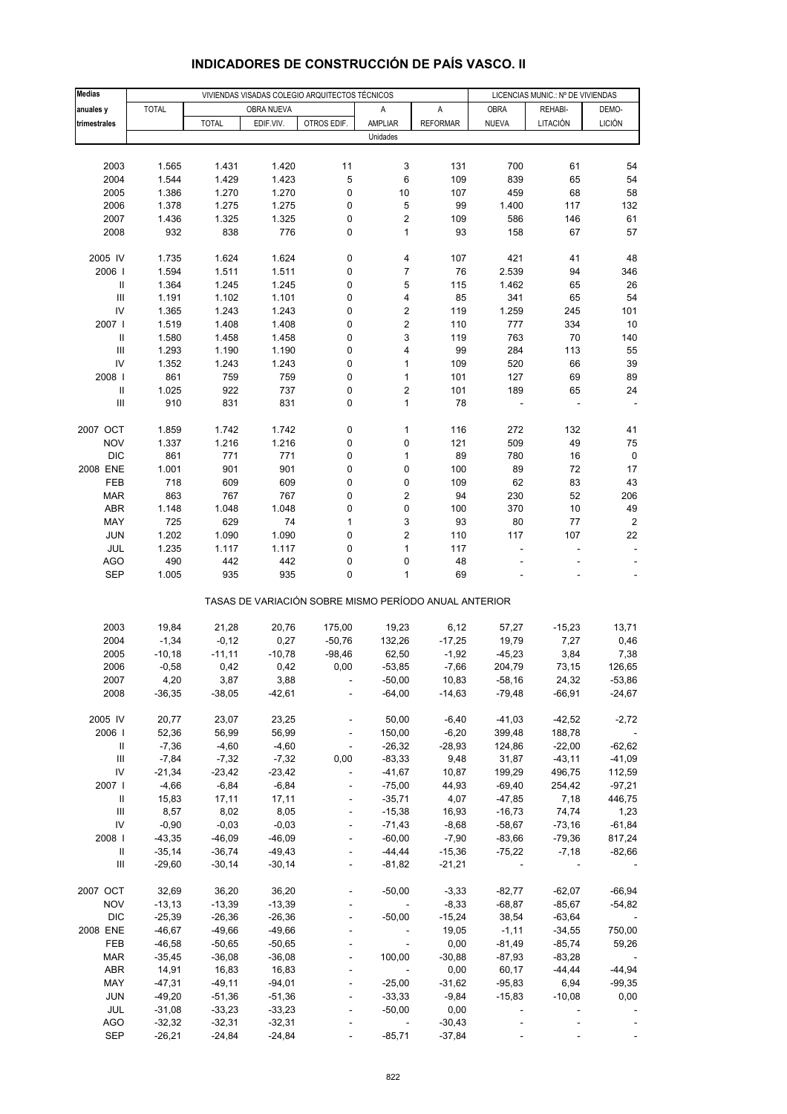| Medias                                  |                     |                   |                   | VIVIENDAS VISADAS COLEGIO ARQUITECTOS TÉCNICOS        |                             | LICENCIAS MUNIC.: Nº DE VIVIENDAS |                      |                       |                |
|-----------------------------------------|---------------------|-------------------|-------------------|-------------------------------------------------------|-----------------------------|-----------------------------------|----------------------|-----------------------|----------------|
| anuales y                               | <b>TOTAL</b>        |                   | OBRA NUEVA        |                                                       | Α                           | А                                 | <b>OBRA</b>          | REHABI-               | DEMO-          |
| trimestrales                            |                     | <b>TOTAL</b>      | EDIF.VIV.         | OTROS EDIF.                                           | AMPLIAR                     | <b>REFORMAR</b>                   | <b>NUEVA</b>         | LITACIÓN              | LICIÓN         |
|                                         |                     |                   |                   |                                                       | Unidades                    |                                   |                      |                       |                |
|                                         |                     |                   |                   |                                                       |                             |                                   |                      |                       |                |
| 2003                                    | 1.565               | 1.431             | 1.420             | 11                                                    | 3                           | 131                               | 700                  | 61                    | 54             |
| 2004                                    | 1.544               | 1.429             | 1.423             | 5                                                     | 6                           | 109                               | 839                  | 65                    | 54             |
| 2005                                    | 1.386               | 1.270             | 1.270             | 0                                                     | 10                          | 107                               | 459                  | 68                    | 58             |
| 2006                                    | 1.378               | 1.275             | 1.275             | 0                                                     | 5                           | 99                                | 1.400                | 117                   | 132            |
| 2007                                    | 1.436               | 1.325             | 1.325             | 0                                                     | $\boldsymbol{2}$            | 109                               | 586                  | 146                   | 61             |
| 2008                                    | 932                 | 838               | 776               | 0                                                     | 1                           | 93                                | 158                  | 67                    | 57             |
| 2005 IV                                 | 1.735               | 1.624             | 1.624             | 0                                                     | 4                           | 107                               | 421                  | 41                    | 48             |
| 2006                                    | 1.594               | 1.511             | 1.511             | 0                                                     | $\boldsymbol{7}$            | 76                                | 2.539                | 94                    | 346            |
| $\sf II$                                | 1.364               | 1.245             | 1.245             | 0                                                     | 5                           | 115                               | 1.462                | 65                    | 26             |
| $\mathbf{III}$                          | 1.191               | 1.102             | 1.101             | 0                                                     | $\overline{\mathbf{4}}$     | 85                                | 341                  | 65                    | 54             |
| IV                                      | 1.365               | 1.243             | 1.243             | 0                                                     | $\mathbf 2$                 | 119                               | 1.259                | 245                   | 101            |
| 2007 l                                  | 1.519               | 1.408             | 1.408             | 0                                                     | $\boldsymbol{2}$            | 110                               | 777                  | 334                   | 10             |
| $\ensuremath{\mathsf{II}}$              | 1.580               | 1.458             | 1.458             | 0                                                     | 3                           | 119                               | 763                  | 70                    | 140            |
| III                                     | 1.293               | 1.190             | 1.190             | 0                                                     | 4                           | 99                                | 284                  | 113                   | 55             |
| IV                                      | 1.352               | 1.243             | 1.243             | 0                                                     | 1                           | 109                               | 520                  | 66                    | 39             |
| 2008                                    | 861                 | 759               | 759               | 0                                                     | 1                           | 101                               | 127                  | 69                    | 89             |
| $\, \parallel$<br>III                   | 1.025<br>910        | 922<br>831        | 737<br>831        | 0<br>0                                                | $\mathbf 2$<br>$\mathbf{1}$ | 101<br>78                         | 189                  | 65                    | 24             |
|                                         |                     |                   |                   |                                                       |                             |                                   |                      |                       |                |
| 2007 OCT                                | 1.859               | 1.742             | 1.742             | $\pmb{0}$                                             | 1                           | 116                               | 272                  | 132                   | 41             |
| <b>NOV</b>                              | 1.337               | 1.216             | 1.216             | 0                                                     | 0                           | 121                               | 509                  | 49                    | 75             |
| <b>DIC</b>                              | 861                 | 771               | 771               | 0                                                     | 1                           | 89                                | 780                  | 16                    | 0              |
| 2008 ENE                                | 1.001               | 901               | 901               | 0                                                     | 0                           | 100                               | 89                   | 72                    | 17             |
| FEB                                     | 718                 | 609               | 609               | 0                                                     | 0                           | 109                               | 62                   | 83                    | 43             |
| <b>MAR</b>                              | 863                 | 767               | 767               | 0                                                     | 2                           | 94                                | 230                  | 52                    | 206            |
| <b>ABR</b>                              | 1.148               | 1.048             | 1.048             | 0                                                     | 0                           | 100                               | 370                  | 10                    | 49             |
| MAY                                     | 725                 | 629               | 74                | $\mathbf{1}$                                          | 3                           | 93                                | 80                   | 77                    | $\overline{c}$ |
| <b>JUN</b>                              | 1.202               | 1.090             | 1.090             | 0                                                     | $\overline{\mathbf{c}}$     | 110                               | 117                  | 107                   | 22             |
| JUL<br><b>AGO</b>                       | 1.235<br>490        | 1.117<br>442      | 1.117<br>442      | 0<br>0                                                | $\mathbf{1}$<br>0           | 117<br>48                         |                      |                       |                |
| <b>SEP</b>                              | 1.005               | 935               | 935               | 0                                                     | $\mathbf{1}$                | 69                                |                      |                       |                |
|                                         |                     |                   |                   |                                                       |                             |                                   |                      |                       |                |
|                                         |                     |                   |                   | TASAS DE VARIACIÓN SOBRE MISMO PERÍODO ANUAL ANTERIOR |                             |                                   |                      |                       |                |
|                                         |                     |                   |                   |                                                       |                             |                                   |                      |                       |                |
| 2003                                    | 19,84               | 21,28             | 20,76             | 175,00                                                | 19,23                       | 6,12                              | 57,27                | $-15,23$              | 13,71          |
| 2004                                    | $-1,34$             | $-0,12$           | 0,27              | $-50,76$                                              | 132,26                      | $-17,25$                          | 19,79                | 7,27                  | 0,46           |
| 2005<br>2006                            | $-10,18$<br>$-0,58$ | $-11,11$<br>0,42  | $-10,78$<br>0,42  | $-98,46$<br>0,00                                      | 62,50<br>$-53,85$           | $-1,92$<br>$-7,66$                | $-45,23$<br>204,79   | 3,84<br>73,15         | 7,38<br>126,65 |
| 2007                                    | 4,20                | 3,87              | 3,88              |                                                       | $-50,00$                    | 10,83                             | -58,16               | 24,32                 | $-53,86$       |
| 2008                                    | $-36,35$            | $-38,05$          | $-42,61$          |                                                       | $-64,00$                    | $-14,63$                          | $-79,48$             | $-66,91$              | $-24,67$       |
|                                         |                     |                   |                   |                                                       |                             |                                   |                      |                       |                |
| 2005 IV                                 | 20,77               | 23,07             | 23,25             |                                                       | 50,00                       | $-6,40$                           | $-41,03$             | $-42,52$              | $-2,72$        |
| 2006                                    | 52,36               | 56,99             | 56,99             |                                                       | 150,00                      | $-6,20$                           | 399,48               | 188,78                |                |
| $\, \parallel$                          | $-7,36$             | $-4,60$           | $-4,60$           | $\blacksquare$                                        | $-26,32$                    | $-28,93$                          | 124,86               | $-22,00$              | $-62,62$       |
| $\mathbf{III}$                          | $-7,84$             | $-7,32$           | $-7,32$           | 0,00                                                  | $-83,33$                    | 9,48                              | 31,87                | $-43,11$              | $-41,09$       |
| IV                                      | $-21,34$            | $-23,42$          | $-23,42$          |                                                       | $-41,67$                    | 10,87                             | 199,29               | 496,75                | 112,59         |
| 2007                                    | $-4,66$             | $-6,84$           | $-6,84$           | ÷,                                                    | $-75,00$                    | 44,93                             | $-69,40$             | 254,42                | $-97,21$       |
| Ш<br>$\ensuremath{\mathsf{III}}\xspace$ | 15,83<br>8,57       | 17,11<br>8,02     | 17,11<br>8,05     |                                                       | $-35,71$<br>$-15,38$        | 4,07<br>16,93                     | $-47,85$<br>$-16,73$ | 7,18<br>74,74         | 446,75<br>1,23 |
| ${\sf IV}$                              | $-0,90$             | $-0,03$           | $-0,03$           | $\blacksquare$                                        | $-71,43$                    | $-8,68$                           | $-58,67$             | $-73,16$              | $-61,84$       |
| 2008                                    | $-43,35$            | $-46,09$          | $-46,09$          |                                                       | $-60,00$                    | $-7,90$                           | $-83,66$             | $-79,36$              | 817,24         |
| Ш                                       | $-35,14$            | $-36,74$          | $-49,43$          |                                                       | $-44,44$                    | $-15,36$                          | $-75,22$             | $-7,18$               | $-82,66$       |
| $\ensuremath{\mathsf{III}}\xspace$      | $-29,60$            | $-30,14$          | $-30,14$          | $\overline{\phantom{a}}$                              | $-81,82$                    | $-21,21$                          |                      |                       |                |
|                                         |                     |                   |                   |                                                       |                             |                                   |                      |                       |                |
| 2007 OCT                                | 32,69               | 36,20             | 36,20             |                                                       | $-50,00$                    | $-3,33$                           | $-82,77$             | $-62,07$              | $-66,94$       |
| <b>NOV</b>                              | $-13,13$            | $-13,39$          | $-13,39$          |                                                       | $\Box$                      | $-8,33$                           | $-68,87$             | $-85,67$              | $-54,82$       |
| <b>DIC</b>                              | $-25,39$            | $-26,36$          | $-26,36$          |                                                       | $-50,00$                    | $-15,24$                          | 38,54                | $-63,64$              |                |
| 2008 ENE                                | $-46,67$            | $-49,66$          | $-49,66$          |                                                       |                             | 19,05                             | $-1,11$              | $-34,55$              | 750,00         |
| FEB                                     | $-46,58$            | $-50,65$          | $-50,65$          |                                                       | $\overline{\phantom{a}}$    | 0,00                              | $-81,49$             | $-85,74$              | 59,26          |
| <b>MAR</b><br>ABR                       | $-35,45$<br>14,91   | $-36,08$<br>16,83 | $-36,08$<br>16,83 |                                                       | 100,00                      | $-30,88$<br>0,00                  | $-87,93$<br>60,17    | $-83,28$<br>$-44, 44$ | $-44,94$       |
| MAY                                     | $-47,31$            | $-49,11$          | $-94,01$          |                                                       | $-25,00$                    | $-31,62$                          | $-95,83$             | 6,94                  | $-99,35$       |
| <b>JUN</b>                              | $-49,20$            | $-51,36$          | $-51,36$          |                                                       | $-33,33$                    | $-9,84$                           | $-15,83$             | $-10,08$              | 0,00           |
| JUL                                     | $-31,08$            | $-33,23$          | $-33,23$          | L,                                                    | $-50,00$                    | 0,00                              |                      |                       |                |
| <b>AGO</b>                              | $-32,32$            | $-32,31$          | $-32,31$          |                                                       |                             | $-30,43$                          |                      |                       |                |
| <b>SEP</b>                              | $-26,21$            | $-24,84$          | $-24,84$          |                                                       | $-85,71$                    | $-37,84$                          |                      |                       |                |

# **INDICADORES DE CONSTRUCCIÓN DE PAÍS VASCO. II**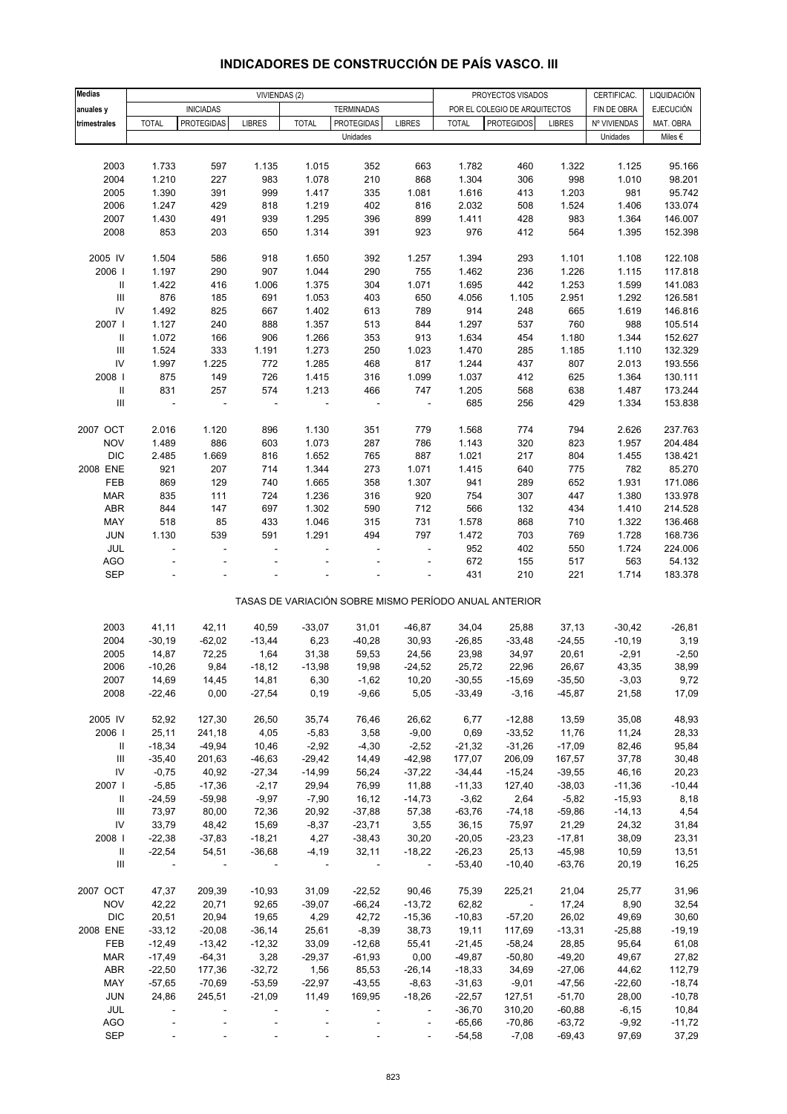| <b>Medias</b>                      | VIVIENDAS (2)                        |                                   |                          |                                     |                                   |                                      |                      | PROYECTOS VISADOS                                     |                      | CERTIFICAC.    | LIQUIDACIÓN        |
|------------------------------------|--------------------------------------|-----------------------------------|--------------------------|-------------------------------------|-----------------------------------|--------------------------------------|----------------------|-------------------------------------------------------|----------------------|----------------|--------------------|
|                                    |                                      | <b>INICIADAS</b>                  |                          |                                     | <b>TERMINADAS</b>                 |                                      |                      | POR EL COLEGIO DE ARQUITECTOS                         |                      | FIN DE OBRA    | <b>EJECUCIÓN</b>   |
| anuales y<br>trimestrales          | <b>TOTAL</b>                         | <b>PROTEGIDAS</b>                 | <b>LIBRES</b>            | <b>TOTAL</b>                        | <b>PROTEGIDAS</b>                 | <b>LIBRES</b>                        | <b>TOTAL</b>         | <b>PROTEGIDOS</b>                                     | <b>LIBRES</b>        | Nº VIVIENDAS   | MAT. OBRA          |
|                                    |                                      |                                   |                          |                                     | Unidades                          |                                      |                      |                                                       |                      | Unidades       | Miles $\epsilon$   |
|                                    |                                      |                                   |                          |                                     |                                   |                                      |                      |                                                       |                      |                |                    |
| 2003                               |                                      | 597                               | 1.135                    |                                     | 352                               |                                      |                      | 460                                                   | 1.322                | 1.125          |                    |
| 2004                               | 1.733<br>1.210                       | 227                               | 983                      | 1.015<br>1.078                      | 210                               | 663<br>868                           | 1.782<br>1.304       |                                                       | 998                  | 1.010          | 95.166<br>98.201   |
| 2005                               | 1.390                                | 391                               | 999                      | 1.417                               | 335                               | 1.081                                | 1.616                | 306<br>413                                            | 1.203                | 981            | 95.742             |
| 2006                               | 1.247                                | 429                               | 818                      | 1.219                               | 402                               | 816                                  | 2.032                | 508                                                   | 1.524                | 1.406          | 133.074            |
| 2007                               | 1.430                                | 491                               | 939                      | 1.295                               | 396                               | 899                                  | 1.411                | 428                                                   | 983                  | 1.364          | 146.007            |
| 2008                               | 853                                  | 203                               | 650                      | 1.314                               | 391                               | 923                                  | 976                  | 412                                                   | 564                  | 1.395          | 152.398            |
|                                    |                                      |                                   |                          |                                     |                                   |                                      |                      |                                                       |                      |                |                    |
| 2005 IV                            | 1.504                                | 586                               | 918                      | 1.650                               | 392                               | 1.257                                | 1.394                | 293                                                   | 1.101                | 1.108          | 122.108            |
| 2006                               | 1.197                                | 290                               | 907                      | 1.044                               | 290                               | 755                                  | 1.462                | 236                                                   | 1.226                | 1.115          | 117.818            |
| Ш                                  | 1.422                                | 416                               | 1.006                    | 1.375                               | 304                               | 1.071                                | 1.695                | 442                                                   | 1.253                | 1.599          | 141.083            |
| $\ensuremath{\mathsf{III}}\xspace$ | 876                                  | 185                               | 691                      | 1.053                               | 403                               | 650                                  | 4.056                | 1.105                                                 | 2.951                | 1.292          | 126.581            |
| IV                                 | 1.492                                | 825                               | 667                      | 1.402                               | 613                               | 789                                  | 914                  | 248                                                   | 665                  | 1.619          | 146.816            |
| 2007                               | 1.127                                | 240                               | 888                      | 1.357                               | 513                               | 844                                  | 1.297                | 537                                                   | 760                  | 988            | 105.514            |
| $\mathbf{I}$                       | 1.072                                | 166                               | 906                      | 1.266                               | 353                               | 913                                  | 1.634                | 454                                                   | 1.180                | 1.344          | 152.627            |
| $\ensuremath{\mathsf{III}}\xspace$ | 1.524                                | 333                               | 1.191                    | 1.273                               | 250                               | 1.023                                | 1.470                | 285                                                   | 1.185                | 1.110          | 132.329            |
| ${\sf IV}$                         | 1.997                                | 1.225                             | 772                      | 1.285                               | 468                               | 817                                  | 1.244                | 437                                                   | 807                  | 2.013          | 193.556            |
| 2008                               | 875                                  | 149                               | 726                      | 1.415                               | 316                               | 1.099                                | 1.037                | 412                                                   | 625                  | 1.364          | 130.111            |
| $\ensuremath{\mathsf{II}}$         | 831                                  | 257                               | 574                      | 1.213                               | 466                               | 747                                  | 1.205                | 568                                                   | 638                  | 1.487          | 173.244            |
| $\ensuremath{\mathsf{III}}\xspace$ | $\overline{\phantom{a}}$             | ÷,                                | $\overline{\phantom{a}}$ |                                     | $\overline{\phantom{a}}$          | $\blacksquare$                       | 685                  | 256                                                   | 429                  | 1.334          | 153.838            |
|                                    |                                      |                                   |                          |                                     |                                   |                                      |                      |                                                       |                      |                |                    |
| 2007 OCT                           | 2.016                                | 1.120                             | 896                      | 1.130                               | 351                               | 779                                  | 1.568                | 774                                                   | 794                  | 2.626          | 237.763            |
| <b>NOV</b>                         | 1.489                                | 886                               | 603                      | 1.073                               | 287                               | 786                                  | 1.143                | 320                                                   | 823                  | 1.957          | 204.484            |
| <b>DIC</b>                         | 2.485                                | 1.669                             | 816                      | 1.652                               | 765                               | 887                                  | 1.021                | 217                                                   | 804                  | 1.455          | 138.421            |
| 2008 ENE                           | 921                                  | 207                               | 714                      | 1.344                               | 273                               | 1.071                                | 1.415                | 640                                                   | 775                  | 782            | 85.270             |
|                                    |                                      |                                   |                          |                                     |                                   |                                      |                      |                                                       |                      |                |                    |
| FEB                                | 869<br>835                           | 129                               | 740<br>724               | 1.665                               | 358                               | 1.307<br>920                         | 941<br>754           | 289                                                   | 652<br>447           | 1.931<br>1.380 | 171.086<br>133.978 |
| <b>MAR</b>                         |                                      | 111                               |                          | 1.236                               | 316                               |                                      |                      | 307                                                   |                      |                |                    |
| <b>ABR</b>                         | 844                                  | 147                               | 697                      | 1.302                               | 590                               | 712                                  | 566                  | 132                                                   | 434                  | 1.410          | 214.528            |
| MAY                                | 518                                  | 85                                | 433                      | 1.046                               | 315                               | 731                                  | 1.578                | 868                                                   | 710                  | 1.322          | 136.468            |
| JUN                                | 1.130                                | 539                               | 591                      | 1.291                               | 494                               | 797                                  | 1.472                | 703                                                   | 769                  | 1.728          | 168.736            |
| JUL                                | ÷                                    | ä,                                | ä,                       |                                     |                                   | ÷.                                   | 952                  | 402                                                   | 550                  | 1.724          | 224.006            |
| <b>AGO</b>                         |                                      |                                   |                          |                                     |                                   | ÷,                                   | 672                  | 155                                                   | 517                  | 563            | 54.132             |
| <b>SEP</b>                         |                                      |                                   |                          |                                     |                                   | L,                                   | 431                  | 210                                                   | 221                  | 1.714          | 183.378            |
|                                    |                                      |                                   |                          |                                     |                                   |                                      |                      | TASAS DE VARIACIÓN SOBRE MISMO PERÍODO ANUAL ANTERIOR |                      |                |                    |
|                                    |                                      |                                   |                          |                                     |                                   |                                      |                      |                                                       |                      |                |                    |
| 2003                               | 41,11                                | 42,11                             | 40,59                    | $-33,07$                            | 31,01                             | $-46,87$                             | 34,04                | 25,88                                                 | 37,13                | $-30,42$       | $-26, 81$          |
| 2004                               | $-30,19$                             | $-62,02$                          | $-13,44$                 | 6,23                                | $-40,28$                          | 30,93                                | $-26,85$             | $-33,48$                                              | $-24,55$             | $-10,19$       | 3,19               |
| 2005                               | 14,87                                | 72,25                             | 1,64                     | 31,38                               | 59,53                             | 24,56                                | 23,98                | 34,97                                                 | 20,61                | $-2,91$        | $-2,50$            |
| 2006                               | $-10,26$                             | 9,84                              | $-18,12$                 | $-13,98$                            | 19,98                             | $-24,52$                             | 25,72                | 22,96                                                 | 26,67                | 43,35          | 38,99              |
| 2007                               | 14,69                                | 14,45                             | 14,81                    | 6,30                                | $-1,62$                           | 10,20                                | $-30,55$             | $-15,69$                                              | $-35,50$             | $-3,03$        | 9,72               |
| 2008                               | $-22,46$                             | 0,00                              | $-27,54$                 | 0, 19                               | $-9,66$                           | 5,05                                 | $-33,49$             | $-3,16$                                               | $-45,87$             | 21,58          | 17,09              |
| 2005 IV                            | 52,92                                | 127,30                            | 26,50                    | 35,74                               | 76,46                             | 26,62                                | 6,77                 | $-12,88$                                              | 13,59                | 35,08          | 48,93              |
| 2006                               | 25,11                                | 241,18                            | 4,05                     | $-5,83$                             | 3,58                              | $-9,00$                              | 0,69                 | $-33,52$                                              | 11,76                | 11,24          | 28,33              |
| Ш                                  | $-18,34$                             | $-49,94$                          | 10,46                    | $-2,92$                             | $-4,30$                           | $-2,52$                              | $-21,32$             | $-31,26$                                              | $-17,09$             | 82,46          | 95,84              |
| $\ensuremath{\mathsf{III}}\xspace$ | $-35,40$                             | 201,63                            | $-46,63$                 | $-29,42$                            | 14,49                             | $-42,98$                             | 177,07               | 206,09                                                | 167,57               | 37,78          | 30,48              |
| ${\sf IV}$                         | $-0,75$                              | 40,92                             | $-27,34$                 | $-14,99$                            | 56,24                             | $-37,22$                             | $-34,44$             | $-15,24$                                              | $-39,55$             | 46,16          | 20,23              |
| 2007 l                             | $-5,85$                              | $-17,36$                          | $-2,17$                  | 29,94                               | 76,99                             | 11,88                                | $-11,33$             | 127,40                                                | $-38,03$             | $-11,36$       | $-10,44$           |
| Ш                                  | $-24,59$                             | $-59,98$                          | $-9,97$                  | $-7,90$                             | 16,12                             | $-14,73$                             | $-3,62$              | 2,64                                                  | $-5,82$              | $-15,93$       | 8,18               |
| Ш                                  | 73,97                                | 80,00                             | 72,36                    | 20,92                               |                                   | 57,38                                | $-63,76$             | $-74,18$                                              | $-59,86$             | $-14, 13$      | 4,54               |
| ${\sf IV}$                         |                                      |                                   |                          |                                     | $-37,88$                          |                                      |                      |                                                       |                      |                |                    |
| 2008                               | 33,79<br>$-22,38$                    | 48,42<br>$-37,83$                 | 15,69<br>$-18,21$        | $-8,37$<br>4,27                     | $-23,71$<br>$-38,43$              | 3,55<br>30,20                        | 36,15<br>$-20,05$    | 75,97<br>$-23,23$                                     | 21,29<br>$-17,81$    | 24,32<br>38,09 | 31,84<br>23,31     |
|                                    |                                      |                                   |                          |                                     |                                   |                                      |                      |                                                       |                      |                |                    |
| Ш<br>Ш                             | $-22,54$<br>$\overline{\phantom{a}}$ | 54,51<br>$\overline{\phantom{a}}$ | $-36,68$                 | $-4,19$<br>$\overline{\phantom{a}}$ | 32,11<br>$\overline{\phantom{a}}$ | $-18,22$<br>$\overline{\phantom{a}}$ | $-26,23$<br>$-53,40$ | 25, 13<br>$-10,40$                                    | $-45,98$<br>$-63,76$ | 10,59<br>20,19 | 13,51<br>16,25     |
|                                    |                                      |                                   |                          |                                     |                                   |                                      |                      |                                                       |                      |                |                    |
| 2007 OCT                           | 47,37                                | 209,39                            | $-10,93$                 | 31,09                               | $-22,52$                          | 90,46                                | 75,39                | 225,21                                                | 21,04                | 25,77          | 31,96              |
| <b>NOV</b>                         | 42,22                                | 20,71                             | 92,65                    | $-39,07$                            | $-66,24$                          | $-13,72$                             | 62,82                | $\overline{\phantom{a}}$                              | 17,24                | 8,90           | 32,54              |
| <b>DIC</b>                         | 20,51                                | 20,94                             | 19,65                    | 4,29                                | 42,72                             | $-15,36$                             | $-10,83$             | $-57,20$                                              | 26,02                | 49,69          | 30,60              |
| 2008 ENE                           | $-33,12$                             | $-20,08$                          | $-36,14$                 | 25,61                               | $-8,39$                           | 38,73                                | 19,11                | 117,69                                                | $-13,31$             | $-25,88$       | $-19,19$           |
| FEB                                | $-12,49$                             | $-13,42$                          | $-12,32$                 | 33,09                               | $-12,68$                          | 55,41                                | $-21,45$             | $-58,24$                                              | 28,85                | 95,64          | 61,08              |
| <b>MAR</b>                         | $-17,49$                             | $-64,31$                          | 3,28                     | $-29,37$                            | $-61,93$                          | 0,00                                 | $-49,87$             | $-50,80$                                              | $-49,20$             | 49,67          | 27,82              |
| ABR                                | $-22,50$                             | 177,36                            | $-32,72$                 | 1,56                                | 85,53                             | $-26,14$                             | $-18,33$             | 34,69                                                 | $-27,06$             | 44,62          | 112,79             |
| MAY                                | $-57,65$                             | $-70,69$                          | $-53,59$                 | $-22,97$                            | $-43,55$                          | $-8,63$                              | $-31,63$             | $-9,01$                                               | $-47,56$             | $-22,60$       | $-18,74$           |
| JUN                                | 24,86                                | 245,51                            | $-21,09$                 | 11,49                               | 169,95                            | $-18,26$                             | $-22,57$             | 127,51                                                | $-51,70$             | 28,00          | $-10,78$           |
| JUL                                |                                      |                                   |                          |                                     |                                   | $\overline{\phantom{a}}$             | $-36,70$             | 310,20                                                | $-60,88$             | $-6,15$        | 10,84              |
| <b>AGO</b>                         |                                      |                                   |                          |                                     |                                   | $\Box$                               | $-65,66$             | $-70,86$                                              | $-63,72$             | $-9,92$        | $-11,72$           |
| SEP                                |                                      |                                   |                          |                                     |                                   | $\Box$                               | $-54,58$             | $-7,08$                                               | $-69,43$             | 97,69          | 37,29              |

### **INDICADORES DE CONSTRUCCIÓN DE PAÍS VASCO. III**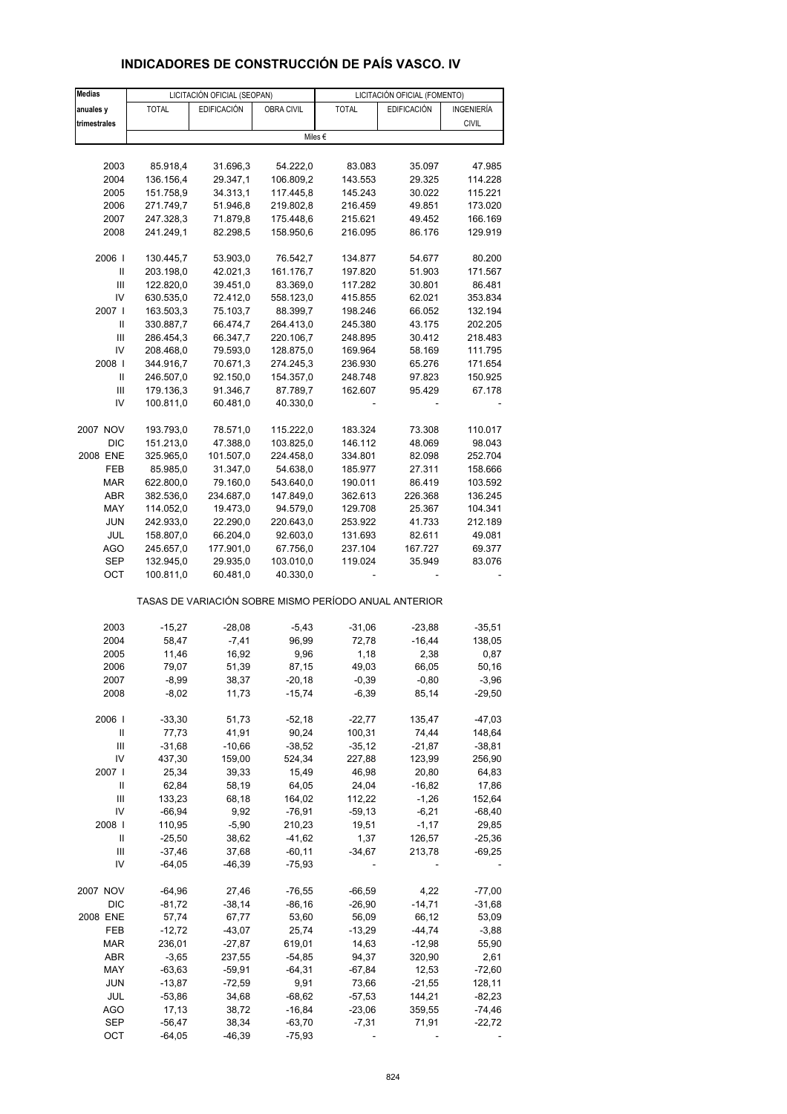| <b>Medias</b>  |              | LICITACIÓN OFICIAL (SEOPAN) |            |                                                       | LICITACIÓN OFICIAL (FOMENTO) |              |
|----------------|--------------|-----------------------------|------------|-------------------------------------------------------|------------------------------|--------------|
| anuales y      | <b>TOTAL</b> | <b>EDIFICACIÓN</b>          | OBRA CIVIL | <b>TOTAL</b>                                          | <b>EDIFICACIÓN</b>           | INGENIERÍA   |
| trimestrales   |              |                             |            |                                                       |                              | <b>CIVIL</b> |
|                |              |                             |            | Miles €                                               |                              |              |
|                |              |                             |            |                                                       |                              |              |
| 2003           | 85.918,4     | 31.696,3                    | 54.222,0   | 83.083                                                | 35.097                       | 47.985       |
| 2004           | 136.156,4    | 29.347,1                    | 106.809,2  | 143.553                                               | 29.325                       | 114.228      |
| 2005           | 151.758,9    | 34.313,1                    | 117.445,8  | 145.243                                               | 30.022                       | 115.221      |
| 2006           | 271.749,7    | 51.946,8                    | 219.802,8  | 216.459                                               | 49.851                       | 173.020      |
|                |              | 71.879,8                    | 175.448,6  | 215.621                                               |                              |              |
| 2007           | 247.328,3    |                             |            |                                                       | 49.452                       | 166.169      |
| 2008           | 241.249,1    | 82.298,5                    | 158.950,6  | 216.095                                               | 86.176                       | 129.919      |
| 2006           | 130.445,7    | 53.903,0                    | 76.542,7   | 134.877                                               | 54.677                       | 80.200       |
| Ш              | 203.198,0    | 42.021,3                    | 161.176,7  | 197.820                                               | 51.903                       | 171.567      |
| $\mathsf{III}$ | 122.820,0    | 39.451,0                    | 83.369,0   | 117.282                                               | 30.801                       | 86.481       |
| IV             | 630.535,0    | 72.412,0                    | 558.123,0  | 415.855                                               | 62.021                       | 353.834      |
| 2007           | 163.503,3    | 75.103,7                    | 88.399,7   | 198.246                                               | 66.052                       | 132.194      |
| Ш              | 330.887,7    | 66.474,7                    | 264.413,0  | 245.380                                               | 43.175                       | 202.205      |
|                |              |                             |            |                                                       |                              |              |
| Ш              | 286.454,3    | 66.347,7                    | 220.106,7  | 248.895                                               | 30.412                       | 218.483      |
| IV             | 208.468,0    | 79.593,0                    | 128.875,0  | 169.964                                               | 58.169                       | 111.795      |
| 2008           | 344.916,7    | 70.671,3                    | 274.245,3  | 236.930                                               | 65.276                       | 171.654      |
| Ш              | 246.507,0    | 92.150,0                    | 154.357,0  | 248.748                                               | 97.823                       | 150.925      |
| Ш              | 179.136,3    | 91.346,7                    | 87.789,7   | 162.607                                               | 95.429                       | 67.178       |
| IV             | 100.811,0    | 60.481,0                    | 40.330,0   |                                                       |                              |              |
|                |              |                             |            | 183.324                                               |                              |              |
| 2007 NOV       | 193.793,0    | 78.571,0                    | 115.222,0  |                                                       | 73.308                       | 110.017      |
| <b>DIC</b>     | 151.213,0    | 47.388,0                    | 103.825,0  | 146.112                                               | 48.069                       | 98.043       |
| 2008 ENE       | 325.965,0    | 101.507,0                   | 224.458,0  | 334.801                                               | 82.098                       | 252.704      |
| FEB            | 85.985,0     | 31.347,0                    | 54.638,0   | 185.977                                               | 27.311                       | 158.666      |
| <b>MAR</b>     | 622.800,0    | 79.160,0                    | 543.640,0  | 190.011                                               | 86.419                       | 103.592      |
| ABR            | 382.536,0    | 234.687,0                   | 147.849,0  | 362.613                                               | 226.368                      | 136.245      |
| MAY            | 114.052,0    | 19.473,0                    | 94.579,0   | 129.708                                               | 25.367                       | 104.341      |
| JUN            | 242.933,0    | 22.290,0                    | 220.643,0  | 253.922                                               | 41.733                       | 212.189      |
| JUL            | 158.807,0    | 66.204,0                    | 92.603,0   | 131.693                                               | 82.611                       | 49.081       |
| AGO            | 245.657,0    | 177.901,0                   | 67.756,0   | 237.104                                               | 167.727                      | 69.377       |
| SEP            | 132.945,0    | 29.935,0                    | 103.010,0  | 119.024                                               | 35.949                       | 83.076       |
| OCT            | 100.811,0    | 60.481,0                    | 40.330,0   |                                                       |                              |              |
|                |              |                             |            | TASAS DE VARIACIÓN SOBRE MISMO PERÍODO ANUAL ANTERIOR |                              |              |
|                |              |                             |            |                                                       |                              |              |
| 2003           | $-15,27$     | $-28,08$                    | $-5,43$    | $-31,06$                                              | $-23,88$                     | $-35,51$     |
| 2004           | 58,47        | $-7,41$                     | 96,99      | 72,78                                                 | $-16,44$                     | 138,05       |
| 2005           | 11,46        | 16,92                       | 9,96       | 1,18                                                  | 2,38                         | 0,87         |
| 2006           | 79,07        | 51,39                       | 87,15      | 49,03                                                 | 66,05                        | 50,16        |
| 2007           | $-8,99$      | 38,37                       | $-20,18$   | $-0,39$                                               | $-0,80$                      | $-3,96$      |
| 2008           | $-8,02$      | 11,73                       | $-15,74$   | $-6,39$                                               | 85,14                        | $-29,50$     |
|                |              |                             |            |                                                       |                              |              |
| 2006           | $-33,30$     | 51,73                       | $-52,18$   | $-22,77$                                              | 135,47                       | $-47,03$     |
| Ш              | 77,73        | 41,91                       | 90,24      | 100,31                                                | 74,44                        | 148,64       |
| Ш              | $-31,68$     | $-10,66$                    | $-38,52$   | $-35,12$                                              | $-21,87$                     | $-38,81$     |
| IV             | 437,30       | 159,00                      | 524,34     | 227,88                                                | 123,99                       | 256,90       |
| 2007 l         | 25,34        | 39,33                       | 15,49      | 46,98                                                 | 20,80                        | 64,83        |
| Ш              | 62,84        | 58,19                       | 64,05      | 24,04                                                 | $-16,82$                     | 17,86        |
| Ш              | 133,23       | 68,18                       | 164,02     | 112,22                                                | $-1,26$                      | 152,64       |
| IV             | $-66,94$     | 9,92                        | $-76,91$   | $-59,13$                                              | $-6,21$                      | $-68,40$     |
| 2008           | 110,95       | $-5,90$                     | 210,23     | 19,51                                                 | $-1,17$                      | 29,85        |
| Ш              | $-25,50$     | 38,62                       | $-41,62$   | 1,37                                                  | 126,57                       | $-25,36$     |
| Ш              | -37,46       | 37,68                       | $-60,11$   | $-34,67$                                              | 213,78                       | $-69,25$     |
| IV             | $-64,05$     | -46,39                      | $-75,93$   |                                                       |                              |              |
|                |              |                             |            |                                                       |                              |              |
| 2007 NOV       | $-64,96$     | 27,46                       | $-76,55$   | $-66,59$                                              | 4,22                         | $-77,00$     |
| DIC            | $-81,72$     | $-38,14$                    | $-86,16$   | $-26,90$                                              | $-14,71$                     | $-31,68$     |
| 2008 ENE       | 57,74        | 67,77                       | 53,60      | 56,09                                                 | 66,12                        | 53,09        |
| FEB            | $-12,72$     | $-43,07$                    | 25,74      | $-13,29$                                              | $-44,74$                     | $-3,88$      |
| <b>MAR</b>     | 236,01       | $-27,87$                    | 619,01     | 14,63                                                 | $-12,98$                     | 55,90        |
| ABR            | $-3,65$      | 237,55                      | $-54,85$   | 94,37                                                 | 320,90                       | 2,61         |
| MAY            | $-63,63$     | $-59,91$                    | $-64,31$   | $-67,84$                                              | 12,53                        | $-72,60$     |
|                |              |                             |            |                                                       |                              |              |
| <b>JUN</b>     | $-13,87$     | $-72,59$                    | 9,91       | 73,66                                                 | $-21,55$                     | 128,11       |
| JUL            | $-53,86$     | 34,68                       | $-68,62$   | $-57,53$                                              | 144,21                       | $-82,23$     |
| <b>AGO</b>     | 17,13        | 38,72                       | $-16,84$   | $-23,06$                                              | 359,55                       | $-74,46$     |
| SEP            | $-56,47$     | 38,34                       | $-63,70$   | $-7,31$                                               | 71,91                        | $-22,72$     |

# **INDICADORES DE CONSTRUCCIÓN DE PAÍS VASCO. IV**

OCT -64,05 -46,39 -75,93 - - -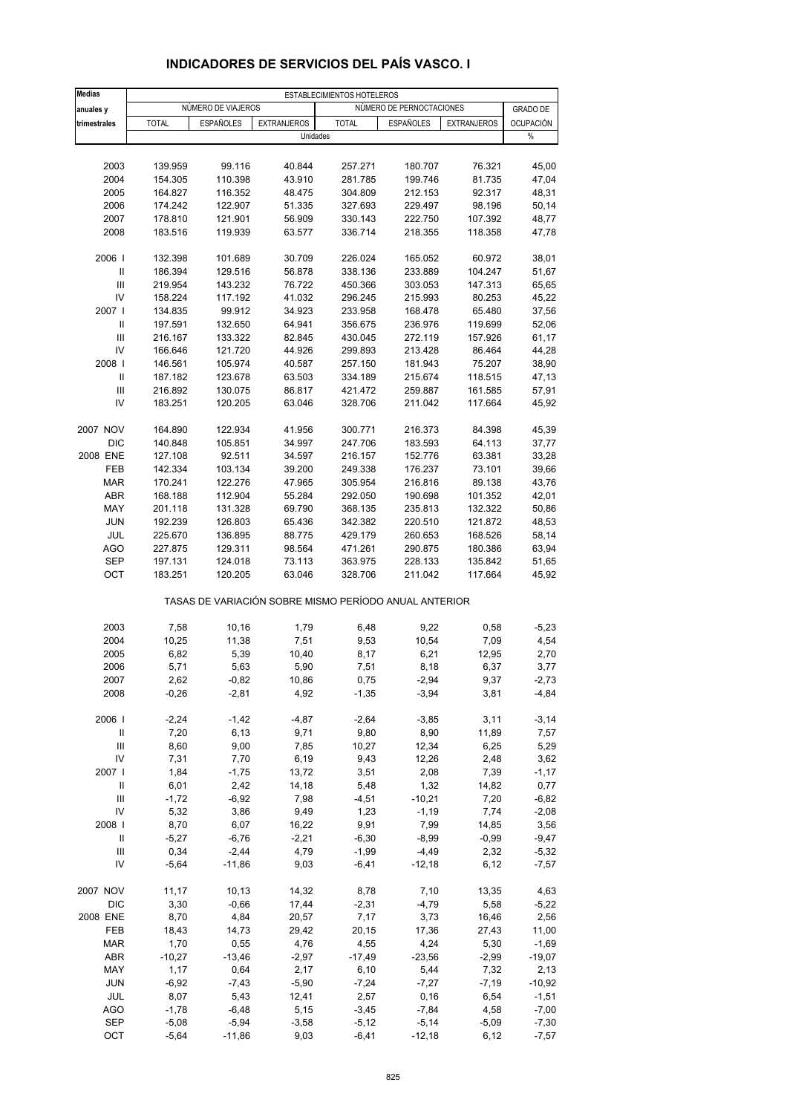| <b>Medias</b>              | ESTABLECIMIENTOS HOTELEROS |                    |                                                       |              |                          |                    |                  |  |
|----------------------------|----------------------------|--------------------|-------------------------------------------------------|--------------|--------------------------|--------------------|------------------|--|
| anuales y                  |                            | NUMERO DE VIAJEROS |                                                       |              | NÚMERO DE PERNOCTACIONES |                    | <b>GRADO DE</b>  |  |
| trimestrales               | <b>TOTAL</b>               | <b>ESPAÑOLES</b>   | <b>EXTRANJEROS</b>                                    | <b>TOTAL</b> | <b>ESPAÑOLES</b>         | <b>EXTRANJEROS</b> | <b>OCUPACIÓN</b> |  |
|                            |                            |                    | Unidades                                              |              |                          |                    | $\%$             |  |
|                            |                            |                    |                                                       |              |                          |                    |                  |  |
| 2003                       | 139.959                    | 99.116             | 40.844                                                | 257.271      | 180.707                  | 76.321             | 45,00            |  |
| 2004                       | 154.305                    | 110.398            | 43.910                                                | 281.785      | 199.746                  | 81.735             | 47,04            |  |
| 2005                       | 164.827                    | 116.352            | 48.475                                                | 304.809      | 212.153                  | 92.317             | 48,31            |  |
| 2006                       | 174.242                    | 122.907            | 51.335                                                | 327.693      | 229.497                  | 98.196             | 50,14            |  |
| 2007                       | 178.810                    | 121.901            | 56.909                                                | 330.143      | 222.750                  | 107.392            | 48,77            |  |
| 2008                       | 183.516                    | 119.939            | 63.577                                                | 336.714      | 218.355                  | 118.358            | 47,78            |  |
|                            |                            |                    |                                                       |              |                          |                    |                  |  |
| 2006                       | 132.398                    | 101.689            | 30.709                                                | 226.024      | 165.052                  | 60.972             | 38,01            |  |
| Ш                          | 186.394                    | 129.516            | 56.878                                                | 338.136      | 233.889                  | 104.247            | 51,67            |  |
| Ш                          | 219.954                    | 143.232            | 76.722                                                | 450.366      | 303.053                  | 147.313            | 65,65            |  |
| IV                         | 158.224                    | 117.192            | 41.032                                                | 296.245      | 215.993                  | 80.253             | 45,22            |  |
| 2007 l                     | 134.835                    | 99.912             | 34.923                                                | 233.958      | 168.478                  | 65.480             | 37,56            |  |
| $\mathbf{I}$               | 197.591                    | 132.650            | 64.941                                                | 356.675      | 236.976                  | 119.699            | 52,06            |  |
| III                        | 216.167                    | 133.322            | 82.845                                                | 430.045      | 272.119                  | 157.926            | 61,17            |  |
| IV                         | 166.646                    | 121.720            | 44.926                                                | 299.893      | 213.428                  | 86.464             | 44,28            |  |
| 2008                       | 146.561                    | 105.974            | 40.587                                                | 257.150      | 181.943                  | 75.207             | 38,90            |  |
| $\ensuremath{\mathsf{II}}$ | 187.182                    | 123.678            | 63.503                                                | 334.189      | 215.674                  | 118.515            | 47,13            |  |
| III                        | 216.892                    | 130.075            | 86.817                                                | 421.472      | 259.887                  | 161.585            | 57,91            |  |
| IV                         | 183.251                    | 120.205            | 63.046                                                | 328.706      | 211.042                  | 117.664            | 45,92            |  |
| 2007 NOV                   | 164.890                    | 122.934            | 41.956                                                | 300.771      | 216.373                  | 84.398             | 45,39            |  |
| <b>DIC</b>                 | 140.848                    | 105.851            | 34.997                                                | 247.706      | 183.593                  | 64.113             | 37,77            |  |
| 2008 ENE                   | 127.108                    | 92.511             | 34.597                                                | 216.157      | 152.776                  | 63.381             | 33,28            |  |
| FEB                        | 142.334                    | 103.134            | 39.200                                                | 249.338      | 176.237                  | 73.101             | 39,66            |  |
| <b>MAR</b>                 | 170.241                    | 122.276            | 47.965                                                | 305.954      | 216.816                  | 89.138             | 43,76            |  |
| ABR                        | 168.188                    | 112.904            | 55.284                                                | 292.050      | 190.698                  | 101.352            | 42,01            |  |
| MAY                        | 201.118                    | 131.328            | 69.790                                                | 368.135      | 235.813                  | 132.322            | 50,86            |  |
| <b>JUN</b>                 | 192.239                    | 126.803            | 65.436                                                | 342.382      | 220.510                  | 121.872            | 48,53            |  |
| JUL                        | 225.670                    | 136.895            | 88.775                                                | 429.179      | 260.653                  | 168.526            | 58,14            |  |
| <b>AGO</b>                 | 227.875                    | 129.311            | 98.564                                                | 471.261      | 290.875                  | 180.386            | 63,94            |  |
| <b>SEP</b>                 | 197.131                    | 124.018            | 73.113                                                | 363.975      | 228.133                  | 135.842            | 51,65            |  |
| OCT                        | 183.251                    | 120.205            | 63.046                                                | 328.706      | 211.042                  | 117.664            | 45,92            |  |
|                            |                            |                    | TASAS DE VARIACIÓN SOBRE MISMO PERÍODO ANUAL ANTERIOR |              |                          |                    |                  |  |
|                            |                            |                    |                                                       |              |                          |                    |                  |  |
| 2003<br>2004               | 7,58<br>10,25              | 10,16<br>11,38     | 1,79<br>7,51                                          | 6,48<br>9,53 | 9,22<br>10,54            | 0,58<br>7,09       | $-5,23$<br>4,54  |  |
| 2005                       | 6,82                       |                    |                                                       | 8,17         | 6,21                     | 12,95              | 2,70             |  |
| 2006                       | 5,71                       | 5,39<br>5,63       | 10,40<br>5,90                                         | 7,51         | 8,18                     | 6,37               | 3,77             |  |
| 2007                       |                            | $-0,82$            | 10,86                                                 | 0,75         | $-2,94$                  | 9,37               | $-2,73$          |  |
| 2008                       | 2,62<br>$-0,26$            | $-2,81$            | 4,92                                                  | $-1,35$      | $-3,94$                  | 3,81               | $-4,84$          |  |
|                            |                            |                    |                                                       |              |                          |                    |                  |  |
| 2006                       | $-2,24$                    | $-1,42$            | $-4,87$                                               | $-2,64$      | $-3,85$                  | 3,11               | $-3,14$          |  |
| Ш                          | 7,20                       | 6,13               | 9,71                                                  | 9,80         | 8,90                     | 11,89              | 7,57             |  |
| $\mathsf{III}$             | 8,60                       | 9,00               | 7,85                                                  | 10,27        | 12,34                    | 6,25               | 5,29             |  |
| IV                         | 7,31                       | 7,70               | 6,19                                                  | 9,43         | 12,26                    | 2,48               | 3,62             |  |
| 2007 l                     | 1,84                       | $-1,75$            | 13,72                                                 | 3,51         | 2,08                     | 7,39               | $-1,17$          |  |
| Ш                          | 6,01                       | 2,42               | 14,18                                                 | 5,48         | 1,32                     | 14,82              | 0,77             |  |
| Ш                          | $-1,72$                    | $-6,92$            | 7,98                                                  | $-4,51$      | $-10,21$                 | 7,20               | $-6,82$          |  |
| IV                         | 5,32                       | 3,86               | 9,49                                                  | 1,23         | $-1,19$                  | 7,74               | $-2,08$          |  |
| 2008                       | 8,70                       | 6,07               | 16,22                                                 | 9,91         | 7,99                     | 14,85              | 3,56             |  |
| Ш                          | $-5,27$                    | $-6,76$            | $-2,21$                                               | $-6,30$      | $-8,99$                  | $-0,99$            | $-9,47$          |  |
| Ш                          | 0,34                       | $-2,44$            | 4,79                                                  | $-1,99$      | $-4,49$                  | 2,32               | $-5,32$          |  |
| IV                         | $-5,64$                    | $-11,86$           | 9,03                                                  | $-6,41$      | $-12,18$                 | 6, 12              | $-7,57$          |  |
| 2007 NOV                   | 11,17                      | 10,13              | 14,32                                                 | 8,78         | 7,10                     | 13,35              | 4,63             |  |
| DIC                        | 3,30                       | $-0,66$            | 17,44                                                 | $-2,31$      | $-4,79$                  | 5,58               | $-5,22$          |  |
| 2008 ENE                   | 8,70                       | 4,84               | 20,57                                                 | 7,17         | 3,73                     | 16,46              | 2,56             |  |
| FEB                        | 18,43                      | 14,73              | 29,42                                                 | 20,15        | 17,36                    | 27,43              | 11,00            |  |
| <b>MAR</b>                 | 1,70                       | 0,55               | 4,76                                                  | 4,55         | 4,24                     | 5,30               | $-1,69$          |  |
| ABR                        | $-10,27$                   | $-13,46$           | $-2,97$                                               | $-17,49$     | $-23,56$                 | $-2,99$            | $-19,07$         |  |
| MAY                        | 1,17                       | 0,64               | 2,17                                                  | 6, 10        | 5,44                     | 7,32               | 2,13             |  |
| <b>JUN</b>                 | $-6,92$                    | $-7,43$            | $-5,90$                                               | $-7,24$      | $-7,27$                  | $-7,19$            | $-10,92$         |  |
| JUL                        | 8,07                       | 5,43               | 12,41                                                 | 2,57         | 0, 16                    | 6,54               | $-1,51$          |  |
| <b>AGO</b>                 | $-1,78$                    | $-6,48$            | 5,15                                                  | $-3,45$      | $-7,84$                  | 4,58               | $-7,00$          |  |
| <b>SEP</b>                 | $-5,08$                    | $-5,94$            | $-3,58$                                               | $-5,12$      | $-5,14$                  | $-5,09$            | $-7,30$          |  |
| OCT                        | $-5,64$                    | $-11,86$           | 9,03                                                  | $-6,41$      | $-12,18$                 | 6,12               | $-7,57$          |  |

# **INDICADORES DE SERVICIOS DEL PAÍS VASCO. I**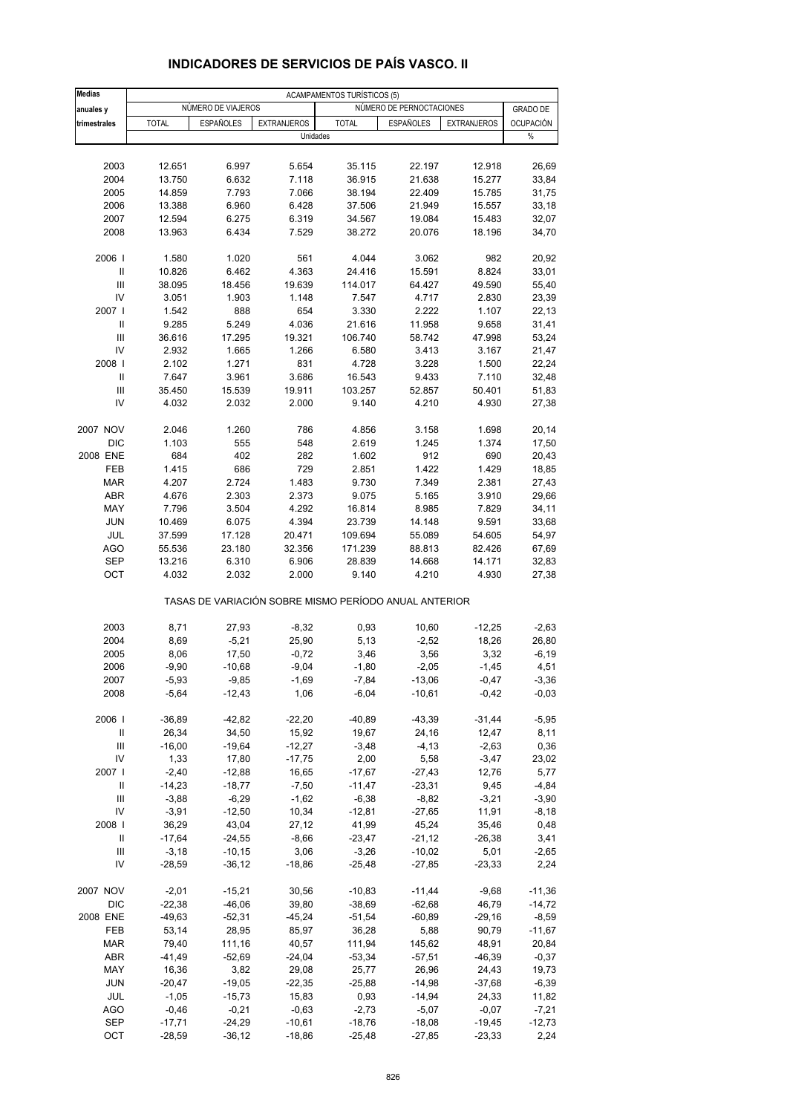| <b>Medias</b>                      | ACAMPAMENTOS TURÍSTICOS (5) |                    |                    |                          |                                                       |                    |                          |  |  |
|------------------------------------|-----------------------------|--------------------|--------------------|--------------------------|-------------------------------------------------------|--------------------|--------------------------|--|--|
| anuales y                          |                             | NÚMERO DE VIAJEROS |                    |                          | NÚMERO DE PERNOCTACIONES                              |                    | <b>GRADO DE</b>          |  |  |
| trimestrales                       | <b>TOTAL</b>                | <b>ESPAÑOLES</b>   | <b>EXTRANJEROS</b> | <b>TOTAL</b><br>Unidades | <b>ESPAÑOLES</b>                                      | <b>EXTRANJEROS</b> | <b>OCUPACIÓN</b><br>$\%$ |  |  |
|                                    |                             |                    |                    |                          |                                                       |                    |                          |  |  |
| 2003                               | 12.651                      | 6.997              | 5.654              | 35.115                   | 22.197                                                | 12.918             | 26,69                    |  |  |
| 2004                               | 13.750                      | 6.632              | 7.118              | 36.915                   | 21.638                                                | 15.277             | 33,84                    |  |  |
| 2005                               | 14.859                      | 7.793              | 7.066              | 38.194                   | 22.409                                                | 15.785             | 31,75                    |  |  |
| 2006                               | 13.388                      | 6.960              | 6.428              | 37.506                   | 21.949                                                | 15.557             | 33,18                    |  |  |
| 2007                               | 12.594                      | 6.275              | 6.319              | 34.567                   | 19.084                                                | 15.483             | 32,07                    |  |  |
| 2008                               | 13.963                      | 6.434              | 7.529              | 38.272                   | 20.076                                                | 18.196             | 34,70                    |  |  |
| 2006                               | 1.580                       | 1.020              | 561                | 4.044                    | 3.062                                                 | 982                | 20,92                    |  |  |
| Ш                                  | 10.826                      | 6.462              | 4.363              | 24.416                   | 15.591                                                | 8.824              | 33,01                    |  |  |
| Ш                                  | 38.095                      | 18.456             | 19.639             | 114.017                  | 64.427                                                | 49.590             | 55,40                    |  |  |
| IV                                 | 3.051                       | 1.903              | 1.148              | 7.547                    | 4.717                                                 | 2.830              | 23,39                    |  |  |
| 2007 l                             | 1.542                       | 888                | 654                | 3.330                    | 2.222                                                 | 1.107              | 22,13                    |  |  |
| $\mathbf{I}$                       | 9.285                       | 5.249              | 4.036              | 21.616                   | 11.958                                                | 9.658              | 31,41                    |  |  |
| Ш                                  | 36.616                      | 17.295             | 19.321             | 106.740                  | 58.742                                                | 47.998             | 53,24                    |  |  |
| IV                                 | 2.932                       | 1.665              | 1.266              | 6.580                    | 3.413                                                 | 3.167              | 21,47                    |  |  |
| 2008                               | 2.102                       | 1.271              | 831                | 4.728                    | 3.228                                                 | 1.500              | 22,24                    |  |  |
| $\mathbf{I}$                       | 7.647                       | 3.961              | 3.686              | 16.543                   | 9.433                                                 | 7.110              | 32,48                    |  |  |
| Ш                                  | 35.450                      | 15.539             | 19.911             | 103.257                  | 52.857                                                | 50.401             | 51,83                    |  |  |
| IV                                 | 4.032                       | 2.032              | 2.000              | 9.140                    | 4.210                                                 | 4.930              | 27,38                    |  |  |
| 2007 NOV                           | 2.046                       | 1.260              | 786                | 4.856                    | 3.158                                                 | 1.698              | 20,14                    |  |  |
| DIC                                | 1.103                       | 555                | 548                | 2.619                    | 1.245                                                 | 1.374              | 17,50                    |  |  |
| 2008 ENE                           | 684                         | 402                | 282                | 1.602                    | 912                                                   | 690                | 20,43                    |  |  |
| FEB                                | 1.415                       | 686                | 729                | 2.851                    | 1.422                                                 | 1.429              | 18,85                    |  |  |
| <b>MAR</b>                         | 4.207                       | 2.724              | 1.483              | 9.730                    | 7.349                                                 | 2.381              | 27,43                    |  |  |
| ABR                                | 4.676                       | 2.303              | 2.373              | 9.075                    | 5.165                                                 | 3.910              | 29,66                    |  |  |
| MAY                                | 7.796                       | 3.504              | 4.292              | 16.814                   | 8.985                                                 | 7.829              | 34,11                    |  |  |
| <b>JUN</b>                         | 10.469                      | 6.075              | 4.394              | 23.739                   | 14.148                                                | 9.591              | 33,68                    |  |  |
| JUL                                | 37.599                      | 17.128             | 20.471             | 109.694                  | 55.089                                                | 54.605             | 54,97                    |  |  |
| <b>AGO</b>                         | 55.536                      | 23.180             | 32.356             | 171.239                  | 88.813                                                | 82.426             | 67,69                    |  |  |
| SEP                                | 13.216                      | 6.310              | 6.906              | 28.839                   | 14.668                                                | 14.171             | 32,83                    |  |  |
| OCT                                | 4.032                       | 2.032              | 2.000              | 9.140                    | 4.210                                                 | 4.930              | 27,38                    |  |  |
|                                    |                             |                    |                    |                          | TASAS DE VARIACIÓN SOBRE MISMO PERÍODO ANUAL ANTERIOR |                    |                          |  |  |
| 2003                               | 8,71                        | 27,93              | $-8,32$            | 0,93                     | 10,60                                                 | $-12,25$           | $-2,63$                  |  |  |
| 2004                               | 8,69                        | $-5,21$            | 25,90              | 5,13                     | $-2,52$                                               | 18,26              | 26,80                    |  |  |
| 2005                               | 8,06                        | 17,50              | $-0,72$            | 3,46                     | 3,56                                                  | 3,32               | $-6,19$                  |  |  |
| 2006                               | $-9,90$                     | $-10,68$           | $-9,04$            | $-1,80$                  | $-2,05$                                               | $-1,45$            | 4,51                     |  |  |
| 2007                               | $-5,93$                     | $-9,85$            | $-1,69$            | $-7,84$                  | $-13,06$                                              | $-0,47$            | $-3,36$                  |  |  |
| 2008                               | $-5,64$                     | $-12,43$           | 1,06               | $-6,04$                  | $-10,61$                                              | $-0,42$            | $-0,03$                  |  |  |
| 2006                               | $-36,89$                    | $-42,82$           | $-22,20$           | $-40,89$                 | $-43,39$                                              | $-31,44$           | $-5,95$                  |  |  |
| $\ensuremath{\mathsf{II}}$         | 26,34                       | 34,50              | 15,92              | 19,67                    | 24,16                                                 | 12,47              | 8,11                     |  |  |
| $\ensuremath{\mathsf{III}}\xspace$ | $-16,00$                    | $-19,64$           | $-12,27$           | $-3,48$                  | $-4, 13$                                              | $-2,63$            | 0,36                     |  |  |
| IV                                 | 1,33                        | 17,80              | $-17,75$           | 2,00                     | 5,58                                                  | $-3,47$            | 23,02                    |  |  |
| 2007                               | $-2,40$                     | $-12,88$           | 16,65              | $-17,67$                 | $-27,43$                                              | 12,76              | 5,77                     |  |  |
| Ш                                  | $-14,23$                    | $-18,77$           | $-7,50$            | $-11,47$                 | $-23,31$                                              | 9,45               | $-4,84$                  |  |  |
| Ш                                  | $-3,88$                     | $-6,29$            | $-1,62$            | $-6,38$                  | $-8,82$                                               | $-3,21$            | $-3,90$                  |  |  |
| IV                                 | $-3,91$                     | $-12,50$           | 10,34              | $-12,81$                 | $-27,65$                                              | 11,91              | $-8,18$                  |  |  |
| 2008                               | 36,29                       | 43,04              | 27,12              | 41,99                    | 45,24                                                 | 35,46              | 0,48                     |  |  |
| Ш                                  | $-17,64$                    | $-24,55$           | $-8,66$            | $-23,47$                 | $-21,12$                                              | $-26,38$           | 3,41                     |  |  |
| $\ensuremath{\mathsf{III}}\xspace$ | $-3,18$                     | $-10,15$           | 3,06               | $-3,26$                  | $-10,02$                                              | 5,01               | $-2,65$                  |  |  |
| IV                                 | $-28,59$                    | $-36,12$           | $-18,86$           | $-25,48$                 | $-27,85$                                              | $-23,33$           | 2,24                     |  |  |
| 2007 NOV                           | $-2,01$                     | $-15,21$           | 30,56              | $-10,83$                 | $-11,44$                                              | $-9,68$            | $-11,36$                 |  |  |
| DIC                                | $-22,38$                    | $-46,06$           | 39,80              | $-38,69$                 | $-62,68$                                              | 46,79              | $-14,72$                 |  |  |
| 2008 ENE                           | $-49,63$                    | $-52,31$           | $-45,24$           | $-51,54$                 | $-60,89$                                              | $-29,16$           | $-8,59$                  |  |  |
| FEB                                | 53,14                       | 28,95              | 85,97              | 36,28                    | 5,88                                                  | 90,79              | $-11,67$                 |  |  |
| <b>MAR</b>                         | 79,40                       | 111,16             | 40,57              | 111,94                   | 145,62                                                | 48,91              | 20,84                    |  |  |
| ABR                                | $-41,49$                    | $-52,69$           | $-24,04$           | $-53,34$                 | $-57,51$                                              | $-46,39$           | $-0,37$                  |  |  |
| MAY                                | 16,36                       | 3,82               | 29,08              | 25,77                    | 26,96                                                 | 24,43              | 19,73                    |  |  |
| <b>JUN</b>                         | $-20,47$                    | $-19,05$           | $-22,35$           | $-25,88$                 | $-14,98$                                              | $-37,68$           | $-6,39$                  |  |  |
| JUL                                | $-1,05$                     | $-15,73$           | 15,83              | 0,93                     | $-14,94$                                              | 24,33              | 11,82                    |  |  |
| <b>AGO</b>                         | $-0,46$                     | $-0,21$            | $-0,63$            | $-2,73$                  | $-5,07$                                               | $-0,07$            | $-7,21$                  |  |  |
| SEP                                | $-17,71$                    | $-24,29$           | $-10,61$           | $-18,76$                 | $-18,08$                                              | $-19,45$           | $-12,73$                 |  |  |
| OCT                                | $-28,59$                    | $-36,12$           | $-18,86$           | $-25,48$                 | $-27,85$                                              | $-23,33$           | 2,24                     |  |  |

### **INDICADORES DE SERVICIOS DE PAÍS VASCO. II**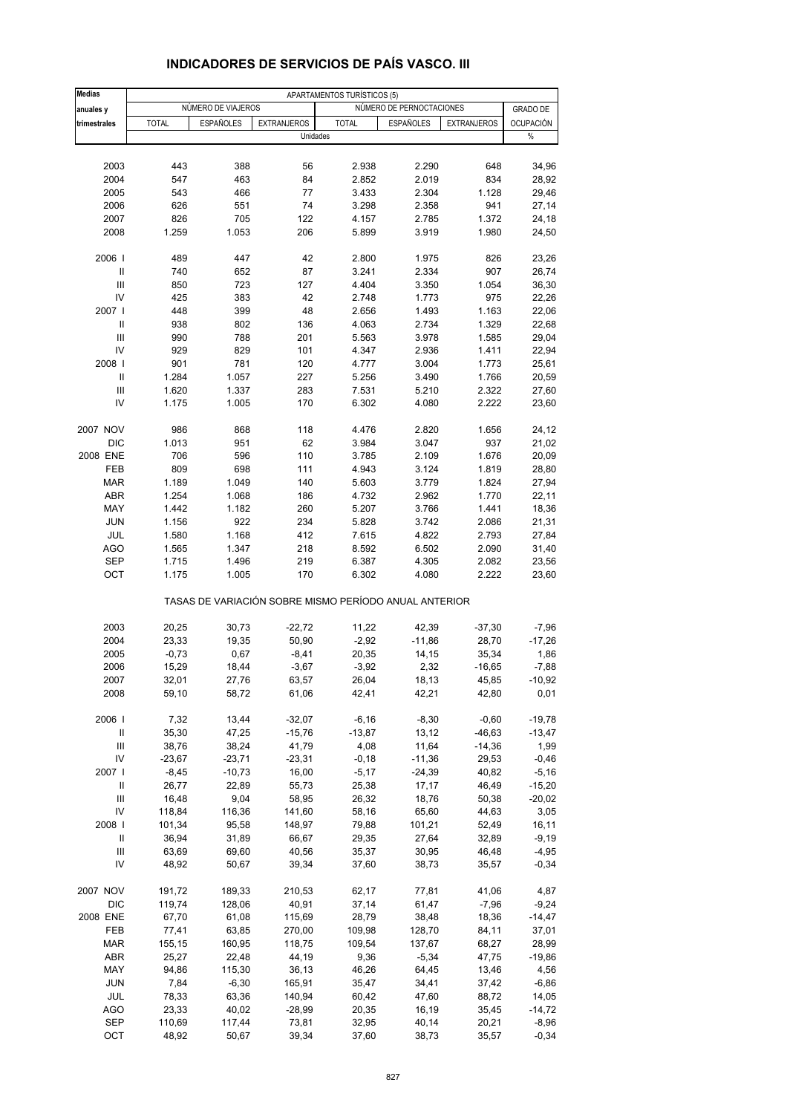| NÚMERO DE VIAJEROS<br>NÚMERO DE PERNOCTACIONES<br><b>GRADO DE</b><br>anuales y<br><b>TOTAL</b><br><b>ESPAÑOLES</b><br><b>EXTRANJEROS</b><br><b>TOTAL</b><br><b>ESPAÑOLES</b><br><b>EXTRANJEROS</b><br>trimestrales<br>$\%$<br>Unidades<br>2.290<br>2003<br>443<br>388<br>56<br>2.938<br>648<br>2004<br>547<br>463<br>84<br>2.852<br>2.019<br>834<br>2005<br>543<br>466<br>77<br>2.304<br>1.128<br>3.433<br>2006<br>626<br>551<br>74<br>3.298<br>2.358<br>941<br>27,14<br>2007<br>826<br>705<br>122<br>4.157<br>2.785<br>1.372<br>24,18<br>2008<br>1.259<br>1.053<br>206<br>3.919<br>1.980<br>5.899<br>24,50<br>2006  <br>489<br>447<br>42<br>2.800<br>1.975<br>826<br>907<br>Ш<br>740<br>652<br>87<br>3.241<br>2.334<br>Ш<br>850<br>723<br>127<br>4.404<br>3.350<br>1.054<br>IV<br>425<br>383<br>42<br>1.773<br>975<br>2.748<br>2007 l<br>399<br>448<br>48<br>2.656<br>1.493<br>1.163<br>Ш<br>938<br>802<br>136<br>4.063<br>2.734<br>1.329<br>Ш<br>990<br>788<br>201<br>3.978<br>1.585<br>5.563<br>IV<br>929<br>829<br>101<br>4.347<br>2.936<br>1.411<br>2008  <br>901<br>781<br>120<br>4.777<br>3.004<br>1.773<br>25,61<br>Ш<br>1.284<br>1.057<br>227<br>5.256<br>3.490<br>1.766<br>20,59<br>Ш<br>1.620<br>1.337<br>283<br>7.531<br>5.210<br>2.322<br>27,60<br>IV<br>1.175<br>1.005<br>170<br>6.302<br>2.222<br>4.080<br>23,60<br>2007 NOV<br>986<br>868<br>118<br>4.476<br>2.820<br>24,12<br>1.656<br><b>DIC</b><br>1.013<br>951<br>62<br>3.984<br>3.047<br>937<br>21,02<br>2008 ENE<br>706<br>596<br>110<br>3.785<br>2.109<br>1.676<br>20,09<br>FEB<br>809<br>698<br>111<br>4.943<br>3.124<br>1.819<br>28,80<br><b>MAR</b><br>1.189<br>1.049<br>140<br>5.603<br>3.779<br>1.824<br>ABR<br>1.254<br>1.068<br>186<br>2.962<br>1.770<br>4.732<br>MAY<br>1.442<br>1.182<br>260<br>5.207<br>3.766<br>1.441<br>922<br><b>JUN</b><br>1.156<br>234<br>5.828<br>3.742<br>2.086<br>JUL<br>1.580<br>1.168<br>412<br>7.615<br>4.822<br>2.793<br><b>AGO</b><br>1.565<br>1.347<br>218<br>8.592<br>6.502<br>2.090<br><b>SEP</b><br>1.715<br>1.496<br>219<br>6.387<br>4.305<br>2.082<br>OCT<br>1.175<br>1.005<br>170<br>6.302<br>4.080<br>2.222<br>TASAS DE VARIACIÓN SOBRE MISMO PERÍODO ANUAL ANTERIOR<br>2003<br>20,25<br>$-7,96$<br>30,73<br>$-22,72$<br>11,22<br>42,39<br>$-37,30$<br>2004<br>23,33<br>19,35<br>50,90<br>$-2,92$<br>$-11,86$<br>28,70<br>$-17,26$<br>2005<br>$-0,73$<br>35,34<br>1,86<br>0,67<br>$-8,41$<br>20,35<br>14,15<br>2006<br>15,29<br>$-7,88$<br>18,44<br>$-3,67$<br>$-3,92$<br>2,32<br>$-16,65$<br>2007<br>32,01<br>27,76<br>63,57<br>26,04<br>18,13<br>45,85<br>$-10,92$<br>2008<br>59,10<br>58,72<br>61,06<br>42,41<br>42,21<br>42,80<br>2006  <br>7,32<br>13,44<br>$-32,07$<br>$-6, 16$<br>$-0,60$<br>$-8,30$<br>$\sf II$<br>35,30<br>47,25<br>$-15,76$<br>$-13,87$<br>13,12<br>$-46,63$<br>$\ensuremath{\mathsf{III}}\xspace$<br>38,76<br>38,24<br>41,79<br>4,08<br>11,64<br>$-14,36$<br>IV<br>$-23,67$<br>$-23,71$<br>$-23,31$<br>$-0,18$<br>$-11,36$<br>29,53<br>2007 l<br>$-8,45$<br>$-10,73$<br>$-5,17$<br>40,82<br>$-5,16$<br>16,00<br>$-24,39$<br>Ш<br>26,77<br>22,89<br>55,73<br>25,38<br>17,17<br>46,49<br>$-15,20$<br>Ш<br>16,48<br>9,04<br>58,95<br>26,32<br>18,76<br>50,38<br>$-20,02$<br>IV<br>118,84<br>116,36<br>141,60<br>58,16<br>65,60<br>44,63<br>3,05<br>2008  <br>101,34<br>95,58<br>148,97<br>79,88<br>101,21<br>52,49<br>16,11<br>Ш<br>36,94<br>31,89<br>29,35<br>27,64<br>$-9,19$<br>66,67<br>32,89<br>$\ensuremath{\mathsf{III}}\xspace$<br>63,69<br>$-4,95$<br>69,60<br>40,56<br>35,37<br>30,95<br>46,48<br>IV<br>48,92<br>39,34<br>37,60<br>35,57<br>$-0,34$<br>50,67<br>38,73<br>2007 NOV<br>191,72<br>189,33<br>210,53<br>62,17<br>77,81<br>41,06<br><b>DIC</b><br>119,74<br>128,06<br>40,91<br>37,14<br>61,47<br>$-7,96$<br>2008 ENE<br>67,70<br>61,08<br>115,69<br>28,79<br>38,48<br>18,36<br>FEB<br>77,41<br>128,70<br>37,01<br>63,85<br>270,00<br>109,98<br>84,11<br><b>MAR</b><br>155,15<br>160,95<br>109,54<br>137,67<br>68,27<br>28,99<br>118,75<br>ABR<br>25,27<br>22,48<br>44,19<br>9,36<br>$-5,34$<br>47,75<br>$-19,86$<br>MAY<br>94,86<br>115,30<br>36,13<br>46,26<br>64,45<br>13,46<br><b>JUN</b><br>7,84<br>$-6,30$<br>165,91<br>35,47<br>34,41<br>37,42<br>$-6,86$<br>JUL<br>78,33<br>63,36<br>47,60<br>140,94<br>60,42<br>88,72<br>14,05<br><b>AGO</b><br>23,33<br>40,02<br>$-14,72$<br>$-28,99$<br>20,35<br>16,19<br>35,45<br>SEP<br>110,69<br>117,44<br>32,95<br>$-8,96$<br>73,81<br>40,14<br>20,21 | <b>Medias</b> |       |       |       | APARTAMENTOS TURÍSTICOS (5) |       |       |                  |
|-----------------------------------------------------------------------------------------------------------------------------------------------------------------------------------------------------------------------------------------------------------------------------------------------------------------------------------------------------------------------------------------------------------------------------------------------------------------------------------------------------------------------------------------------------------------------------------------------------------------------------------------------------------------------------------------------------------------------------------------------------------------------------------------------------------------------------------------------------------------------------------------------------------------------------------------------------------------------------------------------------------------------------------------------------------------------------------------------------------------------------------------------------------------------------------------------------------------------------------------------------------------------------------------------------------------------------------------------------------------------------------------------------------------------------------------------------------------------------------------------------------------------------------------------------------------------------------------------------------------------------------------------------------------------------------------------------------------------------------------------------------------------------------------------------------------------------------------------------------------------------------------------------------------------------------------------------------------------------------------------------------------------------------------------------------------------------------------------------------------------------------------------------------------------------------------------------------------------------------------------------------------------------------------------------------------------------------------------------------------------------------------------------------------------------------------------------------------------------------------------------------------------------------------------------------------------------------------------------------------------------------------------------------------------------------------------------------------------------------------------------------------------------------------------------------------------------------------------------------------------------------------------------------------------------------------------------------------------------------------------------------------------------------------------------------------------------------------------------------------------------------------------------------------------------------------------------------------------------------------------------------------------------------------------------------------------------------------------------------------------------------------------------------------------------------------------------------------------------------------------------------------------------------------------------------------------------------------------------------------------------------------------------------------------------------------------------------------------------------------------------------------------------------------------------------------------------------------------------------------------------------------------------------------------------------------------------------------------------------------------------------------------------------------------------------------------------------------------------------------------------------------------------------------------------------------------------------------------------------------------------------------------------------------------------------------------------------------------------------------------------------------------------------------------------------------------------------------------|---------------|-------|-------|-------|-----------------------------|-------|-------|------------------|
|                                                                                                                                                                                                                                                                                                                                                                                                                                                                                                                                                                                                                                                                                                                                                                                                                                                                                                                                                                                                                                                                                                                                                                                                                                                                                                                                                                                                                                                                                                                                                                                                                                                                                                                                                                                                                                                                                                                                                                                                                                                                                                                                                                                                                                                                                                                                                                                                                                                                                                                                                                                                                                                                                                                                                                                                                                                                                                                                                                                                                                                                                                                                                                                                                                                                                                                                                                                                                                                                                                                                                                                                                                                                                                                                                                                                                                                                                                                                                                                                                                                                                                                                                                                                                                                                                                                                                                                                                                                                       |               |       |       |       |                             |       |       |                  |
|                                                                                                                                                                                                                                                                                                                                                                                                                                                                                                                                                                                                                                                                                                                                                                                                                                                                                                                                                                                                                                                                                                                                                                                                                                                                                                                                                                                                                                                                                                                                                                                                                                                                                                                                                                                                                                                                                                                                                                                                                                                                                                                                                                                                                                                                                                                                                                                                                                                                                                                                                                                                                                                                                                                                                                                                                                                                                                                                                                                                                                                                                                                                                                                                                                                                                                                                                                                                                                                                                                                                                                                                                                                                                                                                                                                                                                                                                                                                                                                                                                                                                                                                                                                                                                                                                                                                                                                                                                                                       |               |       |       |       |                             |       |       | <b>OCUPACIÓN</b> |
|                                                                                                                                                                                                                                                                                                                                                                                                                                                                                                                                                                                                                                                                                                                                                                                                                                                                                                                                                                                                                                                                                                                                                                                                                                                                                                                                                                                                                                                                                                                                                                                                                                                                                                                                                                                                                                                                                                                                                                                                                                                                                                                                                                                                                                                                                                                                                                                                                                                                                                                                                                                                                                                                                                                                                                                                                                                                                                                                                                                                                                                                                                                                                                                                                                                                                                                                                                                                                                                                                                                                                                                                                                                                                                                                                                                                                                                                                                                                                                                                                                                                                                                                                                                                                                                                                                                                                                                                                                                                       |               |       |       |       |                             |       |       |                  |
|                                                                                                                                                                                                                                                                                                                                                                                                                                                                                                                                                                                                                                                                                                                                                                                                                                                                                                                                                                                                                                                                                                                                                                                                                                                                                                                                                                                                                                                                                                                                                                                                                                                                                                                                                                                                                                                                                                                                                                                                                                                                                                                                                                                                                                                                                                                                                                                                                                                                                                                                                                                                                                                                                                                                                                                                                                                                                                                                                                                                                                                                                                                                                                                                                                                                                                                                                                                                                                                                                                                                                                                                                                                                                                                                                                                                                                                                                                                                                                                                                                                                                                                                                                                                                                                                                                                                                                                                                                                                       |               |       |       |       |                             |       |       |                  |
|                                                                                                                                                                                                                                                                                                                                                                                                                                                                                                                                                                                                                                                                                                                                                                                                                                                                                                                                                                                                                                                                                                                                                                                                                                                                                                                                                                                                                                                                                                                                                                                                                                                                                                                                                                                                                                                                                                                                                                                                                                                                                                                                                                                                                                                                                                                                                                                                                                                                                                                                                                                                                                                                                                                                                                                                                                                                                                                                                                                                                                                                                                                                                                                                                                                                                                                                                                                                                                                                                                                                                                                                                                                                                                                                                                                                                                                                                                                                                                                                                                                                                                                                                                                                                                                                                                                                                                                                                                                                       |               |       |       |       |                             |       |       | 34,96            |
|                                                                                                                                                                                                                                                                                                                                                                                                                                                                                                                                                                                                                                                                                                                                                                                                                                                                                                                                                                                                                                                                                                                                                                                                                                                                                                                                                                                                                                                                                                                                                                                                                                                                                                                                                                                                                                                                                                                                                                                                                                                                                                                                                                                                                                                                                                                                                                                                                                                                                                                                                                                                                                                                                                                                                                                                                                                                                                                                                                                                                                                                                                                                                                                                                                                                                                                                                                                                                                                                                                                                                                                                                                                                                                                                                                                                                                                                                                                                                                                                                                                                                                                                                                                                                                                                                                                                                                                                                                                                       |               |       |       |       |                             |       |       | 28,92            |
|                                                                                                                                                                                                                                                                                                                                                                                                                                                                                                                                                                                                                                                                                                                                                                                                                                                                                                                                                                                                                                                                                                                                                                                                                                                                                                                                                                                                                                                                                                                                                                                                                                                                                                                                                                                                                                                                                                                                                                                                                                                                                                                                                                                                                                                                                                                                                                                                                                                                                                                                                                                                                                                                                                                                                                                                                                                                                                                                                                                                                                                                                                                                                                                                                                                                                                                                                                                                                                                                                                                                                                                                                                                                                                                                                                                                                                                                                                                                                                                                                                                                                                                                                                                                                                                                                                                                                                                                                                                                       |               |       |       |       |                             |       |       | 29,46            |
|                                                                                                                                                                                                                                                                                                                                                                                                                                                                                                                                                                                                                                                                                                                                                                                                                                                                                                                                                                                                                                                                                                                                                                                                                                                                                                                                                                                                                                                                                                                                                                                                                                                                                                                                                                                                                                                                                                                                                                                                                                                                                                                                                                                                                                                                                                                                                                                                                                                                                                                                                                                                                                                                                                                                                                                                                                                                                                                                                                                                                                                                                                                                                                                                                                                                                                                                                                                                                                                                                                                                                                                                                                                                                                                                                                                                                                                                                                                                                                                                                                                                                                                                                                                                                                                                                                                                                                                                                                                                       |               |       |       |       |                             |       |       |                  |
|                                                                                                                                                                                                                                                                                                                                                                                                                                                                                                                                                                                                                                                                                                                                                                                                                                                                                                                                                                                                                                                                                                                                                                                                                                                                                                                                                                                                                                                                                                                                                                                                                                                                                                                                                                                                                                                                                                                                                                                                                                                                                                                                                                                                                                                                                                                                                                                                                                                                                                                                                                                                                                                                                                                                                                                                                                                                                                                                                                                                                                                                                                                                                                                                                                                                                                                                                                                                                                                                                                                                                                                                                                                                                                                                                                                                                                                                                                                                                                                                                                                                                                                                                                                                                                                                                                                                                                                                                                                                       |               |       |       |       |                             |       |       |                  |
|                                                                                                                                                                                                                                                                                                                                                                                                                                                                                                                                                                                                                                                                                                                                                                                                                                                                                                                                                                                                                                                                                                                                                                                                                                                                                                                                                                                                                                                                                                                                                                                                                                                                                                                                                                                                                                                                                                                                                                                                                                                                                                                                                                                                                                                                                                                                                                                                                                                                                                                                                                                                                                                                                                                                                                                                                                                                                                                                                                                                                                                                                                                                                                                                                                                                                                                                                                                                                                                                                                                                                                                                                                                                                                                                                                                                                                                                                                                                                                                                                                                                                                                                                                                                                                                                                                                                                                                                                                                                       |               |       |       |       |                             |       |       |                  |
|                                                                                                                                                                                                                                                                                                                                                                                                                                                                                                                                                                                                                                                                                                                                                                                                                                                                                                                                                                                                                                                                                                                                                                                                                                                                                                                                                                                                                                                                                                                                                                                                                                                                                                                                                                                                                                                                                                                                                                                                                                                                                                                                                                                                                                                                                                                                                                                                                                                                                                                                                                                                                                                                                                                                                                                                                                                                                                                                                                                                                                                                                                                                                                                                                                                                                                                                                                                                                                                                                                                                                                                                                                                                                                                                                                                                                                                                                                                                                                                                                                                                                                                                                                                                                                                                                                                                                                                                                                                                       |               |       |       |       |                             |       |       | 23,26            |
|                                                                                                                                                                                                                                                                                                                                                                                                                                                                                                                                                                                                                                                                                                                                                                                                                                                                                                                                                                                                                                                                                                                                                                                                                                                                                                                                                                                                                                                                                                                                                                                                                                                                                                                                                                                                                                                                                                                                                                                                                                                                                                                                                                                                                                                                                                                                                                                                                                                                                                                                                                                                                                                                                                                                                                                                                                                                                                                                                                                                                                                                                                                                                                                                                                                                                                                                                                                                                                                                                                                                                                                                                                                                                                                                                                                                                                                                                                                                                                                                                                                                                                                                                                                                                                                                                                                                                                                                                                                                       |               |       |       |       |                             |       |       | 26,74            |
|                                                                                                                                                                                                                                                                                                                                                                                                                                                                                                                                                                                                                                                                                                                                                                                                                                                                                                                                                                                                                                                                                                                                                                                                                                                                                                                                                                                                                                                                                                                                                                                                                                                                                                                                                                                                                                                                                                                                                                                                                                                                                                                                                                                                                                                                                                                                                                                                                                                                                                                                                                                                                                                                                                                                                                                                                                                                                                                                                                                                                                                                                                                                                                                                                                                                                                                                                                                                                                                                                                                                                                                                                                                                                                                                                                                                                                                                                                                                                                                                                                                                                                                                                                                                                                                                                                                                                                                                                                                                       |               |       |       |       |                             |       |       | 36,30            |
|                                                                                                                                                                                                                                                                                                                                                                                                                                                                                                                                                                                                                                                                                                                                                                                                                                                                                                                                                                                                                                                                                                                                                                                                                                                                                                                                                                                                                                                                                                                                                                                                                                                                                                                                                                                                                                                                                                                                                                                                                                                                                                                                                                                                                                                                                                                                                                                                                                                                                                                                                                                                                                                                                                                                                                                                                                                                                                                                                                                                                                                                                                                                                                                                                                                                                                                                                                                                                                                                                                                                                                                                                                                                                                                                                                                                                                                                                                                                                                                                                                                                                                                                                                                                                                                                                                                                                                                                                                                                       |               |       |       |       |                             |       |       | 22,26            |
|                                                                                                                                                                                                                                                                                                                                                                                                                                                                                                                                                                                                                                                                                                                                                                                                                                                                                                                                                                                                                                                                                                                                                                                                                                                                                                                                                                                                                                                                                                                                                                                                                                                                                                                                                                                                                                                                                                                                                                                                                                                                                                                                                                                                                                                                                                                                                                                                                                                                                                                                                                                                                                                                                                                                                                                                                                                                                                                                                                                                                                                                                                                                                                                                                                                                                                                                                                                                                                                                                                                                                                                                                                                                                                                                                                                                                                                                                                                                                                                                                                                                                                                                                                                                                                                                                                                                                                                                                                                                       |               |       |       |       |                             |       |       | 22,06            |
|                                                                                                                                                                                                                                                                                                                                                                                                                                                                                                                                                                                                                                                                                                                                                                                                                                                                                                                                                                                                                                                                                                                                                                                                                                                                                                                                                                                                                                                                                                                                                                                                                                                                                                                                                                                                                                                                                                                                                                                                                                                                                                                                                                                                                                                                                                                                                                                                                                                                                                                                                                                                                                                                                                                                                                                                                                                                                                                                                                                                                                                                                                                                                                                                                                                                                                                                                                                                                                                                                                                                                                                                                                                                                                                                                                                                                                                                                                                                                                                                                                                                                                                                                                                                                                                                                                                                                                                                                                                                       |               |       |       |       |                             |       |       | 22,68            |
|                                                                                                                                                                                                                                                                                                                                                                                                                                                                                                                                                                                                                                                                                                                                                                                                                                                                                                                                                                                                                                                                                                                                                                                                                                                                                                                                                                                                                                                                                                                                                                                                                                                                                                                                                                                                                                                                                                                                                                                                                                                                                                                                                                                                                                                                                                                                                                                                                                                                                                                                                                                                                                                                                                                                                                                                                                                                                                                                                                                                                                                                                                                                                                                                                                                                                                                                                                                                                                                                                                                                                                                                                                                                                                                                                                                                                                                                                                                                                                                                                                                                                                                                                                                                                                                                                                                                                                                                                                                                       |               |       |       |       |                             |       |       | 29,04            |
|                                                                                                                                                                                                                                                                                                                                                                                                                                                                                                                                                                                                                                                                                                                                                                                                                                                                                                                                                                                                                                                                                                                                                                                                                                                                                                                                                                                                                                                                                                                                                                                                                                                                                                                                                                                                                                                                                                                                                                                                                                                                                                                                                                                                                                                                                                                                                                                                                                                                                                                                                                                                                                                                                                                                                                                                                                                                                                                                                                                                                                                                                                                                                                                                                                                                                                                                                                                                                                                                                                                                                                                                                                                                                                                                                                                                                                                                                                                                                                                                                                                                                                                                                                                                                                                                                                                                                                                                                                                                       |               |       |       |       |                             |       |       | 22,94            |
|                                                                                                                                                                                                                                                                                                                                                                                                                                                                                                                                                                                                                                                                                                                                                                                                                                                                                                                                                                                                                                                                                                                                                                                                                                                                                                                                                                                                                                                                                                                                                                                                                                                                                                                                                                                                                                                                                                                                                                                                                                                                                                                                                                                                                                                                                                                                                                                                                                                                                                                                                                                                                                                                                                                                                                                                                                                                                                                                                                                                                                                                                                                                                                                                                                                                                                                                                                                                                                                                                                                                                                                                                                                                                                                                                                                                                                                                                                                                                                                                                                                                                                                                                                                                                                                                                                                                                                                                                                                                       |               |       |       |       |                             |       |       |                  |
|                                                                                                                                                                                                                                                                                                                                                                                                                                                                                                                                                                                                                                                                                                                                                                                                                                                                                                                                                                                                                                                                                                                                                                                                                                                                                                                                                                                                                                                                                                                                                                                                                                                                                                                                                                                                                                                                                                                                                                                                                                                                                                                                                                                                                                                                                                                                                                                                                                                                                                                                                                                                                                                                                                                                                                                                                                                                                                                                                                                                                                                                                                                                                                                                                                                                                                                                                                                                                                                                                                                                                                                                                                                                                                                                                                                                                                                                                                                                                                                                                                                                                                                                                                                                                                                                                                                                                                                                                                                                       |               |       |       |       |                             |       |       |                  |
|                                                                                                                                                                                                                                                                                                                                                                                                                                                                                                                                                                                                                                                                                                                                                                                                                                                                                                                                                                                                                                                                                                                                                                                                                                                                                                                                                                                                                                                                                                                                                                                                                                                                                                                                                                                                                                                                                                                                                                                                                                                                                                                                                                                                                                                                                                                                                                                                                                                                                                                                                                                                                                                                                                                                                                                                                                                                                                                                                                                                                                                                                                                                                                                                                                                                                                                                                                                                                                                                                                                                                                                                                                                                                                                                                                                                                                                                                                                                                                                                                                                                                                                                                                                                                                                                                                                                                                                                                                                                       |               |       |       |       |                             |       |       |                  |
|                                                                                                                                                                                                                                                                                                                                                                                                                                                                                                                                                                                                                                                                                                                                                                                                                                                                                                                                                                                                                                                                                                                                                                                                                                                                                                                                                                                                                                                                                                                                                                                                                                                                                                                                                                                                                                                                                                                                                                                                                                                                                                                                                                                                                                                                                                                                                                                                                                                                                                                                                                                                                                                                                                                                                                                                                                                                                                                                                                                                                                                                                                                                                                                                                                                                                                                                                                                                                                                                                                                                                                                                                                                                                                                                                                                                                                                                                                                                                                                                                                                                                                                                                                                                                                                                                                                                                                                                                                                                       |               |       |       |       |                             |       |       |                  |
|                                                                                                                                                                                                                                                                                                                                                                                                                                                                                                                                                                                                                                                                                                                                                                                                                                                                                                                                                                                                                                                                                                                                                                                                                                                                                                                                                                                                                                                                                                                                                                                                                                                                                                                                                                                                                                                                                                                                                                                                                                                                                                                                                                                                                                                                                                                                                                                                                                                                                                                                                                                                                                                                                                                                                                                                                                                                                                                                                                                                                                                                                                                                                                                                                                                                                                                                                                                                                                                                                                                                                                                                                                                                                                                                                                                                                                                                                                                                                                                                                                                                                                                                                                                                                                                                                                                                                                                                                                                                       |               |       |       |       |                             |       |       |                  |
|                                                                                                                                                                                                                                                                                                                                                                                                                                                                                                                                                                                                                                                                                                                                                                                                                                                                                                                                                                                                                                                                                                                                                                                                                                                                                                                                                                                                                                                                                                                                                                                                                                                                                                                                                                                                                                                                                                                                                                                                                                                                                                                                                                                                                                                                                                                                                                                                                                                                                                                                                                                                                                                                                                                                                                                                                                                                                                                                                                                                                                                                                                                                                                                                                                                                                                                                                                                                                                                                                                                                                                                                                                                                                                                                                                                                                                                                                                                                                                                                                                                                                                                                                                                                                                                                                                                                                                                                                                                                       |               |       |       |       |                             |       |       |                  |
|                                                                                                                                                                                                                                                                                                                                                                                                                                                                                                                                                                                                                                                                                                                                                                                                                                                                                                                                                                                                                                                                                                                                                                                                                                                                                                                                                                                                                                                                                                                                                                                                                                                                                                                                                                                                                                                                                                                                                                                                                                                                                                                                                                                                                                                                                                                                                                                                                                                                                                                                                                                                                                                                                                                                                                                                                                                                                                                                                                                                                                                                                                                                                                                                                                                                                                                                                                                                                                                                                                                                                                                                                                                                                                                                                                                                                                                                                                                                                                                                                                                                                                                                                                                                                                                                                                                                                                                                                                                                       |               |       |       |       |                             |       |       |                  |
|                                                                                                                                                                                                                                                                                                                                                                                                                                                                                                                                                                                                                                                                                                                                                                                                                                                                                                                                                                                                                                                                                                                                                                                                                                                                                                                                                                                                                                                                                                                                                                                                                                                                                                                                                                                                                                                                                                                                                                                                                                                                                                                                                                                                                                                                                                                                                                                                                                                                                                                                                                                                                                                                                                                                                                                                                                                                                                                                                                                                                                                                                                                                                                                                                                                                                                                                                                                                                                                                                                                                                                                                                                                                                                                                                                                                                                                                                                                                                                                                                                                                                                                                                                                                                                                                                                                                                                                                                                                                       |               |       |       |       |                             |       |       |                  |
|                                                                                                                                                                                                                                                                                                                                                                                                                                                                                                                                                                                                                                                                                                                                                                                                                                                                                                                                                                                                                                                                                                                                                                                                                                                                                                                                                                                                                                                                                                                                                                                                                                                                                                                                                                                                                                                                                                                                                                                                                                                                                                                                                                                                                                                                                                                                                                                                                                                                                                                                                                                                                                                                                                                                                                                                                                                                                                                                                                                                                                                                                                                                                                                                                                                                                                                                                                                                                                                                                                                                                                                                                                                                                                                                                                                                                                                                                                                                                                                                                                                                                                                                                                                                                                                                                                                                                                                                                                                                       |               |       |       |       |                             |       |       | 27,94            |
|                                                                                                                                                                                                                                                                                                                                                                                                                                                                                                                                                                                                                                                                                                                                                                                                                                                                                                                                                                                                                                                                                                                                                                                                                                                                                                                                                                                                                                                                                                                                                                                                                                                                                                                                                                                                                                                                                                                                                                                                                                                                                                                                                                                                                                                                                                                                                                                                                                                                                                                                                                                                                                                                                                                                                                                                                                                                                                                                                                                                                                                                                                                                                                                                                                                                                                                                                                                                                                                                                                                                                                                                                                                                                                                                                                                                                                                                                                                                                                                                                                                                                                                                                                                                                                                                                                                                                                                                                                                                       |               |       |       |       |                             |       |       | 22,11            |
|                                                                                                                                                                                                                                                                                                                                                                                                                                                                                                                                                                                                                                                                                                                                                                                                                                                                                                                                                                                                                                                                                                                                                                                                                                                                                                                                                                                                                                                                                                                                                                                                                                                                                                                                                                                                                                                                                                                                                                                                                                                                                                                                                                                                                                                                                                                                                                                                                                                                                                                                                                                                                                                                                                                                                                                                                                                                                                                                                                                                                                                                                                                                                                                                                                                                                                                                                                                                                                                                                                                                                                                                                                                                                                                                                                                                                                                                                                                                                                                                                                                                                                                                                                                                                                                                                                                                                                                                                                                                       |               |       |       |       |                             |       |       | 18,36            |
|                                                                                                                                                                                                                                                                                                                                                                                                                                                                                                                                                                                                                                                                                                                                                                                                                                                                                                                                                                                                                                                                                                                                                                                                                                                                                                                                                                                                                                                                                                                                                                                                                                                                                                                                                                                                                                                                                                                                                                                                                                                                                                                                                                                                                                                                                                                                                                                                                                                                                                                                                                                                                                                                                                                                                                                                                                                                                                                                                                                                                                                                                                                                                                                                                                                                                                                                                                                                                                                                                                                                                                                                                                                                                                                                                                                                                                                                                                                                                                                                                                                                                                                                                                                                                                                                                                                                                                                                                                                                       |               |       |       |       |                             |       |       | 21,31            |
|                                                                                                                                                                                                                                                                                                                                                                                                                                                                                                                                                                                                                                                                                                                                                                                                                                                                                                                                                                                                                                                                                                                                                                                                                                                                                                                                                                                                                                                                                                                                                                                                                                                                                                                                                                                                                                                                                                                                                                                                                                                                                                                                                                                                                                                                                                                                                                                                                                                                                                                                                                                                                                                                                                                                                                                                                                                                                                                                                                                                                                                                                                                                                                                                                                                                                                                                                                                                                                                                                                                                                                                                                                                                                                                                                                                                                                                                                                                                                                                                                                                                                                                                                                                                                                                                                                                                                                                                                                                                       |               |       |       |       |                             |       |       | 27,84            |
|                                                                                                                                                                                                                                                                                                                                                                                                                                                                                                                                                                                                                                                                                                                                                                                                                                                                                                                                                                                                                                                                                                                                                                                                                                                                                                                                                                                                                                                                                                                                                                                                                                                                                                                                                                                                                                                                                                                                                                                                                                                                                                                                                                                                                                                                                                                                                                                                                                                                                                                                                                                                                                                                                                                                                                                                                                                                                                                                                                                                                                                                                                                                                                                                                                                                                                                                                                                                                                                                                                                                                                                                                                                                                                                                                                                                                                                                                                                                                                                                                                                                                                                                                                                                                                                                                                                                                                                                                                                                       |               |       |       |       |                             |       |       | 31,40            |
|                                                                                                                                                                                                                                                                                                                                                                                                                                                                                                                                                                                                                                                                                                                                                                                                                                                                                                                                                                                                                                                                                                                                                                                                                                                                                                                                                                                                                                                                                                                                                                                                                                                                                                                                                                                                                                                                                                                                                                                                                                                                                                                                                                                                                                                                                                                                                                                                                                                                                                                                                                                                                                                                                                                                                                                                                                                                                                                                                                                                                                                                                                                                                                                                                                                                                                                                                                                                                                                                                                                                                                                                                                                                                                                                                                                                                                                                                                                                                                                                                                                                                                                                                                                                                                                                                                                                                                                                                                                                       |               |       |       |       |                             |       |       | 23,56            |
|                                                                                                                                                                                                                                                                                                                                                                                                                                                                                                                                                                                                                                                                                                                                                                                                                                                                                                                                                                                                                                                                                                                                                                                                                                                                                                                                                                                                                                                                                                                                                                                                                                                                                                                                                                                                                                                                                                                                                                                                                                                                                                                                                                                                                                                                                                                                                                                                                                                                                                                                                                                                                                                                                                                                                                                                                                                                                                                                                                                                                                                                                                                                                                                                                                                                                                                                                                                                                                                                                                                                                                                                                                                                                                                                                                                                                                                                                                                                                                                                                                                                                                                                                                                                                                                                                                                                                                                                                                                                       |               |       |       |       |                             |       |       | 23,60            |
|                                                                                                                                                                                                                                                                                                                                                                                                                                                                                                                                                                                                                                                                                                                                                                                                                                                                                                                                                                                                                                                                                                                                                                                                                                                                                                                                                                                                                                                                                                                                                                                                                                                                                                                                                                                                                                                                                                                                                                                                                                                                                                                                                                                                                                                                                                                                                                                                                                                                                                                                                                                                                                                                                                                                                                                                                                                                                                                                                                                                                                                                                                                                                                                                                                                                                                                                                                                                                                                                                                                                                                                                                                                                                                                                                                                                                                                                                                                                                                                                                                                                                                                                                                                                                                                                                                                                                                                                                                                                       |               |       |       |       |                             |       |       |                  |
|                                                                                                                                                                                                                                                                                                                                                                                                                                                                                                                                                                                                                                                                                                                                                                                                                                                                                                                                                                                                                                                                                                                                                                                                                                                                                                                                                                                                                                                                                                                                                                                                                                                                                                                                                                                                                                                                                                                                                                                                                                                                                                                                                                                                                                                                                                                                                                                                                                                                                                                                                                                                                                                                                                                                                                                                                                                                                                                                                                                                                                                                                                                                                                                                                                                                                                                                                                                                                                                                                                                                                                                                                                                                                                                                                                                                                                                                                                                                                                                                                                                                                                                                                                                                                                                                                                                                                                                                                                                                       |               |       |       |       |                             |       |       |                  |
|                                                                                                                                                                                                                                                                                                                                                                                                                                                                                                                                                                                                                                                                                                                                                                                                                                                                                                                                                                                                                                                                                                                                                                                                                                                                                                                                                                                                                                                                                                                                                                                                                                                                                                                                                                                                                                                                                                                                                                                                                                                                                                                                                                                                                                                                                                                                                                                                                                                                                                                                                                                                                                                                                                                                                                                                                                                                                                                                                                                                                                                                                                                                                                                                                                                                                                                                                                                                                                                                                                                                                                                                                                                                                                                                                                                                                                                                                                                                                                                                                                                                                                                                                                                                                                                                                                                                                                                                                                                                       |               |       |       |       |                             |       |       |                  |
|                                                                                                                                                                                                                                                                                                                                                                                                                                                                                                                                                                                                                                                                                                                                                                                                                                                                                                                                                                                                                                                                                                                                                                                                                                                                                                                                                                                                                                                                                                                                                                                                                                                                                                                                                                                                                                                                                                                                                                                                                                                                                                                                                                                                                                                                                                                                                                                                                                                                                                                                                                                                                                                                                                                                                                                                                                                                                                                                                                                                                                                                                                                                                                                                                                                                                                                                                                                                                                                                                                                                                                                                                                                                                                                                                                                                                                                                                                                                                                                                                                                                                                                                                                                                                                                                                                                                                                                                                                                                       |               |       |       |       |                             |       |       |                  |
|                                                                                                                                                                                                                                                                                                                                                                                                                                                                                                                                                                                                                                                                                                                                                                                                                                                                                                                                                                                                                                                                                                                                                                                                                                                                                                                                                                                                                                                                                                                                                                                                                                                                                                                                                                                                                                                                                                                                                                                                                                                                                                                                                                                                                                                                                                                                                                                                                                                                                                                                                                                                                                                                                                                                                                                                                                                                                                                                                                                                                                                                                                                                                                                                                                                                                                                                                                                                                                                                                                                                                                                                                                                                                                                                                                                                                                                                                                                                                                                                                                                                                                                                                                                                                                                                                                                                                                                                                                                                       |               |       |       |       |                             |       |       |                  |
|                                                                                                                                                                                                                                                                                                                                                                                                                                                                                                                                                                                                                                                                                                                                                                                                                                                                                                                                                                                                                                                                                                                                                                                                                                                                                                                                                                                                                                                                                                                                                                                                                                                                                                                                                                                                                                                                                                                                                                                                                                                                                                                                                                                                                                                                                                                                                                                                                                                                                                                                                                                                                                                                                                                                                                                                                                                                                                                                                                                                                                                                                                                                                                                                                                                                                                                                                                                                                                                                                                                                                                                                                                                                                                                                                                                                                                                                                                                                                                                                                                                                                                                                                                                                                                                                                                                                                                                                                                                                       |               |       |       |       |                             |       |       |                  |
|                                                                                                                                                                                                                                                                                                                                                                                                                                                                                                                                                                                                                                                                                                                                                                                                                                                                                                                                                                                                                                                                                                                                                                                                                                                                                                                                                                                                                                                                                                                                                                                                                                                                                                                                                                                                                                                                                                                                                                                                                                                                                                                                                                                                                                                                                                                                                                                                                                                                                                                                                                                                                                                                                                                                                                                                                                                                                                                                                                                                                                                                                                                                                                                                                                                                                                                                                                                                                                                                                                                                                                                                                                                                                                                                                                                                                                                                                                                                                                                                                                                                                                                                                                                                                                                                                                                                                                                                                                                                       |               |       |       |       |                             |       |       | 0,01             |
|                                                                                                                                                                                                                                                                                                                                                                                                                                                                                                                                                                                                                                                                                                                                                                                                                                                                                                                                                                                                                                                                                                                                                                                                                                                                                                                                                                                                                                                                                                                                                                                                                                                                                                                                                                                                                                                                                                                                                                                                                                                                                                                                                                                                                                                                                                                                                                                                                                                                                                                                                                                                                                                                                                                                                                                                                                                                                                                                                                                                                                                                                                                                                                                                                                                                                                                                                                                                                                                                                                                                                                                                                                                                                                                                                                                                                                                                                                                                                                                                                                                                                                                                                                                                                                                                                                                                                                                                                                                                       |               |       |       |       |                             |       |       |                  |
|                                                                                                                                                                                                                                                                                                                                                                                                                                                                                                                                                                                                                                                                                                                                                                                                                                                                                                                                                                                                                                                                                                                                                                                                                                                                                                                                                                                                                                                                                                                                                                                                                                                                                                                                                                                                                                                                                                                                                                                                                                                                                                                                                                                                                                                                                                                                                                                                                                                                                                                                                                                                                                                                                                                                                                                                                                                                                                                                                                                                                                                                                                                                                                                                                                                                                                                                                                                                                                                                                                                                                                                                                                                                                                                                                                                                                                                                                                                                                                                                                                                                                                                                                                                                                                                                                                                                                                                                                                                                       |               |       |       |       |                             |       |       | $-19,78$         |
|                                                                                                                                                                                                                                                                                                                                                                                                                                                                                                                                                                                                                                                                                                                                                                                                                                                                                                                                                                                                                                                                                                                                                                                                                                                                                                                                                                                                                                                                                                                                                                                                                                                                                                                                                                                                                                                                                                                                                                                                                                                                                                                                                                                                                                                                                                                                                                                                                                                                                                                                                                                                                                                                                                                                                                                                                                                                                                                                                                                                                                                                                                                                                                                                                                                                                                                                                                                                                                                                                                                                                                                                                                                                                                                                                                                                                                                                                                                                                                                                                                                                                                                                                                                                                                                                                                                                                                                                                                                                       |               |       |       |       |                             |       |       | $-13,47$         |
|                                                                                                                                                                                                                                                                                                                                                                                                                                                                                                                                                                                                                                                                                                                                                                                                                                                                                                                                                                                                                                                                                                                                                                                                                                                                                                                                                                                                                                                                                                                                                                                                                                                                                                                                                                                                                                                                                                                                                                                                                                                                                                                                                                                                                                                                                                                                                                                                                                                                                                                                                                                                                                                                                                                                                                                                                                                                                                                                                                                                                                                                                                                                                                                                                                                                                                                                                                                                                                                                                                                                                                                                                                                                                                                                                                                                                                                                                                                                                                                                                                                                                                                                                                                                                                                                                                                                                                                                                                                                       |               |       |       |       |                             |       |       | 1,99             |
|                                                                                                                                                                                                                                                                                                                                                                                                                                                                                                                                                                                                                                                                                                                                                                                                                                                                                                                                                                                                                                                                                                                                                                                                                                                                                                                                                                                                                                                                                                                                                                                                                                                                                                                                                                                                                                                                                                                                                                                                                                                                                                                                                                                                                                                                                                                                                                                                                                                                                                                                                                                                                                                                                                                                                                                                                                                                                                                                                                                                                                                                                                                                                                                                                                                                                                                                                                                                                                                                                                                                                                                                                                                                                                                                                                                                                                                                                                                                                                                                                                                                                                                                                                                                                                                                                                                                                                                                                                                                       |               |       |       |       |                             |       |       | $-0,46$          |
|                                                                                                                                                                                                                                                                                                                                                                                                                                                                                                                                                                                                                                                                                                                                                                                                                                                                                                                                                                                                                                                                                                                                                                                                                                                                                                                                                                                                                                                                                                                                                                                                                                                                                                                                                                                                                                                                                                                                                                                                                                                                                                                                                                                                                                                                                                                                                                                                                                                                                                                                                                                                                                                                                                                                                                                                                                                                                                                                                                                                                                                                                                                                                                                                                                                                                                                                                                                                                                                                                                                                                                                                                                                                                                                                                                                                                                                                                                                                                                                                                                                                                                                                                                                                                                                                                                                                                                                                                                                                       |               |       |       |       |                             |       |       |                  |
|                                                                                                                                                                                                                                                                                                                                                                                                                                                                                                                                                                                                                                                                                                                                                                                                                                                                                                                                                                                                                                                                                                                                                                                                                                                                                                                                                                                                                                                                                                                                                                                                                                                                                                                                                                                                                                                                                                                                                                                                                                                                                                                                                                                                                                                                                                                                                                                                                                                                                                                                                                                                                                                                                                                                                                                                                                                                                                                                                                                                                                                                                                                                                                                                                                                                                                                                                                                                                                                                                                                                                                                                                                                                                                                                                                                                                                                                                                                                                                                                                                                                                                                                                                                                                                                                                                                                                                                                                                                                       |               |       |       |       |                             |       |       |                  |
|                                                                                                                                                                                                                                                                                                                                                                                                                                                                                                                                                                                                                                                                                                                                                                                                                                                                                                                                                                                                                                                                                                                                                                                                                                                                                                                                                                                                                                                                                                                                                                                                                                                                                                                                                                                                                                                                                                                                                                                                                                                                                                                                                                                                                                                                                                                                                                                                                                                                                                                                                                                                                                                                                                                                                                                                                                                                                                                                                                                                                                                                                                                                                                                                                                                                                                                                                                                                                                                                                                                                                                                                                                                                                                                                                                                                                                                                                                                                                                                                                                                                                                                                                                                                                                                                                                                                                                                                                                                                       |               |       |       |       |                             |       |       |                  |
|                                                                                                                                                                                                                                                                                                                                                                                                                                                                                                                                                                                                                                                                                                                                                                                                                                                                                                                                                                                                                                                                                                                                                                                                                                                                                                                                                                                                                                                                                                                                                                                                                                                                                                                                                                                                                                                                                                                                                                                                                                                                                                                                                                                                                                                                                                                                                                                                                                                                                                                                                                                                                                                                                                                                                                                                                                                                                                                                                                                                                                                                                                                                                                                                                                                                                                                                                                                                                                                                                                                                                                                                                                                                                                                                                                                                                                                                                                                                                                                                                                                                                                                                                                                                                                                                                                                                                                                                                                                                       |               |       |       |       |                             |       |       |                  |
|                                                                                                                                                                                                                                                                                                                                                                                                                                                                                                                                                                                                                                                                                                                                                                                                                                                                                                                                                                                                                                                                                                                                                                                                                                                                                                                                                                                                                                                                                                                                                                                                                                                                                                                                                                                                                                                                                                                                                                                                                                                                                                                                                                                                                                                                                                                                                                                                                                                                                                                                                                                                                                                                                                                                                                                                                                                                                                                                                                                                                                                                                                                                                                                                                                                                                                                                                                                                                                                                                                                                                                                                                                                                                                                                                                                                                                                                                                                                                                                                                                                                                                                                                                                                                                                                                                                                                                                                                                                                       |               |       |       |       |                             |       |       |                  |
|                                                                                                                                                                                                                                                                                                                                                                                                                                                                                                                                                                                                                                                                                                                                                                                                                                                                                                                                                                                                                                                                                                                                                                                                                                                                                                                                                                                                                                                                                                                                                                                                                                                                                                                                                                                                                                                                                                                                                                                                                                                                                                                                                                                                                                                                                                                                                                                                                                                                                                                                                                                                                                                                                                                                                                                                                                                                                                                                                                                                                                                                                                                                                                                                                                                                                                                                                                                                                                                                                                                                                                                                                                                                                                                                                                                                                                                                                                                                                                                                                                                                                                                                                                                                                                                                                                                                                                                                                                                                       |               |       |       |       |                             |       |       |                  |
|                                                                                                                                                                                                                                                                                                                                                                                                                                                                                                                                                                                                                                                                                                                                                                                                                                                                                                                                                                                                                                                                                                                                                                                                                                                                                                                                                                                                                                                                                                                                                                                                                                                                                                                                                                                                                                                                                                                                                                                                                                                                                                                                                                                                                                                                                                                                                                                                                                                                                                                                                                                                                                                                                                                                                                                                                                                                                                                                                                                                                                                                                                                                                                                                                                                                                                                                                                                                                                                                                                                                                                                                                                                                                                                                                                                                                                                                                                                                                                                                                                                                                                                                                                                                                                                                                                                                                                                                                                                                       |               |       |       |       |                             |       |       |                  |
|                                                                                                                                                                                                                                                                                                                                                                                                                                                                                                                                                                                                                                                                                                                                                                                                                                                                                                                                                                                                                                                                                                                                                                                                                                                                                                                                                                                                                                                                                                                                                                                                                                                                                                                                                                                                                                                                                                                                                                                                                                                                                                                                                                                                                                                                                                                                                                                                                                                                                                                                                                                                                                                                                                                                                                                                                                                                                                                                                                                                                                                                                                                                                                                                                                                                                                                                                                                                                                                                                                                                                                                                                                                                                                                                                                                                                                                                                                                                                                                                                                                                                                                                                                                                                                                                                                                                                                                                                                                                       |               |       |       |       |                             |       |       |                  |
|                                                                                                                                                                                                                                                                                                                                                                                                                                                                                                                                                                                                                                                                                                                                                                                                                                                                                                                                                                                                                                                                                                                                                                                                                                                                                                                                                                                                                                                                                                                                                                                                                                                                                                                                                                                                                                                                                                                                                                                                                                                                                                                                                                                                                                                                                                                                                                                                                                                                                                                                                                                                                                                                                                                                                                                                                                                                                                                                                                                                                                                                                                                                                                                                                                                                                                                                                                                                                                                                                                                                                                                                                                                                                                                                                                                                                                                                                                                                                                                                                                                                                                                                                                                                                                                                                                                                                                                                                                                                       |               |       |       |       |                             |       |       | 4,87             |
|                                                                                                                                                                                                                                                                                                                                                                                                                                                                                                                                                                                                                                                                                                                                                                                                                                                                                                                                                                                                                                                                                                                                                                                                                                                                                                                                                                                                                                                                                                                                                                                                                                                                                                                                                                                                                                                                                                                                                                                                                                                                                                                                                                                                                                                                                                                                                                                                                                                                                                                                                                                                                                                                                                                                                                                                                                                                                                                                                                                                                                                                                                                                                                                                                                                                                                                                                                                                                                                                                                                                                                                                                                                                                                                                                                                                                                                                                                                                                                                                                                                                                                                                                                                                                                                                                                                                                                                                                                                                       |               |       |       |       |                             |       |       | $-9,24$          |
|                                                                                                                                                                                                                                                                                                                                                                                                                                                                                                                                                                                                                                                                                                                                                                                                                                                                                                                                                                                                                                                                                                                                                                                                                                                                                                                                                                                                                                                                                                                                                                                                                                                                                                                                                                                                                                                                                                                                                                                                                                                                                                                                                                                                                                                                                                                                                                                                                                                                                                                                                                                                                                                                                                                                                                                                                                                                                                                                                                                                                                                                                                                                                                                                                                                                                                                                                                                                                                                                                                                                                                                                                                                                                                                                                                                                                                                                                                                                                                                                                                                                                                                                                                                                                                                                                                                                                                                                                                                                       |               |       |       |       |                             |       |       | $-14,47$         |
|                                                                                                                                                                                                                                                                                                                                                                                                                                                                                                                                                                                                                                                                                                                                                                                                                                                                                                                                                                                                                                                                                                                                                                                                                                                                                                                                                                                                                                                                                                                                                                                                                                                                                                                                                                                                                                                                                                                                                                                                                                                                                                                                                                                                                                                                                                                                                                                                                                                                                                                                                                                                                                                                                                                                                                                                                                                                                                                                                                                                                                                                                                                                                                                                                                                                                                                                                                                                                                                                                                                                                                                                                                                                                                                                                                                                                                                                                                                                                                                                                                                                                                                                                                                                                                                                                                                                                                                                                                                                       |               |       |       |       |                             |       |       |                  |
|                                                                                                                                                                                                                                                                                                                                                                                                                                                                                                                                                                                                                                                                                                                                                                                                                                                                                                                                                                                                                                                                                                                                                                                                                                                                                                                                                                                                                                                                                                                                                                                                                                                                                                                                                                                                                                                                                                                                                                                                                                                                                                                                                                                                                                                                                                                                                                                                                                                                                                                                                                                                                                                                                                                                                                                                                                                                                                                                                                                                                                                                                                                                                                                                                                                                                                                                                                                                                                                                                                                                                                                                                                                                                                                                                                                                                                                                                                                                                                                                                                                                                                                                                                                                                                                                                                                                                                                                                                                                       |               |       |       |       |                             |       |       |                  |
|                                                                                                                                                                                                                                                                                                                                                                                                                                                                                                                                                                                                                                                                                                                                                                                                                                                                                                                                                                                                                                                                                                                                                                                                                                                                                                                                                                                                                                                                                                                                                                                                                                                                                                                                                                                                                                                                                                                                                                                                                                                                                                                                                                                                                                                                                                                                                                                                                                                                                                                                                                                                                                                                                                                                                                                                                                                                                                                                                                                                                                                                                                                                                                                                                                                                                                                                                                                                                                                                                                                                                                                                                                                                                                                                                                                                                                                                                                                                                                                                                                                                                                                                                                                                                                                                                                                                                                                                                                                                       |               |       |       |       |                             |       |       |                  |
|                                                                                                                                                                                                                                                                                                                                                                                                                                                                                                                                                                                                                                                                                                                                                                                                                                                                                                                                                                                                                                                                                                                                                                                                                                                                                                                                                                                                                                                                                                                                                                                                                                                                                                                                                                                                                                                                                                                                                                                                                                                                                                                                                                                                                                                                                                                                                                                                                                                                                                                                                                                                                                                                                                                                                                                                                                                                                                                                                                                                                                                                                                                                                                                                                                                                                                                                                                                                                                                                                                                                                                                                                                                                                                                                                                                                                                                                                                                                                                                                                                                                                                                                                                                                                                                                                                                                                                                                                                                                       |               |       |       |       |                             |       |       | 4,56             |
|                                                                                                                                                                                                                                                                                                                                                                                                                                                                                                                                                                                                                                                                                                                                                                                                                                                                                                                                                                                                                                                                                                                                                                                                                                                                                                                                                                                                                                                                                                                                                                                                                                                                                                                                                                                                                                                                                                                                                                                                                                                                                                                                                                                                                                                                                                                                                                                                                                                                                                                                                                                                                                                                                                                                                                                                                                                                                                                                                                                                                                                                                                                                                                                                                                                                                                                                                                                                                                                                                                                                                                                                                                                                                                                                                                                                                                                                                                                                                                                                                                                                                                                                                                                                                                                                                                                                                                                                                                                                       |               |       |       |       |                             |       |       |                  |
|                                                                                                                                                                                                                                                                                                                                                                                                                                                                                                                                                                                                                                                                                                                                                                                                                                                                                                                                                                                                                                                                                                                                                                                                                                                                                                                                                                                                                                                                                                                                                                                                                                                                                                                                                                                                                                                                                                                                                                                                                                                                                                                                                                                                                                                                                                                                                                                                                                                                                                                                                                                                                                                                                                                                                                                                                                                                                                                                                                                                                                                                                                                                                                                                                                                                                                                                                                                                                                                                                                                                                                                                                                                                                                                                                                                                                                                                                                                                                                                                                                                                                                                                                                                                                                                                                                                                                                                                                                                                       |               |       |       |       |                             |       |       |                  |
|                                                                                                                                                                                                                                                                                                                                                                                                                                                                                                                                                                                                                                                                                                                                                                                                                                                                                                                                                                                                                                                                                                                                                                                                                                                                                                                                                                                                                                                                                                                                                                                                                                                                                                                                                                                                                                                                                                                                                                                                                                                                                                                                                                                                                                                                                                                                                                                                                                                                                                                                                                                                                                                                                                                                                                                                                                                                                                                                                                                                                                                                                                                                                                                                                                                                                                                                                                                                                                                                                                                                                                                                                                                                                                                                                                                                                                                                                                                                                                                                                                                                                                                                                                                                                                                                                                                                                                                                                                                                       |               |       |       |       |                             |       |       |                  |
|                                                                                                                                                                                                                                                                                                                                                                                                                                                                                                                                                                                                                                                                                                                                                                                                                                                                                                                                                                                                                                                                                                                                                                                                                                                                                                                                                                                                                                                                                                                                                                                                                                                                                                                                                                                                                                                                                                                                                                                                                                                                                                                                                                                                                                                                                                                                                                                                                                                                                                                                                                                                                                                                                                                                                                                                                                                                                                                                                                                                                                                                                                                                                                                                                                                                                                                                                                                                                                                                                                                                                                                                                                                                                                                                                                                                                                                                                                                                                                                                                                                                                                                                                                                                                                                                                                                                                                                                                                                                       | OCT           | 48,92 | 50,67 | 39,34 | 37,60                       | 38,73 | 35,57 | $-0,34$          |

### **INDICADORES DE SERVICIOS DE PAÍS VASCO. III**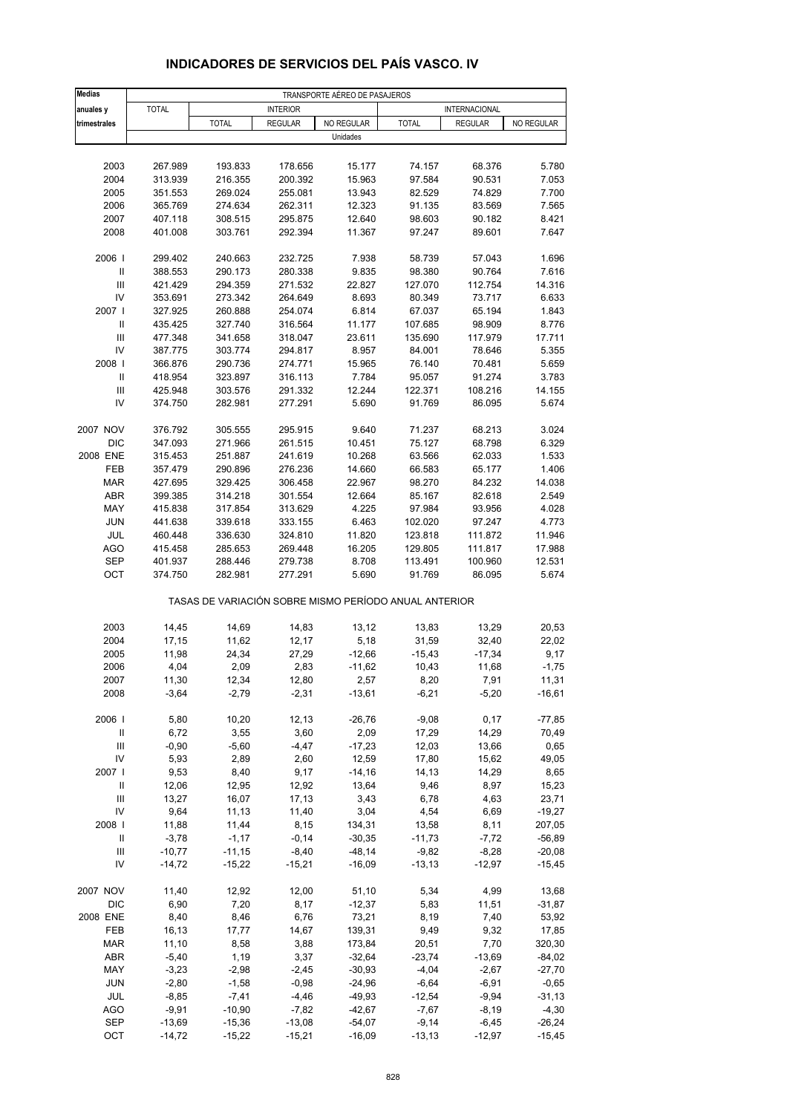| <b>Medias</b>                      | TRANSPORTE AÉREO DE PASAJEROS |                                                       |                    |                      |                    |                    |                     |  |  |
|------------------------------------|-------------------------------|-------------------------------------------------------|--------------------|----------------------|--------------------|--------------------|---------------------|--|--|
| anuales y                          | <b>TOTAL</b>                  |                                                       | <b>INTERIOR</b>    |                      |                    | INTERNACIONAL      |                     |  |  |
| trimestrales                       |                               | <b>TOTAL</b>                                          | <b>REGULAR</b>     | NO REGULAR           | <b>TOTAL</b>       | <b>REGULAR</b>     | NO REGULAR          |  |  |
|                                    |                               |                                                       |                    | Unidades             |                    |                    |                     |  |  |
|                                    |                               |                                                       |                    |                      |                    |                    |                     |  |  |
| 2003                               | 267.989                       | 193.833                                               | 178.656            | 15.177               | 74.157             | 68.376             | 5.780               |  |  |
| 2004                               | 313.939                       | 216.355                                               | 200.392            | 15.963               | 97.584             | 90.531             | 7.053               |  |  |
| 2005                               | 351.553                       | 269.024                                               | 255.081            | 13.943               | 82.529             | 74.829             | 7.700               |  |  |
| 2006                               | 365.769                       | 274.634                                               | 262.311            | 12.323               | 91.135             | 83.569             | 7.565               |  |  |
| 2007                               | 407.118                       | 308.515                                               | 295.875            | 12.640               | 98.603             | 90.182             | 8.421               |  |  |
| 2008                               | 401.008                       | 303.761                                               | 292.394            | 11.367               | 97.247             | 89.601             | 7.647               |  |  |
|                                    |                               |                                                       |                    |                      |                    |                    |                     |  |  |
| 2006  <br>$\mathbf{I}$             | 299.402<br>388.553            | 240.663<br>290.173                                    | 232.725<br>280.338 | 7.938<br>9.835       | 58.739<br>98.380   | 57.043<br>90.764   | 1.696<br>7.616      |  |  |
| Ш                                  | 421.429                       | 294.359                                               | 271.532            | 22.827               | 127.070            | 112.754            | 14.316              |  |  |
| IV                                 | 353.691                       | 273.342                                               | 264.649            | 8.693                | 80.349             | 73.717             | 6.633               |  |  |
| 2007 l                             | 327.925                       | 260.888                                               | 254.074            | 6.814                | 67.037             | 65.194             | 1.843               |  |  |
| $\mathbf{I}$                       | 435.425                       | 327.740                                               | 316.564            | 11.177               | 107.685            | 98.909             | 8.776               |  |  |
| Ш                                  | 477.348                       | 341.658                                               | 318.047            | 23.611               | 135.690            | 117.979            | 17.711              |  |  |
| IV                                 | 387.775                       | 303.774                                               | 294.817            | 8.957                | 84.001             | 78.646             | 5.355               |  |  |
| 2008                               | 366.876                       | 290.736                                               | 274.771            | 15.965               | 76.140             | 70.481             | 5.659               |  |  |
| $\mathbf{I}$                       | 418.954                       | 323.897                                               | 316.113            | 7.784                | 95.057             | 91.274             | 3.783               |  |  |
| $\mathsf{III}$                     | 425.948                       | 303.576                                               | 291.332            | 12.244               | 122.371            | 108.216            | 14.155              |  |  |
| IV                                 | 374.750                       | 282.981                                               | 277.291            | 5.690                | 91.769             | 86.095             | 5.674               |  |  |
| 2007 NOV                           | 376.792                       | 305.555                                               | 295.915            | 9.640                | 71.237             | 68.213             | 3.024               |  |  |
| <b>DIC</b>                         | 347.093                       | 271.966                                               | 261.515            | 10.451               | 75.127             | 68.798             | 6.329               |  |  |
| 2008 ENE                           | 315.453                       | 251.887                                               | 241.619            | 10.268               | 63.566             | 62.033             | 1.533               |  |  |
| FEB                                | 357.479                       | 290.896                                               | 276.236            | 14.660               | 66.583             | 65.177             | 1.406               |  |  |
| <b>MAR</b>                         | 427.695                       | 329.425                                               | 306.458            | 22.967               | 98.270             | 84.232             | 14.038              |  |  |
| ABR                                | 399.385                       | 314.218                                               | 301.554            | 12.664               | 85.167             | 82.618             | 2.549               |  |  |
| MAY                                | 415.838                       | 317.854                                               | 313.629            | 4.225                | 97.984             | 93.956             | 4.028               |  |  |
| <b>JUN</b>                         | 441.638                       | 339.618                                               | 333.155            | 6.463                | 102.020            | 97.247             | 4.773               |  |  |
| JUL                                | 460.448                       | 336.630                                               | 324.810            | 11.820               | 123.818            | 111.872            | 11.946              |  |  |
| <b>AGO</b>                         | 415.458                       | 285.653                                               | 269.448            | 16.205               | 129.805            | 111.817            | 17.988              |  |  |
| <b>SEP</b>                         | 401.937                       | 288.446                                               | 279.738            | 8.708                | 113.491            | 100.960            | 12.531              |  |  |
| OCT                                | 374.750                       | 282.981                                               | 277.291            | 5.690                | 91.769             | 86.095             | 5.674               |  |  |
|                                    |                               | TASAS DE VARIACIÓN SOBRE MISMO PERÍODO ANUAL ANTERIOR |                    |                      |                    |                    |                     |  |  |
| 2003                               | 14,45                         | 14,69                                                 | 14,83              | 13,12                | 13,83              | 13,29              | 20,53               |  |  |
| 2004                               | 17,15                         | 11,62                                                 | 12,17              | 5,18                 | 31,59              | 32,40              | 22,02               |  |  |
| 2005                               | 11,98                         | 24,34                                                 | 27,29              | $-12,66$             | -15,43             | $-17,34$           | 9,17                |  |  |
| 2006                               | 4,04                          | 2,09                                                  | 2,83               | $-11,62$             | 10,43              | 11,68              | $-1,75$             |  |  |
| 2007                               | 11,30                         | 12,34                                                 | 12,80              | 2,57                 | 8,20               | 7,91               | 11,31               |  |  |
| 2008                               | $-3,64$                       | $-2,79$                                               | $-2,31$            | $-13,61$             | $-6,21$            | $-5,20$            | $-16,61$            |  |  |
|                                    |                               |                                                       |                    |                      |                    |                    |                     |  |  |
| 2006                               | 5,80                          | 10,20                                                 | 12,13              | $-26,76$             | $-9,08$            | 0,17               | $-77,85$            |  |  |
| $\ensuremath{\mathsf{II}}$         | 6,72                          | 3,55                                                  | 3,60               | 2,09                 | 17,29              | 14,29              | 70,49               |  |  |
| $\ensuremath{\mathsf{III}}\xspace$ | $-0,90$                       | $-5,60$                                               | $-4,47$            | $-17,23$             | 12,03              | 13,66              | 0,65                |  |  |
| IV<br>2007 l                       | 5,93<br>9,53                  | 2,89<br>8,40                                          | 2,60<br>9,17       | 12,59<br>$-14,16$    | 17,80<br>14,13     | 15,62<br>14,29     | 49,05<br>8,65       |  |  |
| Ш                                  | 12,06                         | 12,95                                                 | 12,92              | 13,64                | 9,46               | 8,97               | 15,23               |  |  |
| Ш                                  | 13,27                         | 16,07                                                 | 17,13              | 3,43                 | 6,78               | 4,63               | 23,71               |  |  |
| IV                                 | 9,64                          | 11,13                                                 | 11,40              | 3,04                 | 4,54               | 6,69               | $-19,27$            |  |  |
| 2008                               | 11,88                         | 11,44                                                 | 8,15               | 134,31               | 13,58              | 8,11               | 207,05              |  |  |
| Ш                                  | $-3,78$                       | $-1,17$                                               | $-0,14$            | $-30,35$             | $-11,73$           | $-7,72$            | $-56,89$            |  |  |
| Ш                                  | $-10,77$                      | $-11,15$                                              | $-8,40$            | $-48,14$             | $-9,82$            | $-8,28$            | $-20,08$            |  |  |
| IV                                 | $-14,72$                      | $-15,22$                                              | $-15,21$           | $-16,09$             | $-13,13$           | $-12,97$           | $-15,45$            |  |  |
| 2007 NOV                           | 11,40                         | 12,92                                                 | 12,00              | 51,10                | 5,34               | 4,99               | 13,68               |  |  |
| DIC                                | 6,90                          | 7,20                                                  | 8,17               | $-12,37$             | 5,83               | 11,51              | $-31,87$            |  |  |
| 2008 ENE                           | 8,40                          | 8,46                                                  | 6,76               | 73,21                | 8,19               | 7,40               | 53,92               |  |  |
| FEB                                | 16,13                         | 17,77                                                 | 14,67              | 139,31               | 9,49               | 9,32               | 17,85               |  |  |
| <b>MAR</b>                         | 11,10                         | 8,58                                                  | 3,88               | 173,84               | 20,51              | 7,70               | 320,30              |  |  |
| ABR                                | $-5,40$                       | 1,19                                                  | 3,37               | $-32,64$             | $-23,74$           | $-13,69$           | $-84,02$            |  |  |
| MAY<br><b>JUN</b>                  | $-3,23$<br>$-2,80$            | $-2,98$<br>$-1,58$                                    | $-2,45$<br>$-0,98$ | $-30,93$<br>$-24,96$ | $-4,04$<br>$-6,64$ | $-2,67$<br>$-6,91$ | $-27,70$<br>$-0,65$ |  |  |
| JUL                                | $-8,85$                       | $-7,41$                                               | $-4,46$            | $-49,93$             | $-12,54$           | $-9,94$            | $-31,13$            |  |  |
| AGO                                | $-9,91$                       | $-10,90$                                              | $-7,82$            | $-42,67$             | $-7,67$            | $-8,19$            | $-4,30$             |  |  |
| <b>SEP</b>                         | $-13,69$                      | $-15,36$                                              | $-13,08$           | $-54,07$             | $-9,14$            | $-6,45$            | $-26,24$            |  |  |
| OCT                                | $-14,72$                      | $-15,22$                                              | $-15,21$           | $-16,09$             | $-13,13$           | $-12,97$           | $-15,45$            |  |  |

### **INDICADORES DE SERVICIOS DEL PAÍS VASCO. IV**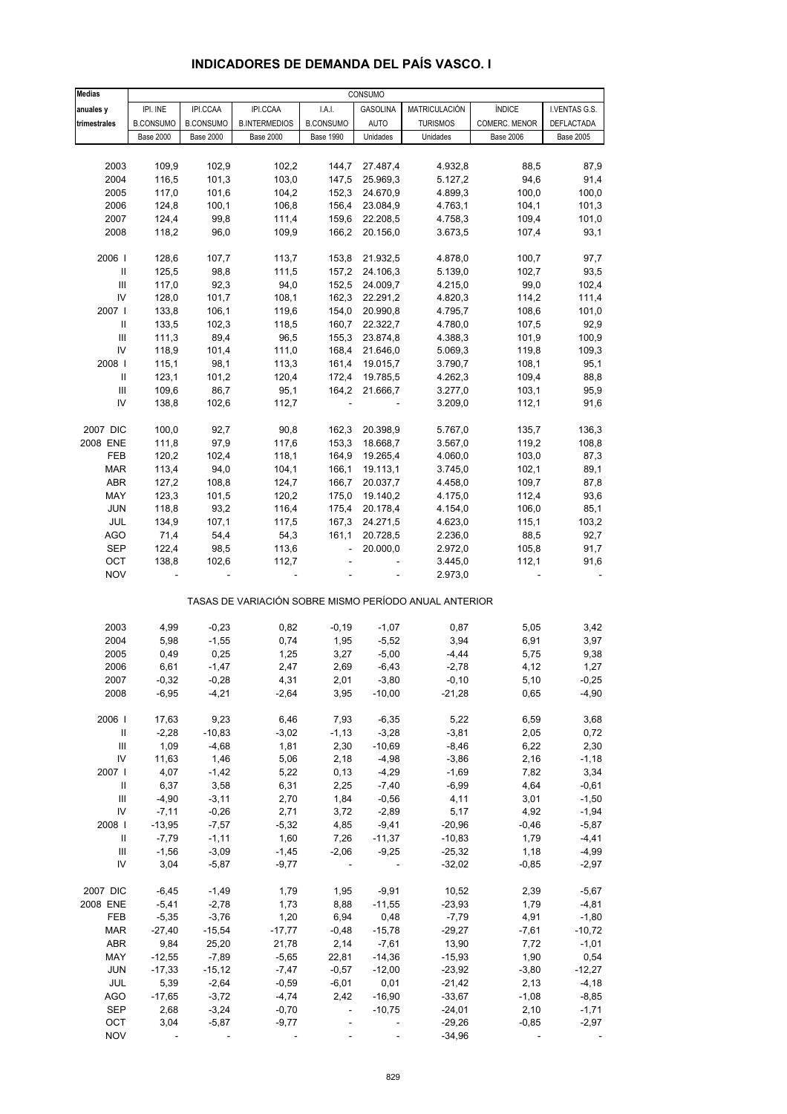| <b>Medias</b>                            |                      |                     |                      |                  | CONSUMO              |                                                       |                  |                    |
|------------------------------------------|----------------------|---------------------|----------------------|------------------|----------------------|-------------------------------------------------------|------------------|--------------------|
| anuales y                                | IPI. INE             | IPI.CCAA            | IPI.CCAA             | I.A.I.           | <b>GASOLINA</b>      | MATRICULACIÓN                                         | <b>ÍNDICE</b>    | I.VENTAS G.S.      |
| trimestrales                             | <b>B.CONSUMO</b>     | <b>B.CONSUMO</b>    | <b>B.INTERMEDIOS</b> | <b>B.CONSUMO</b> | <b>AUTO</b>          | <b>TURISMOS</b>                                       | COMERC. MENOR    | DEFLACTADA         |
|                                          | <b>Base 2000</b>     | <b>Base 2000</b>    | <b>Base 2000</b>     | <b>Base 1990</b> | Unidades             | Unidades                                              | <b>Base 2006</b> | <b>Base 2005</b>   |
|                                          |                      |                     |                      |                  |                      |                                                       |                  |                    |
| 2003                                     | 109,9                | 102,9               | 102,2                | 144,7            | 27.487,4             | 4.932,8                                               | 88,5             | 87,9               |
| 2004                                     | 116,5                | 101,3               | 103,0                | 147,5            | 25.969,3             | 5.127,2                                               | 94,6             | 91,4               |
| 2005                                     | 117,0                | 101,6               | 104,2                | 152,3            | 24.670,9             | 4.899,3                                               | 100,0            | 100,0              |
| 2006                                     | 124,8                | 100,1               | 106,8                | 156,4            | 23.084,9             | 4.763,1                                               | 104,1            | 101,3              |
| 2007                                     | 124,4                | 99,8                | 111,4                | 159,6            | 22.208,5             | 4.758,3                                               | 109,4            | 101,0              |
| 2008                                     | 118,2                | 96,0                | 109,9                | 166,2            | 20.156,0             | 3.673,5                                               | 107,4            | 93,1               |
| 2006                                     | 128,6                | 107,7               | 113,7                | 153,8            | 21.932,5             | 4.878,0                                               | 100,7            | 97,7               |
| Ш                                        | 125,5                | 98,8                | 111,5                | 157,2            | 24.106,3             | 5.139,0                                               | 102,7            | 93,5               |
| Ш                                        | 117,0                | 92,3                | 94,0                 | 152,5            | 24.009,7             | 4.215,0                                               | 99,0             | 102,4              |
| IV                                       | 128,0                | 101,7               | 108,1                | 162,3            | 22.291,2             | 4.820,3                                               | 114,2            | 111,4              |
| 2007 l                                   | 133,8                | 106,1               | 119,6                | 154,0            | 20.990,8             | 4.795,7                                               | 108,6            | 101,0              |
| Ш                                        | 133,5                | 102,3               | 118,5                | 160,7            | 22.322,7             | 4.780,0                                               | 107,5            | 92,9               |
| $\ensuremath{\mathsf{III}}\xspace$       | 111,3                | 89,4                | 96,5                 | 155,3            | 23.874,8             | 4.388,3                                               | 101,9            | 100,9              |
| IV                                       | 118,9                | 101,4               | 111,0                | 168,4            | 21.646,0             | 5.069,3                                               | 119,8            | 109,3              |
| 2008                                     | 115,1                | 98,1                | 113,3                | 161,4            | 19.015,7             | 3.790,7                                               | 108,1            | 95,1               |
| $\ensuremath{\mathsf{II}}$               | 123,1                | 101,2               | 120,4                | 172,4            | 19.785,5             | 4.262,3                                               | 109,4            | 88,8               |
| $\ensuremath{\mathsf{III}}\xspace$<br>IV | 109,6                | 86,7<br>102,6       | 95,1<br>112,7        | 164,2            | 21.666,7             | 3.277,0<br>3.209,0                                    | 103,1<br>112,1   | 95,9<br>91,6       |
|                                          | 138,8                |                     |                      |                  |                      |                                                       |                  |                    |
| 2007 DIC                                 | 100,0                | 92,7                | 90,8                 | 162,3            | 20.398,9             | 5.767,0                                               | 135,7            | 136,3              |
| 2008 ENE                                 | 111,8                | 97,9                | 117,6                | 153,3            | 18.668,7             | 3.567,0                                               | 119,2            | 108,8              |
| FEB                                      | 120,2                | 102,4               | 118,1                | 164,9            | 19.265,4             | 4.060,0                                               | 103,0            | 87,3               |
| <b>MAR</b>                               | 113,4                | 94,0                | 104,1                | 166,1            | 19.113,1             | 3.745,0                                               | 102,1            | 89,1               |
| ABR                                      | 127,2                | 108,8               | 124,7                | 166,7            | 20.037,7             | 4.458,0                                               | 109,7            | 87,8               |
| MAY                                      | 123,3                | 101,5               | 120,2                | 175,0            | 19.140,2             | 4.175,0                                               | 112,4            | 93,6               |
| <b>JUN</b>                               | 118,8                | 93,2                | 116,4                | 175,4            | 20.178,4             | 4.154,0                                               | 106,0            | 85,1               |
| JUL                                      | 134,9                | 107,1               | 117,5                | 167,3            | 24.271,5             | 4.623,0                                               | 115,1            | 103,2              |
| <b>AGO</b>                               | 71,4                 | 54,4                | 54,3                 | 161,1            | 20.728,5             | 2.236,0                                               | 88,5             | 92,7               |
| <b>SEP</b>                               | 122,4                | 98,5                | 113,6                | $\blacksquare$   | 20.000,0             | 2.972,0                                               | 105,8            | 91,7               |
| OCT<br><b>NOV</b>                        | 138,8                | 102,6               | 112,7                |                  |                      | 3.445,0<br>2.973,0                                    | 112,1            | 91,6               |
|                                          |                      |                     |                      |                  |                      |                                                       |                  |                    |
|                                          |                      |                     |                      |                  |                      | TASAS DE VARIACIÓN SOBRE MISMO PERÍODO ANUAL ANTERIOR |                  |                    |
|                                          |                      |                     |                      |                  |                      |                                                       |                  |                    |
| 2003                                     | 4,99                 | $-0,23$             | 0,82                 | $-0,19$          | $-1,07$              | 0,87                                                  | 5,05             | 3,42               |
| 2004                                     | 5,98                 | $-1,55$             | 0,74                 | 1,95             | $-5,52$              | 3,94                                                  | 6,91             | 3,97               |
| 2005                                     | 0,49                 | 0,25                | 1,25                 | 3,27             | $-5,00$              | $-4,44$                                               | 5,75             | 9,38               |
| 2006                                     | 6,61                 | $-1,47$             | 2,47                 | 2,69             | $-6,43$              | $-2,78$                                               | 4,12             | 1,27               |
| 2007<br>2008                             | -0,32<br>$-6,95$     | $-0,28$<br>$-4,21$  | 4,31<br>$-2,64$      | 2,01<br>3,95     | $-3,80$<br>$-10,00$  | $-0,10$<br>$-21,28$                                   | 5,10<br>0,65     | -0,25<br>$-4,90$   |
|                                          |                      |                     |                      |                  |                      |                                                       |                  |                    |
| 2006                                     | 17,63                | 9,23                | 6,46                 | 7,93             | $-6,35$              | 5,22                                                  | 6,59             | 3,68               |
| Ш                                        | $-2,28$              | $-10,83$            | $-3,02$              | $-1,13$          | $-3,28$              | $-3,81$                                               | 2,05             | 0,72               |
| $\ensuremath{\mathsf{III}}\xspace$       | 1,09                 | $-4,68$             | 1,81                 | 2,30             | $-10,69$             | $-8,46$                                               | 6,22             | 2,30               |
| IV                                       | 11,63                | 1,46                | 5,06                 | 2,18             | $-4,98$              | $-3,86$                                               | 2,16             | $-1,18$            |
| 2007                                     | 4,07                 | $-1,42$             | 5,22                 | 0, 13            | $-4,29$              | $-1,69$                                               | 7,82             | 3,34               |
| Ш                                        | 6,37                 | 3,58                | 6,31                 | 2,25             | $-7,40$              | $-6,99$                                               | 4,64             | $-0,61$            |
| Ш                                        | $-4,90$              | $-3,11$             | 2,70                 | 1,84             | $-0,56$<br>$-2,89$   | 4,11                                                  | 3,01             | $-1,50$            |
| IV<br>2008                               | $-7,11$<br>$-13,95$  | $-0,26$<br>$-7,57$  | 2,71<br>$-5,32$      | 3,72<br>4,85     | $-9,41$              | 5,17<br>$-20,96$                                      | 4,92<br>$-0,46$  | $-1,94$<br>$-5,87$ |
| Ш                                        | $-7,79$              | $-1,11$             | 1,60                 | 7,26             | $-11,37$             | $-10,83$                                              | 1,79             | $-4,41$            |
| Ш                                        | $-1,56$              | $-3,09$             | $-1,45$              | $-2,06$          | $-9,25$              | $-25,32$                                              | 1,18             | $-4,99$            |
| IV                                       | 3,04                 | $-5,87$             | $-9,77$              |                  |                      | $-32,02$                                              | $-0,85$          | $-2,97$            |
|                                          |                      |                     |                      |                  |                      |                                                       |                  |                    |
| 2007 DIC                                 | $-6,45$              | $-1,49$             | 1,79                 | 1,95             | $-9,91$              | 10,52                                                 | 2,39             | $-5,67$            |
| 2008 ENE                                 | $-5,41$              | $-2,78$             | 1,73                 | 8,88             | $-11,55$             | $-23,93$                                              | 1,79             | $-4,81$            |
| FEB                                      | $-5,35$              | $-3,76$             | 1,20                 | 6,94             | 0,48                 | $-7,79$                                               | 4,91             | $-1,80$            |
| <b>MAR</b>                               | $-27,40$             | $-15,54$            | $-17,77$             | $-0,48$          | $-15,78$             | $-29,27$                                              | $-7,61$          | $-10,72$           |
| ABR                                      | 9,84                 | 25,20               | 21,78                | 2,14             | $-7,61$              | 13,90                                                 | 7,72             | $-1,01$            |
| MAY<br><b>JUN</b>                        | $-12,55$<br>$-17,33$ | $-7,89$<br>$-15,12$ | $-5,65$<br>$-7,47$   | 22,81<br>$-0,57$ | $-14,36$<br>$-12,00$ | $-15,93$<br>$-23,92$                                  | 1,90<br>$-3,80$  | 0,54<br>$-12,27$   |
| JUL                                      | 5,39                 | $-2,64$             | $-0,59$              | $-6,01$          | 0,01                 | $-21,42$                                              | 2,13             | $-4,18$            |
| AGO                                      | $-17,65$             | $-3,72$             | $-4,74$              | 2,42             | $-16,90$             | $-33,67$                                              | $-1,08$          | $-8,85$            |
| SEP                                      | 2,68                 | $-3,24$             | $-0,70$              | $\overline{a}$   | $-10,75$             | $-24,01$                                              | 2,10             | $-1,71$            |
| OCT                                      | 3,04                 | $-5,87$             | $-9,77$              |                  |                      | $-29,26$                                              | $-0,85$          | $-2,97$            |
| <b>NOV</b>                               |                      |                     |                      |                  |                      | $-34,96$                                              |                  |                    |

### **INDICADORES DE DEMANDA DEL PAÍS VASCO. I**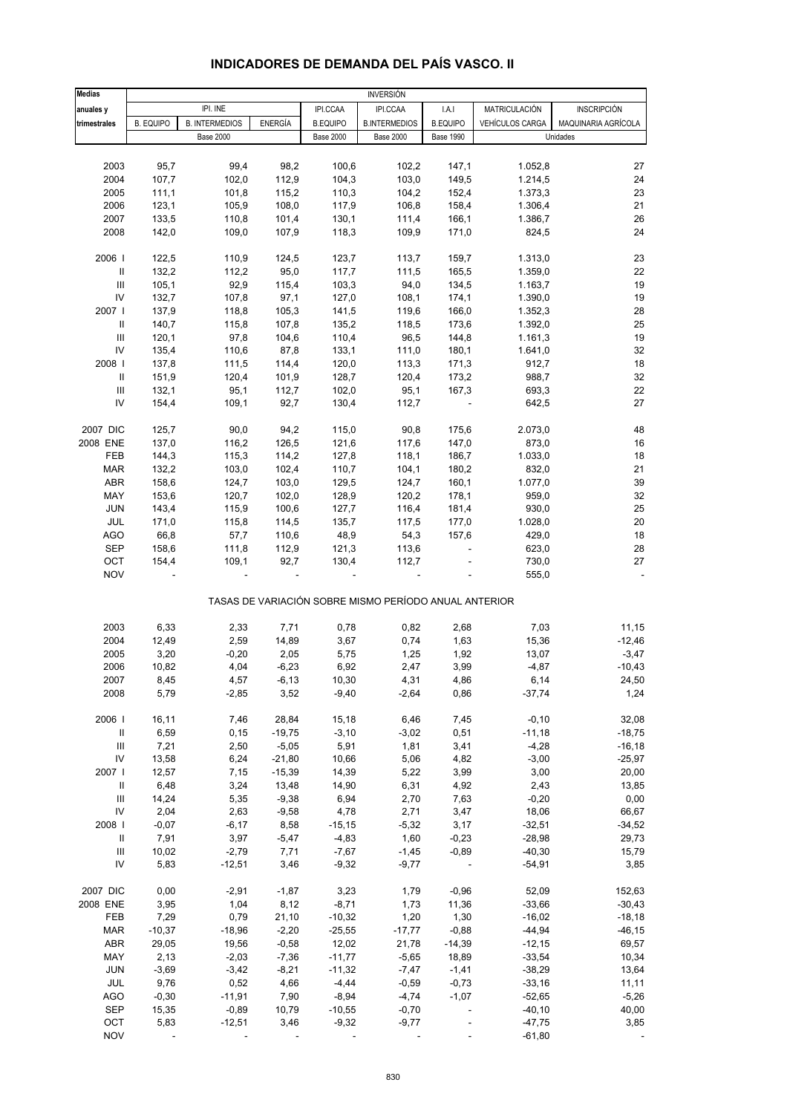| <b>Medias</b>                            |                  |                       |                    |                   | <b>INVERSIÓN</b>                                      |                                   |                        |                     |
|------------------------------------------|------------------|-----------------------|--------------------|-------------------|-------------------------------------------------------|-----------------------------------|------------------------|---------------------|
| anuales y                                |                  | IPI. INE              |                    | IPI.CCAA          | IPI.CCAA                                              | I.A.I                             | MATRICULACIÓN          | <b>INSCRIPCIÓN</b>  |
| trimestrales                             | <b>B. EQUIPO</b> | <b>B. INTERMEDIOS</b> | <b>ENERGÍA</b>     | <b>B.EQUIPO</b>   | <b>B.INTERMEDIOS</b>                                  | <b>B.EQUIPO</b>                   | <b>VEHÍCULOS CARGA</b> | MAQUINARIA AGRÍCOLA |
|                                          |                  | <b>Base 2000</b>      |                    | <b>Base 2000</b>  | <b>Base 2000</b>                                      | <b>Base 1990</b>                  |                        | Unidades            |
|                                          |                  |                       |                    |                   |                                                       |                                   |                        |                     |
| 2003                                     | 95,7             | 99,4                  | 98,2               | 100,6             | 102,2                                                 | 147,1                             | 1.052,8                | 27                  |
| 2004                                     | 107,7            | 102,0                 | 112,9              | 104,3             | 103,0                                                 | 149,5                             | 1.214,5                | 24                  |
| 2005                                     | 111,1            | 101,8                 | 115,2              | 110,3             | 104,2                                                 | 152,4                             | 1.373,3                | 23                  |
| 2006                                     | 123,1            | 105,9                 | 108,0              | 117,9             | 106,8                                                 | 158,4                             | 1.306,4                | 21                  |
| 2007                                     | 133,5            | 110,8                 | 101,4              | 130,1             | 111,4                                                 | 166,1                             | 1.386,7                | 26                  |
| 2008                                     | 142,0            | 109,0                 | 107,9              | 118,3             | 109,9                                                 | 171,0                             | 824,5                  | 24                  |
|                                          |                  |                       |                    |                   |                                                       |                                   |                        |                     |
| 2006                                     | 122,5            | 110,9                 | 124,5              | 123,7             | 113,7                                                 | 159,7                             | 1.313,0                | 23                  |
| Ш                                        | 132,2            | 112,2                 | 95,0               | 117,7             | 111,5                                                 | 165,5                             | 1.359,0                | 22                  |
| $\ensuremath{\mathsf{III}}\xspace$       | 105,1            | 92,9                  | 115,4              | 103,3             | 94,0                                                  | 134,5                             | 1.163,7                | 19                  |
| IV                                       | 132,7            | 107,8                 | 97,1               | 127,0             | 108,1                                                 | 174,1                             | 1.390,0                | 19                  |
| 2007 l                                   | 137,9            | 118,8                 | 105,3              | 141,5             | 119,6                                                 | 166,0                             | 1.352,3                | 28                  |
| Ш                                        | 140,7            | 115,8                 | 107,8              | 135,2             | 118,5                                                 | 173,6                             | 1.392,0                | 25                  |
| Ш                                        | 120,1            | 97,8                  | 104,6              | 110,4             | 96,5                                                  | 144,8                             | 1.161,3                | 19                  |
| IV                                       | 135,4            | 110,6                 | 87,8               | 133,1             | 111,0                                                 | 180,1                             | 1.641,0                | 32                  |
| 2008                                     | 137,8            | 111,5                 | 114,4              | 120,0             | 113,3                                                 | 171,3                             | 912,7                  | 18                  |
| $\, \parallel$                           | 151,9            | 120,4                 | 101,9              | 128,7             | 120,4                                                 | 173,2                             | 988,7                  | 32                  |
| $\ensuremath{\mathsf{III}}\xspace$<br>IV | 132,1<br>154,4   | 95,1<br>109,1         | 112,7<br>92,7      | 102,0<br>130,4    | 95,1<br>112,7                                         | 167,3<br>$\overline{\phantom{a}}$ | 693,3<br>642,5         | 22<br>27            |
|                                          |                  |                       |                    |                   |                                                       |                                   |                        |                     |
| 2007 DIC                                 | 125,7            | 90,0                  | 94,2               | 115,0             | 90,8                                                  | 175,6                             | 2.073,0                | 48                  |
| 2008 ENE                                 | 137,0            | 116,2                 | 126,5              | 121,6             | 117,6                                                 | 147,0                             | 873,0                  | 16                  |
| FEB                                      | 144,3            | 115,3                 | 114,2              | 127,8             | 118,1                                                 | 186,7                             | 1.033,0                | 18                  |
| <b>MAR</b>                               | 132,2            | 103,0                 | 102,4              | 110,7             | 104,1                                                 | 180,2                             | 832,0                  | 21                  |
| ABR                                      | 158,6            | 124,7                 | 103,0              | 129,5             | 124,7                                                 | 160,1                             | 1.077,0                | 39                  |
| MAY                                      | 153,6            | 120,7                 | 102,0              | 128,9             | 120,2                                                 | 178,1                             | 959,0                  | 32                  |
| <b>JUN</b>                               | 143,4            | 115,9                 | 100,6              | 127,7             | 116,4                                                 | 181,4                             | 930,0                  | 25                  |
| JUL                                      | 171,0            | 115,8                 | 114,5              | 135,7             | 117,5                                                 | 177,0                             | 1.028,0                | 20                  |
| AGO                                      | 66,8             | 57,7                  | 110,6              | 48,9              | 54,3                                                  | 157,6                             | 429,0                  | 18                  |
| <b>SEP</b>                               | 158,6            | 111,8                 | 112,9              | 121,3             | 113,6                                                 | $\overline{\phantom{a}}$          | 623,0                  | 28                  |
| OCT                                      | 154,4            | 109,1                 | 92,7               | 130,4             | 112,7                                                 |                                   | 730,0                  | 27                  |
| <b>NOV</b>                               |                  |                       |                    |                   |                                                       |                                   | 555,0                  |                     |
|                                          |                  |                       |                    |                   |                                                       |                                   |                        |                     |
|                                          |                  |                       |                    |                   | TASAS DE VARIACIÓN SOBRE MISMO PERÍODO ANUAL ANTERIOR |                                   |                        |                     |
|                                          |                  |                       |                    |                   |                                                       |                                   |                        |                     |
| 2003                                     | 6,33             | 2,33                  | 7,71               | 0,78              | 0,82                                                  | 2,68                              | 7,03                   | 11,15               |
| 2004<br>2005                             | 12,49<br>3,20    | 2,59<br>$-0,20$       | 14,89<br>2,05      | 3,67<br>5,75      | 0,74<br>1,25                                          | 1,63<br>1,92                      | 15,36<br>13,07         | $-12,46$<br>$-3,47$ |
| 2006                                     | 10,82            | 4,04                  | $-6,23$            | 6,92              | 2,47                                                  | 3,99                              | $-4,87$                | $-10,43$            |
| 2007                                     | 8,45             | 4,57                  | $-6, 13$           | 10,30             | 4,31                                                  | 4,86                              | 6,14                   | 24,50               |
| 2008                                     | 5,79             | $-2,85$               | 3,52               | $-9,40$           | $-2,64$                                               | 0,86                              | $-37,74$               | 1,24                |
|                                          |                  |                       |                    |                   |                                                       |                                   |                        |                     |
| 2006                                     | 16,11            | 7,46                  | 28,84              | 15,18             | 6,46                                                  | 7,45                              | $-0, 10$               | 32,08               |
| $\, \parallel$                           | 6,59             | 0, 15                 | $-19,75$           | $-3,10$           | $-3,02$                                               | 0,51                              | $-11,18$               | $-18,75$            |
| Ш                                        | 7,21             | 2,50                  | $-5,05$            | 5,91              | 1,81                                                  | 3,41                              | $-4,28$                | $-16, 18$           |
| IV                                       | 13,58            | 6,24                  | $-21,80$           | 10,66             | 5,06                                                  | 4,82                              | $-3,00$                | $-25,97$            |
| 2007 l                                   | 12,57            | 7,15                  | $-15,39$           | 14,39             | 5,22                                                  | 3,99                              | 3,00                   | 20,00               |
| Ш                                        | 6,48             | 3,24                  | 13,48              | 14,90             | 6,31                                                  | 4,92                              | 2,43                   | 13,85               |
| $\ensuremath{\mathsf{III}}\xspace$       | 14,24            | 5,35                  | $-9,38$            | 6,94              | 2,70                                                  | 7,63                              | $-0,20$                | 0,00                |
| IV                                       | 2,04             | 2,63                  | $-9,58$            | 4,78              | 2,71                                                  | 3,47                              | 18,06                  | 66,67               |
| 2008                                     | $-0,07$          | $-6,17$               | 8,58               | $-15,15$          | $-5,32$                                               | 3,17                              | $-32,51$               | $-34,52$            |
| Ш                                        | 7,91             | 3,97                  | $-5,47$            | $-4,83$           | 1,60                                                  | $-0,23$                           | $-28,98$               | 29,73               |
| $\ensuremath{\mathsf{III}}\xspace$       | 10,02            | $-2,79$               | 7,71               | $-7,67$           | $-1,45$                                               | $-0,89$                           | $-40,30$               | 15,79               |
| IV                                       | 5,83             | $-12,51$              | 3,46               | $-9,32$           | $-9,77$                                               |                                   | $-54,91$               | 3,85                |
|                                          |                  |                       |                    |                   |                                                       |                                   |                        |                     |
| 2007 DIC                                 | 0,00             | $-2,91$               | $-1,87$            | 3,23              | 1,79                                                  | $-0,96$                           | 52,09                  | 152,63              |
| 2008 ENE                                 | 3,95             | 1,04                  | 8,12               | $-8,71$           | 1,73                                                  | 11,36                             | $-33,66$               | $-30,43$            |
| FEB                                      | 7,29             | 0,79                  | 21,10              | $-10,32$          | 1,20                                                  | 1,30                              | $-16,02$               | $-18,18$            |
| <b>MAR</b>                               | $-10,37$         | $-18,96$              | $-2,20$            | $-25,55$          | $-17,77$                                              | $-0,88$                           | $-44,94$               | $-46, 15$           |
| ABR<br>MAY                               | 29,05<br>2,13    | 19,56<br>$-2,03$      | $-0,58$<br>$-7,36$ | 12,02<br>$-11,77$ | 21,78<br>$-5,65$                                      | $-14,39$<br>18,89                 | $-12,15$<br>$-33,54$   | 69,57<br>10,34      |
| <b>JUN</b>                               | $-3,69$          | $-3,42$               | $-8,21$            | $-11,32$          | $-7,47$                                               | $-1,41$                           | $-38,29$               | 13,64               |
| JUL                                      | 9,76             | 0,52                  | 4,66               | $-4,44$           | $-0,59$                                               | $-0,73$                           | $-33,16$               | 11,11               |
| <b>AGO</b>                               | $-0,30$          | $-11,91$              | 7,90               | $-8,94$           | $-4,74$                                               | $-1,07$                           | $-52,65$               | $-5,26$             |
|                                          |                  |                       |                    |                   |                                                       |                                   |                        |                     |

#### **INDICADORES DE DEMANDA DEL PAÍS VASCO. II**

SEP 15,35 -0,89 10,79 -10,55 -0,70 - -40,10 -40,00 OCT 5,83 -12,51 3,46 -9,32 -9,77 - - -47,75 - 3,85 NOV - - - - - - -61,80 -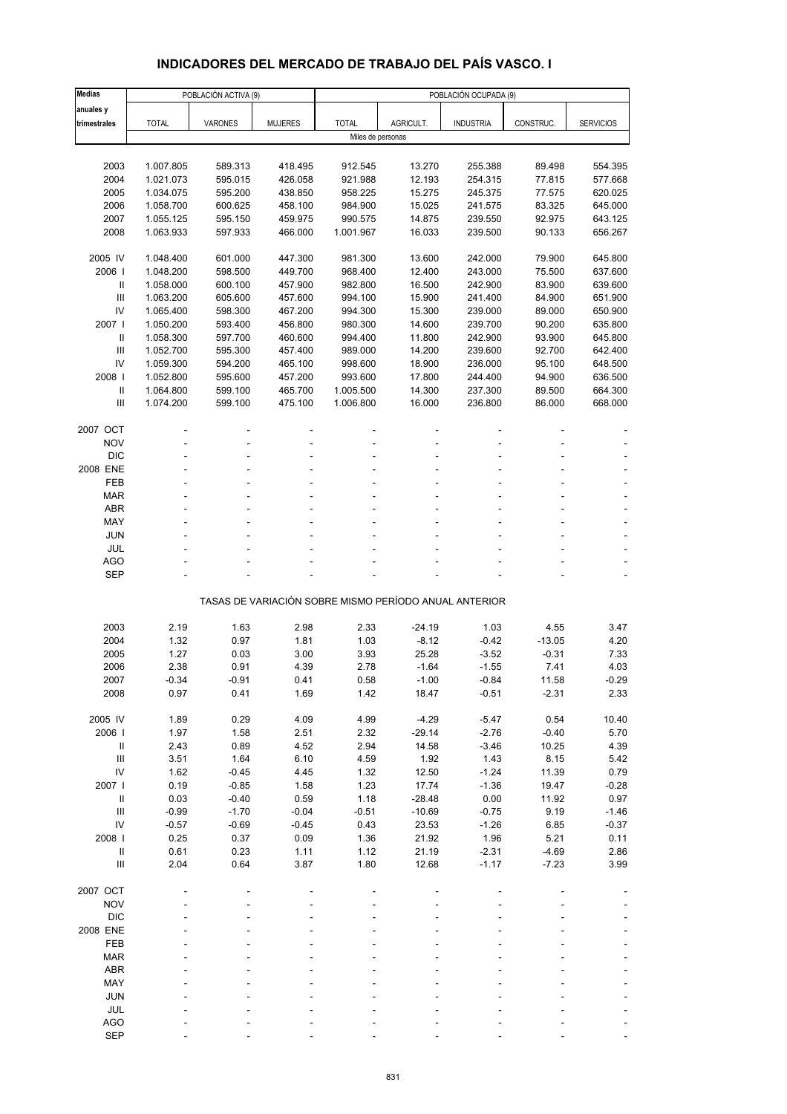# **INDICADORES DEL MERCADO DE TRABAJO DEL PAÍS VASCO. I**

| <b>Medias</b>                      |                        | POBLACIÓN ACTIVA (9) |                    |                    |                  | POBLACIÓN OCUPADA (9)                                 |                  |                    |
|------------------------------------|------------------------|----------------------|--------------------|--------------------|------------------|-------------------------------------------------------|------------------|--------------------|
| anuales y                          |                        |                      |                    |                    |                  |                                                       |                  |                    |
| trimestrales                       | <b>TOTAL</b>           | <b>VARONES</b>       | <b>MUJERES</b>     | <b>TOTAL</b>       | AGRICULT.        | <b>INDUSTRIA</b>                                      | CONSTRUC.        | <b>SERVICIOS</b>   |
|                                    |                        |                      |                    | Miles de personas  |                  |                                                       |                  |                    |
| 2003                               | 1.007.805              | 589.313              | 418.495            | 912.545            | 13.270           | 255.388                                               | 89.498           | 554.395            |
| 2004                               | 1.021.073              | 595.015              | 426.058            | 921.988            | 12.193           | 254.315                                               | 77.815           | 577.668            |
| 2005                               | 1.034.075              | 595.200              | 438.850            | 958.225            | 15.275           | 245.375                                               | 77.575           | 620.025            |
| 2006                               | 1.058.700              | 600.625              | 458.100            | 984.900            | 15.025           | 241.575                                               | 83.325           | 645.000            |
| 2007                               | 1.055.125              | 595.150              | 459.975            | 990.575            | 14.875           | 239.550                                               | 92.975           | 643.125            |
| 2008                               | 1.063.933              | 597.933              | 466.000            | 1.001.967          | 16.033           | 239.500                                               | 90.133           | 656.267            |
| 2005 IV                            | 1.048.400              | 601.000              | 447.300            | 981.300            | 13.600           | 242.000                                               | 79.900           | 645.800            |
| 2006                               | 1.048.200              | 598.500              | 449.700            | 968.400            | 12.400           | 243.000                                               | 75.500           | 637.600            |
| Ш                                  | 1.058.000              | 600.100              | 457.900            | 982.800            | 16.500           | 242.900                                               | 83.900           | 639.600            |
| Ш<br>IV                            | 1.063.200<br>1.065.400 | 605.600<br>598.300   | 457.600<br>467.200 | 994.100<br>994.300 | 15.900<br>15.300 | 241.400<br>239.000                                    | 84.900<br>89.000 | 651.900<br>650.900 |
| 2007 l                             | 1.050.200              | 593.400              | 456.800            | 980.300            | 14.600           | 239.700                                               | 90.200           | 635.800            |
| Ш                                  | 1.058.300              | 597.700              | 460.600            | 994.400            | 11.800           | 242.900                                               | 93.900           | 645.800            |
| III                                | 1.052.700              | 595.300              | 457.400            | 989.000            | 14.200           | 239.600                                               | 92.700           | 642.400            |
| IV                                 | 1.059.300              | 594.200              | 465.100            | 998.600            | 18.900           | 236.000                                               | 95.100           | 648.500            |
| 2008                               | 1.052.800              | 595.600              | 457.200            | 993.600            | 17.800           | 244.400                                               | 94.900           | 636.500            |
| $\mathbf{II}$                      | 1.064.800              | 599.100              | 465.700            | 1.005.500          | 14.300           | 237.300                                               | 89.500           | 664.300            |
| Ш                                  | 1.074.200              | 599.100              | 475.100            | 1.006.800          | 16.000           | 236.800                                               | 86.000           | 668.000            |
| 2007 OCT                           |                        |                      |                    |                    |                  |                                                       |                  |                    |
| <b>NOV</b>                         |                        |                      |                    |                    |                  |                                                       |                  |                    |
| <b>DIC</b>                         |                        |                      |                    |                    |                  |                                                       |                  |                    |
| 2008 ENE<br>FEB                    |                        |                      |                    |                    |                  |                                                       |                  |                    |
| <b>MAR</b>                         |                        |                      |                    |                    |                  |                                                       |                  |                    |
| <b>ABR</b>                         |                        |                      |                    |                    |                  |                                                       |                  |                    |
| MAY                                |                        |                      |                    |                    |                  |                                                       |                  |                    |
| <b>JUN</b>                         |                        |                      |                    |                    |                  |                                                       |                  |                    |
| JUL                                |                        |                      |                    |                    |                  |                                                       |                  |                    |
| <b>AGO</b>                         |                        |                      |                    |                    |                  |                                                       |                  |                    |
| <b>SEP</b>                         |                        |                      |                    |                    |                  |                                                       |                  |                    |
|                                    |                        |                      |                    |                    |                  | TASAS DE VARIACIÓN SOBRE MISMO PERÍODO ANUAL ANTERIOR |                  |                    |
| 2003                               | 2.19                   | 1.63                 | 2.98               | 2.33               | $-24.19$         | 1.03                                                  | 4.55             | 3.47               |
| 2004                               | 1.32                   | 0.97                 | 1.81               | 1.03               | $-8.12$          | $-0.42$                                               | $-13.05$         | 4.20               |
| 2005                               | 1.27                   | 0.03                 | 3.00               | 3.93               | 25.28            | $-3.52$                                               | $-0.31$          | 7.33               |
| 2006                               | 2.38                   | 0.91                 | 4.39               | 2.78               | $-1.64$          | $-1.55$                                               | 7.41             | 4.03               |
| 2007                               | $-0.34$                | $-0.91$              | 0.41               | 0.58               | $-1.00$          | $-0.84$                                               | 11.58            | $-0.29$            |
| 2008                               | 0.97                   | 0.41                 | 1.69               | 1.42               | 18.47            | $-0.51$                                               | $-2.31$          | 2.33               |
| 2005 IV                            | 1.89                   | 0.29                 | 4.09               | 4.99               | $-4.29$          | $-5.47$                                               | 0.54             | 10.40              |
| 2006                               | 1.97                   | 1.58                 | 2.51               | 2.32               | $-29.14$         | $-2.76$                                               | $-0.40$          | 5.70               |
| $\ensuremath{\mathsf{II}}$         | 2.43                   | 0.89                 | 4.52               | 2.94               | 14.58            | $-3.46$                                               | 10.25            | 4.39               |
| Ш                                  | 3.51                   | 1.64                 | 6.10               | 4.59               | 1.92             | 1.43                                                  | 8.15             | 5.42               |
| IV<br>2007 l                       | 1.62<br>0.19           | $-0.45$<br>$-0.85$   | 4.45<br>1.58       | 1.32<br>1.23       | 12.50<br>17.74   | $-1.24$<br>$-1.36$                                    | 11.39<br>19.47   | 0.79<br>$-0.28$    |
| $\, \parallel$                     | 0.03                   | $-0.40$              | 0.59               | 1.18               | $-28.48$         | 0.00                                                  | 11.92            | 0.97               |
| $\ensuremath{\mathsf{III}}\xspace$ | $-0.99$                | $-1.70$              | $-0.04$            | $-0.51$            | $-10.69$         | $-0.75$                                               | 9.19             | $-1.46$            |
| IV                                 | $-0.57$                | $-0.69$              | $-0.45$            | 0.43               | 23.53            | $-1.26$                                               | 6.85             | $-0.37$            |
| 2008                               | 0.25                   | 0.37                 | 0.09               | 1.36               | 21.92            | 1.96                                                  | 5.21             | 0.11               |
| $\mathbf{II}$                      | 0.61                   | 0.23                 | 1.11               | 1.12               | 21.19            | $-2.31$                                               | $-4.69$          | 2.86               |
| $\ensuremath{\mathsf{III}}\xspace$ | 2.04                   | 0.64                 | 3.87               | 1.80               | 12.68            | $-1.17$                                               | $-7.23$          | 3.99               |
| 2007 OCT                           |                        |                      |                    |                    |                  |                                                       |                  |                    |
| <b>NOV</b>                         |                        |                      |                    |                    |                  |                                                       |                  |                    |
| <b>DIC</b>                         |                        |                      |                    |                    |                  |                                                       |                  |                    |
| 2008 ENE                           |                        |                      |                    |                    |                  |                                                       |                  |                    |
| FEB<br>MAR                         |                        |                      |                    |                    |                  |                                                       |                  |                    |
| ABR                                |                        |                      |                    |                    |                  |                                                       |                  |                    |
| MAY                                |                        |                      |                    |                    |                  |                                                       |                  |                    |
| <b>JUN</b>                         |                        |                      |                    |                    |                  |                                                       |                  |                    |
| JUL                                |                        |                      |                    |                    |                  |                                                       |                  |                    |
| AGO                                |                        |                      |                    |                    |                  |                                                       |                  |                    |
| <b>SEP</b>                         |                        |                      |                    |                    |                  |                                                       |                  |                    |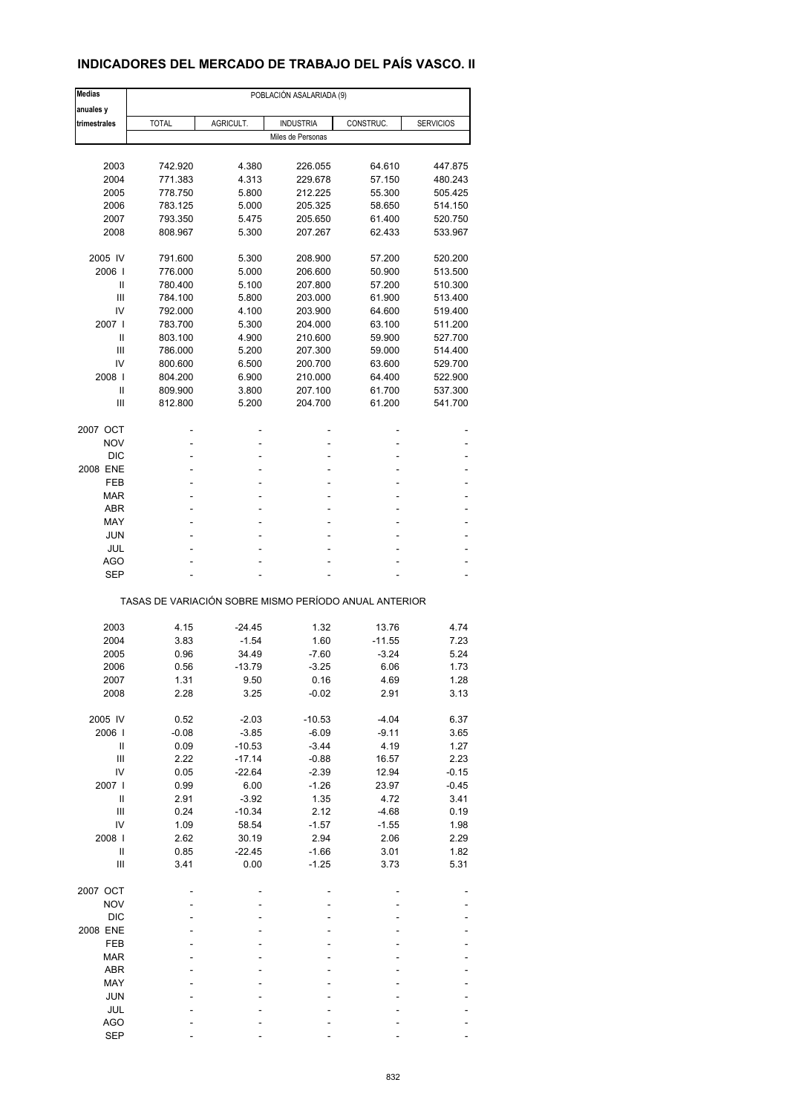# **INDICADORES DEL MERCADO DE TRABAJO DEL PAÍS VASCO. II**

| <b>Medias</b>     |              | POBLACIÓN ASALARIADA (9) |                                                       |           |                  |
|-------------------|--------------|--------------------------|-------------------------------------------------------|-----------|------------------|
| anuales y         |              |                          |                                                       |           |                  |
| trimestrales      | <b>TOTAL</b> | AGRICULT.                | <b>INDUSTRIA</b>                                      | CONSTRUC. | <b>SERVICIOS</b> |
|                   |              |                          | Miles de Personas                                     |           |                  |
|                   |              |                          |                                                       |           |                  |
| 2003              | 742.920      | 4.380                    | 226.055                                               | 64.610    | 447.875          |
| 2004              | 771.383      | 4.313                    | 229.678                                               | 57.150    | 480.243          |
| 2005              | 778.750      | 5.800                    | 212.225                                               | 55.300    | 505.425          |
| 2006              | 783.125      | 5.000                    | 205.325                                               | 58.650    | 514.150          |
| 2007              | 793.350      | 5.475                    | 205.650                                               | 61.400    | 520.750          |
| 2008              | 808.967      | 5.300                    | 207.267                                               | 62.433    | 533.967          |
| 2005 IV           | 791.600      | 5.300                    | 208.900                                               | 57.200    | 520.200          |
| 2006              | 776.000      | 5.000                    | 206.600                                               | 50.900    | 513.500          |
| Ш                 | 780.400      | 5.100                    | 207.800                                               | 57.200    | 510.300          |
| Ш                 | 784.100      | 5.800                    | 203.000                                               | 61.900    | 513.400          |
| IV                | 792.000      | 4.100                    | 203.900                                               | 64.600    | 519.400          |
| 2007 l            | 783.700      | 5.300                    | 204.000                                               | 63.100    | 511.200          |
| Ш                 | 803.100      | 4.900                    | 210.600                                               | 59.900    | 527.700          |
| Ш                 | 786.000      | 5.200                    | 207.300                                               | 59.000    | 514.400          |
| IV                | 800.600      | 6.500                    | 200.700                                               | 63.600    | 529.700          |
| 2008              | 804.200      | 6.900                    | 210.000                                               | 64.400    | 522.900          |
| Ш                 | 809.900      | 3.800                    | 207.100                                               | 61.700    | 537.300          |
| Ш                 | 812.800      | 5.200                    | 204.700                                               | 61.200    | 541.700          |
| 2007 OCT          |              |                          |                                                       |           |                  |
| <b>NOV</b>        |              |                          | Ĭ.                                                    |           |                  |
| <b>DIC</b>        |              |                          |                                                       |           |                  |
| 2008 ENE          | ٠            | Ĭ.                       | ٠                                                     |           |                  |
| FEB               |              |                          | ٠                                                     |           |                  |
| <b>MAR</b>        |              |                          |                                                       |           |                  |
| <b>ABR</b>        | ä,           | Ĭ.                       | ٠                                                     | ÷         |                  |
|                   |              |                          |                                                       |           |                  |
| MAY               |              |                          | ٠                                                     |           |                  |
| <b>JUN</b>        |              |                          |                                                       |           |                  |
| JUL               |              | ÷                        | ٠                                                     |           |                  |
| AGO<br><b>SEP</b> |              |                          |                                                       |           |                  |
|                   |              |                          |                                                       |           |                  |
|                   |              |                          | TASAS DE VARIACIÓN SOBRE MISMO PERÍODO ANUAL ANTERIOR |           |                  |
| 2003              | 4.15         | $-24.45$                 | 1.32                                                  | 13.76     | 4.74             |
| 2004              | 3.83         | $-1.54$                  | 1.60                                                  | $-11.55$  | 7.23             |
| 2005              | 0.96         | 34.49                    | $-7.60$                                               | $-3.24$   | 5.24             |
|                   |              |                          |                                                       | 6.06      | 1.73             |
| 2006              | 0.56         | $-13.79$                 | $-3.25$                                               |           |                  |
| 2007              | 1.31         | 9.50                     | 0.16                                                  | 4.69      | 1.28             |
| 2008              | 2.28         | 3.25                     | $-0.02$                                               | 2.91      | 3.13             |
| 2005 IV           | 0.52         | $-2.03$                  | $-10.53$                                              | $-4.04$   | 6.37             |
| 2006              | $-0.08$      | $-3.85$                  | $-6.09$                                               | $-9.11$   | 3.65             |
| Ш                 | 0.09         | $-10.53$                 | $-3.44$                                               | 4.19      | 1.27             |
| Ш                 | 2.22         | $-17.14$                 | $-0.88$                                               | 16.57     | 2.23             |
| IV                | 0.05         | $-22.64$                 | $-2.39$                                               | 12.94     | $-0.15$          |
| 2007 l            | 0.99         | 6.00                     | $-1.26$                                               | 23.97     | $-0.45$          |
| $\sf II$          | 2.91         | $-3.92$                  | 1.35                                                  | 4.72      | 3.41             |
| Ш                 | 0.24         | $-10.34$                 | 2.12                                                  | $-4.68$   | 0.19             |
| IV                | 1.09         | 58.54                    | $-1.57$                                               | $-1.55$   | 1.98             |
| 2008              | 2.62         | 30.19                    | 2.94                                                  | 2.06      | 2.29             |
| $\sf II$          | 0.85         | $-22.45$                 | $-1.66$                                               | 3.01      | 1.82             |
| Ш                 | 3.41         | 0.00                     | $-1.25$                                               | 3.73      | 5.31             |
|                   |              |                          |                                                       |           |                  |
| 2007 OCT          |              |                          |                                                       |           |                  |
| <b>NOV</b>        |              |                          |                                                       |           |                  |
| <b>DIC</b>        |              |                          |                                                       |           |                  |
| 2008 ENE          |              |                          |                                                       |           |                  |
| FEB               |              |                          |                                                       |           |                  |
| <b>MAR</b>        |              |                          |                                                       |           |                  |
| <b>ABR</b>        |              |                          |                                                       |           |                  |
| MAY               |              |                          |                                                       |           |                  |
| <b>JUN</b>        |              |                          |                                                       |           |                  |
| JUL               |              |                          |                                                       |           |                  |
| <b>AGO</b>        |              |                          |                                                       |           |                  |
| <b>SEP</b>        |              |                          |                                                       |           |                  |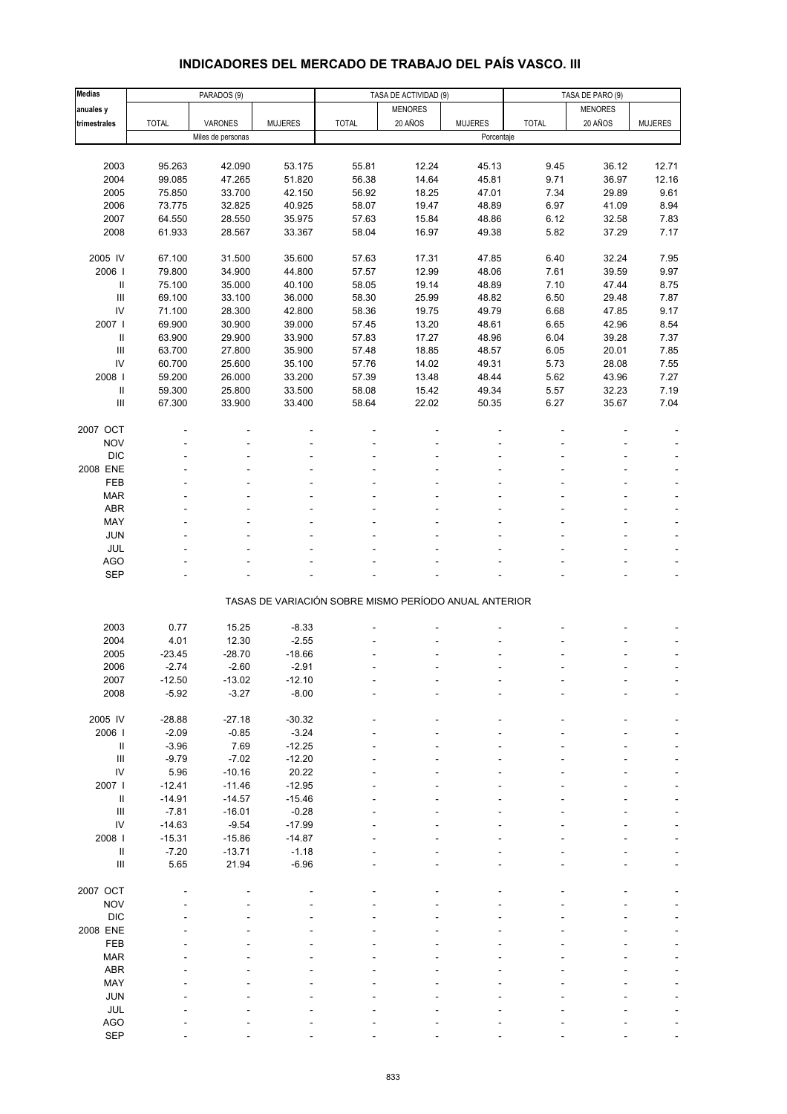# **INDICADORES DEL MERCADO DE TRABAJO DEL PAÍS VASCO. III**

| <b>Medias</b>                      |              | PARADOS (9)       |                |                                                       | TASA DE ACTIVIDAD (9) |                |              | TASA DE PARO (9) |                              |
|------------------------------------|--------------|-------------------|----------------|-------------------------------------------------------|-----------------------|----------------|--------------|------------------|------------------------------|
| anuales y                          |              |                   |                |                                                       | <b>MENORES</b>        |                |              | <b>MENORES</b>   |                              |
| trimestrales                       | <b>TOTAL</b> | VARONES           | <b>MUJERES</b> | <b>TOTAL</b>                                          | 20 AÑOS               | <b>MUJERES</b> | <b>TOTAL</b> | 20 AÑOS          | <b>MUJERES</b>               |
|                                    |              | Miles de personas |                |                                                       |                       | Porcentaje     |              |                  |                              |
|                                    |              |                   |                |                                                       |                       |                |              |                  |                              |
| 2003                               | 95.263       | 42.090            | 53.175         | 55.81                                                 | 12.24                 | 45.13          | 9.45         | 36.12            | 12.71                        |
| 2004                               | 99.085       | 47.265            | 51.820         | 56.38                                                 | 14.64                 | 45.81          | 9.71         | 36.97            | 12.16                        |
| 2005                               | 75.850       | 33.700            | 42.150         | 56.92                                                 | 18.25                 | 47.01          | 7.34         | 29.89            | 9.61                         |
|                                    |              |                   |                |                                                       |                       |                |              |                  |                              |
| 2006                               | 73.775       | 32.825            | 40.925         | 58.07                                                 | 19.47                 | 48.89          | 6.97         | 41.09            | 8.94                         |
| 2007                               | 64.550       | 28.550            | 35.975         | 57.63                                                 | 15.84                 | 48.86          | 6.12         | 32.58            | 7.83                         |
| 2008                               | 61.933       | 28.567            | 33.367         | 58.04                                                 | 16.97                 | 49.38          | 5.82         | 37.29            | 7.17                         |
|                                    |              |                   |                |                                                       |                       |                |              |                  |                              |
| 2005 IV                            | 67.100       | 31.500            | 35.600         | 57.63                                                 | 17.31                 | 47.85          | 6.40         | 32.24            | 7.95                         |
| 2006                               | 79.800       | 34.900            | 44.800         | 57.57                                                 | 12.99                 | 48.06          | 7.61         | 39.59            | 9.97                         |
| Ш                                  | 75.100       | 35.000            | 40.100         | 58.05                                                 | 19.14                 | 48.89          | 7.10         | 47.44            | 8.75                         |
| $\ensuremath{\mathsf{III}}\xspace$ | 69.100       | 33.100            | 36.000         | 58.30                                                 | 25.99                 | 48.82          | 6.50         | 29.48            | 7.87                         |
| ${\sf IV}$                         | 71.100       | 28.300            | 42.800         | 58.36                                                 | 19.75                 | 49.79          | 6.68         | 47.85            | 9.17                         |
| 2007                               | 69.900       | 30.900            | 39.000         | 57.45                                                 | 13.20                 | 48.61          | 6.65         | 42.96            | 8.54                         |
| Ш                                  | 63.900       | 29.900            | 33.900         | 57.83                                                 | 17.27                 | 48.96          | 6.04         | 39.28            | 7.37                         |
| $\mathbf{III}$                     | 63.700       | 27.800            | 35.900         | 57.48                                                 | 18.85                 | 48.57          | 6.05         | 20.01            | 7.85                         |
|                                    |              |                   |                |                                                       |                       |                |              |                  |                              |
| IV                                 | 60.700       | 25.600            | 35.100         | 57.76                                                 | 14.02                 | 49.31          | 5.73         | 28.08            | 7.55                         |
| 2008                               | 59.200       | 26.000            | 33.200         | 57.39                                                 | 13.48                 | 48.44          | 5.62         | 43.96            | 7.27                         |
| $\ensuremath{\mathsf{II}}$         | 59.300       | 25.800            | 33.500         | 58.08                                                 | 15.42                 | 49.34          | 5.57         | 32.23            | 7.19                         |
| $\ensuremath{\mathsf{III}}\xspace$ | 67.300       | 33.900            | 33.400         | 58.64                                                 | 22.02                 | 50.35          | 6.27         | 35.67            | 7.04                         |
|                                    |              |                   |                |                                                       |                       |                |              |                  |                              |
| 2007 OCT                           |              |                   |                |                                                       |                       |                |              |                  |                              |
| <b>NOV</b>                         |              |                   |                |                                                       |                       |                |              |                  |                              |
| <b>DIC</b>                         |              |                   |                |                                                       |                       |                |              |                  |                              |
| 2008 ENE                           |              |                   |                |                                                       |                       |                |              |                  |                              |
| FEB                                |              |                   |                |                                                       |                       |                |              |                  |                              |
| <b>MAR</b>                         |              |                   |                |                                                       |                       |                |              |                  |                              |
| ABR                                |              |                   |                |                                                       |                       |                |              |                  |                              |
|                                    |              |                   |                |                                                       |                       |                |              |                  |                              |
| MAY                                |              |                   |                |                                                       |                       |                |              |                  |                              |
| JUN                                |              |                   |                |                                                       |                       |                |              |                  |                              |
| JUL                                |              |                   |                |                                                       |                       |                |              |                  | ÷,                           |
| AGO                                |              |                   |                |                                                       |                       |                |              |                  |                              |
| <b>SEP</b>                         |              |                   |                |                                                       |                       |                |              |                  | ÷,                           |
|                                    |              |                   |                |                                                       |                       |                |              |                  |                              |
|                                    |              |                   |                | TASAS DE VARIACIÓN SOBRE MISMO PERÍODO ANUAL ANTERIOR |                       |                |              |                  |                              |
|                                    |              |                   |                |                                                       |                       |                |              |                  |                              |
| 2003                               | 0.77         | 15.25             | $-8.33$        |                                                       |                       |                |              |                  |                              |
| 2004                               | 4.01         | 12.30             | $-2.55$        |                                                       |                       |                |              |                  |                              |
| 2005                               | $-23.45$     | $-28.70$          | $-18.66$       |                                                       |                       |                |              |                  |                              |
| 2006                               | $-2.74$      | $-2.60$           | $-2.91$        |                                                       |                       |                |              |                  | $\qquad \qquad \blacksquare$ |
| 2007                               | $-12.50$     | $-13.02$          | $-12.10$       |                                                       |                       |                |              |                  |                              |
| 2008                               | $-5.92$      | $-3.27$           | $-8.00$        |                                                       |                       |                |              |                  |                              |
|                                    |              |                   |                |                                                       |                       |                |              |                  |                              |
|                                    |              |                   |                |                                                       |                       |                |              |                  |                              |
| 2005 IV                            | $-28.88$     | $-27.18$          | $-30.32$       |                                                       |                       |                |              |                  |                              |
| 2006                               | $-2.09$      | $-0.85$           | $-3.24$        |                                                       |                       |                |              |                  |                              |
| Ш                                  | $-3.96$      | 7.69              | $-12.25$       |                                                       |                       |                |              |                  |                              |
| $\ensuremath{\mathsf{III}}\xspace$ | $-9.79$      | $-7.02$           | $-12.20$       |                                                       |                       |                |              |                  |                              |
| ${\sf IV}$                         | 5.96         | $-10.16$          | 20.22          |                                                       |                       |                |              |                  |                              |
| 2007                               | $-12.41$     | $-11.46$          | $-12.95$       |                                                       |                       |                |              |                  |                              |
| $\ensuremath{\mathsf{II}}$         | $-14.91$     | $-14.57$          | $-15.46$       |                                                       |                       |                |              |                  |                              |
| $\ensuremath{\mathsf{III}}\xspace$ | $-7.81$      | $-16.01$          | $-0.28$        |                                                       |                       |                |              |                  |                              |
| IV                                 | $-14.63$     | $-9.54$           | $-17.99$       |                                                       |                       |                |              |                  |                              |
| 2008                               | $-15.31$     | $-15.86$          | $-14.87$       |                                                       |                       |                |              |                  |                              |
| $\rm H$                            | $-7.20$      | $-13.71$          | $-1.18$        |                                                       |                       |                |              |                  |                              |
| Ш                                  | 5.65         | 21.94             | $-6.96$        |                                                       |                       |                |              |                  |                              |
|                                    |              |                   |                |                                                       |                       |                |              |                  |                              |
|                                    |              |                   |                |                                                       |                       |                |              |                  |                              |
| 2007 OCT                           |              |                   |                |                                                       |                       |                |              |                  |                              |
| <b>NOV</b>                         |              |                   |                |                                                       |                       |                |              |                  |                              |
| <b>DIC</b>                         |              |                   |                |                                                       |                       |                |              |                  |                              |
| 2008 ENE                           |              |                   |                |                                                       |                       |                |              |                  |                              |
| FEB                                |              |                   |                |                                                       |                       |                |              |                  |                              |
| <b>MAR</b>                         |              |                   |                |                                                       |                       |                |              |                  |                              |
| <b>ABR</b>                         |              |                   |                |                                                       |                       |                |              |                  |                              |
| MAY                                |              |                   |                |                                                       |                       |                |              |                  |                              |
| JUN                                |              |                   |                |                                                       |                       |                |              |                  |                              |
| JUL                                |              |                   |                |                                                       |                       |                |              |                  |                              |
| <b>AGO</b>                         |              |                   |                |                                                       |                       |                |              |                  |                              |
| SEP                                |              |                   |                |                                                       |                       |                |              |                  |                              |
|                                    |              |                   |                |                                                       |                       |                |              |                  |                              |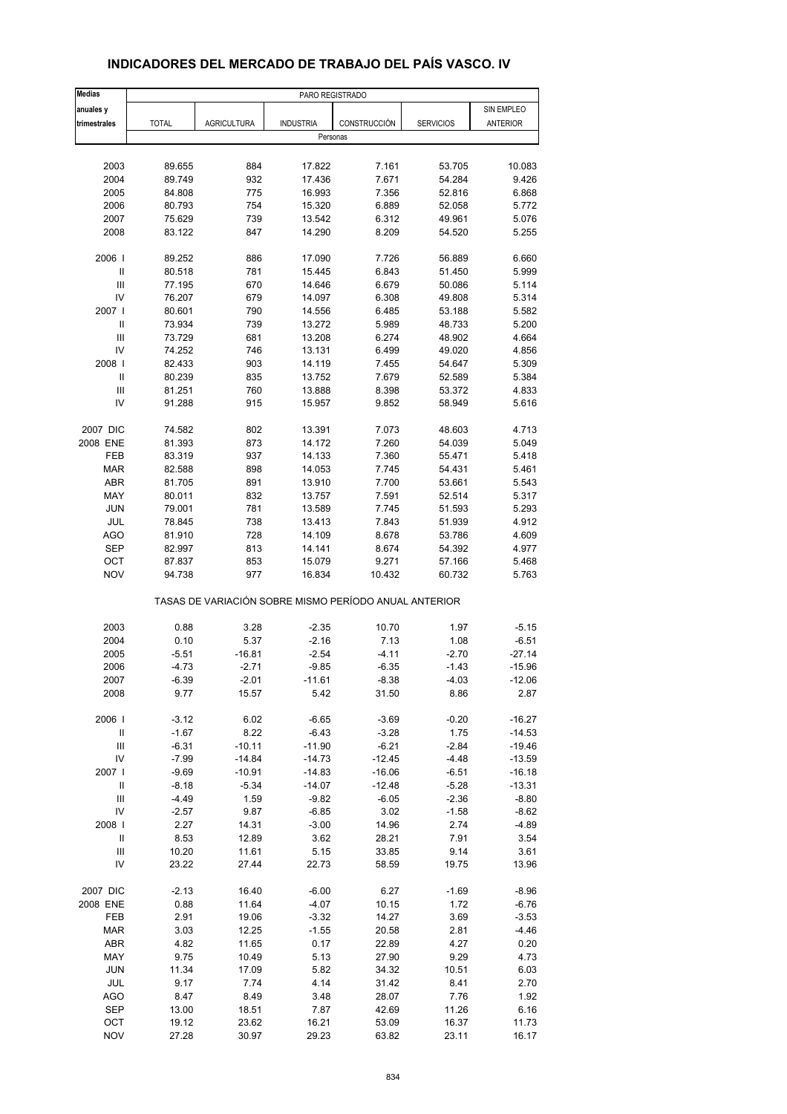| <b>Medias</b>                      |                  |                                                       | PARO REGISTRADO  |                 |                  |                |
|------------------------------------|------------------|-------------------------------------------------------|------------------|-----------------|------------------|----------------|
| anuales y                          |                  |                                                       |                  |                 |                  | SIN EMPLEO     |
| trimestrales                       | <b>TOTAL</b>     | <b>AGRICULTURA</b>                                    | <b>INDUSTRIA</b> | CONSTRUCCIÓN    | <b>SERVICIOS</b> | ANTERIOR       |
|                                    |                  |                                                       | Personas         |                 |                  |                |
|                                    |                  |                                                       |                  |                 |                  |                |
| 2003                               | 89.655           | 884                                                   | 17.822           | 7.161           | 53.705           | 10.083         |
| 2004                               | 89.749           | 932                                                   | 17.436           | 7.671           | 54.284           | 9.426          |
| 2005                               | 84.808           | 775                                                   | 16.993           | 7.356           | 52.816           | 6.868          |
| 2006                               | 80.793           | 754                                                   | 15.320           | 6.889           | 52.058           | 5.772          |
| 2007                               | 75.629           | 739                                                   | 13.542           | 6.312           | 49.961           | 5.076          |
| 2008                               | 83.122           | 847                                                   | 14.290           | 8.209           | 54.520           | 5.255          |
| 2006                               | 89.252           | 886                                                   | 17.090           | 7.726           | 56.889           | 6.660          |
| $\ensuremath{\mathsf{II}}$         | 80.518           | 781                                                   | 15.445           | 6.843           | 51.450           | 5.999          |
| Ш                                  | 77.195           | 670                                                   | 14.646           | 6.679           | 50.086           | 5.114          |
| IV                                 | 76.207           | 679                                                   | 14.097           | 6.308           | 49.808           | 5.314          |
| 2007 l                             | 80.601           | 790                                                   | 14.556           | 6.485           | 53.188           | 5.582          |
| Ш                                  | 73.934           | 739                                                   | 13.272           | 5.989           | 48.733           | 5.200          |
| $\mathsf{III}$                     | 73.729           | 681                                                   | 13.208           | 6.274           | 48.902           | 4.664          |
| IV                                 | 74.252           | 746                                                   | 13.131           | 6.499           | 49.020           | 4.856          |
| 2008                               | 82.433           | 903                                                   | 14.119           | 7.455           | 54.647           | 5.309          |
| $\ensuremath{\mathsf{II}}$         | 80.239           | 835                                                   | 13.752           | 7.679           | 52.589           | 5.384          |
| Ш                                  | 81.251           | 760                                                   | 13.888           | 8.398           | 53.372           | 4.833          |
| IV                                 | 91.288           | 915                                                   | 15.957           | 9.852           | 58.949           | 5.616          |
|                                    |                  |                                                       |                  |                 |                  |                |
| 2007 DIC                           | 74.582           | 802                                                   | 13.391           | 7.073           | 48.603           | 4.713          |
| 2008 ENE                           | 81.393           | 873                                                   | 14.172           | 7.260           | 54.039           | 5.049          |
| FEB                                | 83.319           | 937                                                   | 14.133           | 7.360           | 55.471           | 5.418          |
| <b>MAR</b>                         | 82.588           | 898                                                   | 14.053           | 7.745           | 54.431           | 5.461          |
| <b>ABR</b>                         | 81.705           | 891                                                   | 13.910           | 7.700           | 53.661           | 5.543          |
| MAY                                | 80.011           | 832                                                   | 13.757           | 7.591           | 52.514           | 5.317          |
| <b>JUN</b>                         | 79.001           | 781                                                   | 13.589           | 7.745           | 51.593           | 5.293          |
| JUL                                | 78.845           | 738                                                   | 13.413           | 7.843           | 51.939           | 4.912          |
| <b>AGO</b>                         | 81.910           | 728                                                   | 14.109           | 8.678           | 53.786           | 4.609          |
| <b>SEP</b>                         | 82.997           | 813                                                   | 14.141           | 8.674           | 54.392           | 4.977          |
| OCT<br><b>NOV</b>                  | 87.837<br>94.738 | 853<br>977                                            | 15.079<br>16.834 | 9.271<br>10.432 | 57.166<br>60.732 | 5.468<br>5.763 |
|                                    |                  | TASAS DE VARIACIÓN SOBRE MISMO PERÍODO ANUAL ANTERIOR |                  |                 |                  |                |
|                                    |                  |                                                       |                  |                 |                  |                |
| 2003                               | 0.88             | 3.28                                                  | $-2.35$          | 10.70           | 1.97             | $-5.15$        |
| 2004                               | 0.10             | 5.37                                                  | $-2.16$          | 7.13            | 1.08             | $-6.51$        |
| 2005                               | $-5.51$          | $-16.81$                                              | $-2.54$          | $-4.11$         | $-2.70$          | $-27.14$       |
| 2006                               | $-4.73$          | $-2.71$                                               | $-9.85$          | $-6.35$         | $-1.43$          | $-15.96$       |
| 2007                               | -6.39            | -2.01                                                 | -11.61           | -8.38           | -4.03            | -12.06         |
| 2008                               | 9.77             | 15.57                                                 | 5.42             | 31.50           | 8.86             | 2.87           |
| 2006                               | $-3.12$          | 6.02                                                  | $-6.65$          | $-3.69$         | $-0.20$          | $-16.27$       |
| $\ensuremath{\mathsf{II}}$         | $-1.67$          | 8.22                                                  | $-6.43$          | $-3.28$         | 1.75             | $-14.53$       |
| Ш                                  | $-6.31$          | $-10.11$                                              | $-11.90$         | $-6.21$         | $-2.84$          | $-19.46$       |
| IV                                 | $-7.99$          | $-14.84$                                              | $-14.73$         | $-12.45$        | $-4.48$          | $-13.59$       |
| 2007                               | $-9.69$          | $-10.91$                                              | $-14.83$         | $-16.06$        | $-6.51$          | -16.18         |
| $\ensuremath{\mathsf{II}}$         | $-8.18$          | $-5.34$                                               | $-14.07$         | $-12.48$        | $-5.28$          | $-13.31$       |
| $\ensuremath{\mathsf{III}}\xspace$ | $-4.49$          | 1.59                                                  | $-9.82$          | $-6.05$         | $-2.36$          | $-8.80$        |
| IV                                 | $-2.57$          | 9.87                                                  | $-6.85$          | 3.02            | $-1.58$          | $-8.62$        |
| 2008                               | 2.27             | 14.31                                                 | $-3.00$          | 14.96           | 2.74             | $-4.89$        |
| Ш                                  | 8.53             | 12.89                                                 | 3.62             | 28.21           | 7.91             | 3.54           |
| $\ensuremath{\mathsf{III}}\xspace$ | 10.20            | 11.61                                                 | 5.15             | 33.85           | 9.14             | 3.61           |
| IV                                 | 23.22            | 27.44                                                 | 22.73            | 58.59           | 19.75            | 13.96          |
| 2007 DIC                           | $-2.13$          | 16.40                                                 | $-6.00$          | 6.27            | -1.69            | $-8.96$        |
| 2008 ENE                           | 0.88             | 11.64                                                 | $-4.07$          | 10.15           | 1.72             | $-6.76$        |
| FEB                                | 2.91             | 19.06                                                 | $-3.32$          | 14.27           | 3.69             | $-3.53$        |
| <b>MAR</b>                         | 3.03             | 12.25                                                 | $-1.55$          | 20.58           | 2.81             | $-4.46$        |
| ABR                                | 4.82             | 11.65                                                 | 0.17             | 22.89           | 4.27             | 0.20           |
| MAY                                | 9.75             | 10.49                                                 | 5.13             | 27.90           | 9.29             | 4.73           |
| <b>JUN</b>                         | 11.34            | 17.09                                                 | 5.82             | 34.32           | 10.51            | 6.03           |
| JUL                                | 9.17             | 7.74                                                  | 4.14             | 31.42           | 8.41             | 2.70           |
| AGO                                | 8.47             | 8.49                                                  | 3.48             | 28.07           | 7.76             | 1.92           |
| SEP                                | 13.00            | 18.51                                                 | 7.87             | 42.69           | 11.26            | 6.16           |
| OCT                                | 19.12            | 23.62                                                 | 16.21            | 53.09           | 16.37            | 11.73          |
| <b>NOV</b>                         | 27.28            | 30.97                                                 | 29.23            | 63.82           | 23.11            | 16.17          |

### **INDICADORES DEL MERCADO DE TRABAJO DEL PAÍS VASCO. IV**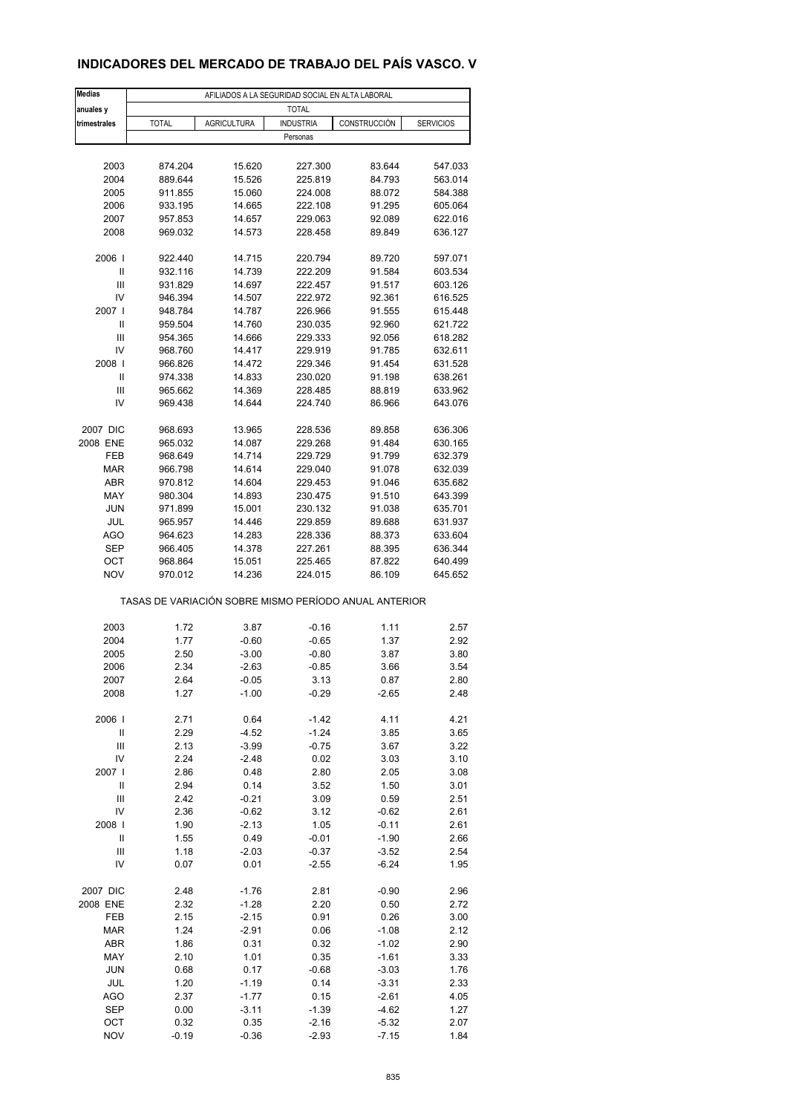# **INDICADORES DEL MERCADO DE TRABAJO DEL PAÍS VASCO. V**

| <b>Medias</b>        | AFILIADOS A LA SEGURIDAD SOCIAL EN ALTA LABORAL       |                    |                    |                    |                    |  |  |  |  |  |
|----------------------|-------------------------------------------------------|--------------------|--------------------|--------------------|--------------------|--|--|--|--|--|
| anuales y            |                                                       |                    | <b>TOTAL</b>       |                    |                    |  |  |  |  |  |
| trimestrales         | <b>TOTAL</b>                                          | <b>AGRICULTURA</b> | <b>INDUSTRIA</b>   | CONSTRUCCIÓN       | <b>SERVICIOS</b>   |  |  |  |  |  |
|                      |                                                       |                    | Personas           |                    |                    |  |  |  |  |  |
|                      |                                                       |                    |                    |                    |                    |  |  |  |  |  |
| 2003                 | 874.204                                               | 15.620             | 227.300            | 83.644             | 547.033            |  |  |  |  |  |
| 2004                 | 889.644                                               | 15.526             | 225.819            | 84.793             | 563.014            |  |  |  |  |  |
| 2005                 | 911.855                                               | 15.060             | 224.008            | 88.072             | 584.388            |  |  |  |  |  |
| 2006                 | 933.195                                               | 14.665             | 222.108            | 91.295             | 605.064            |  |  |  |  |  |
| 2007                 | 957.853                                               | 14.657             | 229.063            | 92.089             | 622.016            |  |  |  |  |  |
| 2008                 | 969.032                                               | 14.573             | 228.458            | 89.849             | 636.127            |  |  |  |  |  |
| 2006                 | 922.440                                               | 14.715             | 220.794            | 89.720             | 597.071            |  |  |  |  |  |
| Ш                    | 932.116                                               | 14.739             | 222.209            | 91.584             | 603.534            |  |  |  |  |  |
| Ш                    | 931.829                                               | 14.697             | 222.457            | 91.517             | 603.126            |  |  |  |  |  |
| IV                   | 946.394                                               | 14.507             | 222.972            | 92.361             | 616.525            |  |  |  |  |  |
| 2007 l               | 948.784                                               | 14.787             | 226.966            | 91.555             | 615.448            |  |  |  |  |  |
| Ш                    | 959.504                                               | 14.760             | 230.035            | 92.960             | 621.722            |  |  |  |  |  |
| Ш                    | 954.365                                               | 14.666             | 229.333            | 92.056             | 618.282            |  |  |  |  |  |
| IV                   | 968.760                                               | 14.417             | 229.919            | 91.785             | 632.611            |  |  |  |  |  |
| 2008                 | 966.826                                               | 14.472             | 229.346            | 91.454             | 631.528            |  |  |  |  |  |
| Ш                    | 974.338                                               | 14.833             | 230.020            | 91.198             | 638.261            |  |  |  |  |  |
| Ш                    | 965.662                                               | 14.369             | 228.485            | 88.819             | 633.962            |  |  |  |  |  |
| IV                   | 969.438                                               | 14.644             | 224.740            | 86.966             | 643.076            |  |  |  |  |  |
|                      |                                                       |                    |                    |                    |                    |  |  |  |  |  |
| 2007 DIC<br>2008 ENE | 968.693<br>965.032                                    | 13.965<br>14.087   | 228.536<br>229.268 | 89.858<br>91.484   | 636.306<br>630.165 |  |  |  |  |  |
| FEB                  | 968.649                                               | 14.714             | 229.729            | 91.799             | 632.379            |  |  |  |  |  |
| <b>MAR</b>           | 966.798                                               | 14.614             | 229.040            | 91.078             | 632.039            |  |  |  |  |  |
| ABR                  | 970.812                                               | 14.604             | 229.453            | 91.046             | 635.682            |  |  |  |  |  |
| MAY                  | 980.304                                               | 14.893             | 230.475            | 91.510             | 643.399            |  |  |  |  |  |
| <b>JUN</b>           | 971.899                                               | 15.001             | 230.132            | 91.038             | 635.701            |  |  |  |  |  |
| JUL                  | 965.957                                               | 14.446             | 229.859            | 89.688             | 631.937            |  |  |  |  |  |
| AGO                  | 964.623                                               | 14.283             | 228.336            | 88.373             | 633.604            |  |  |  |  |  |
| <b>SEP</b>           | 966.405                                               | 14.378             | 227.261            | 88.395             | 636.344            |  |  |  |  |  |
| ОСТ                  | 968.864                                               | 15.051             | 225.465            | 87.822             | 640.499            |  |  |  |  |  |
| <b>NOV</b>           | 970.012                                               | 14.236             | 224.015            | 86.109             | 645.652            |  |  |  |  |  |
|                      | TASAS DE VARIACIÓN SOBRE MISMO PERÍODO ANUAL ANTERIOR |                    |                    |                    |                    |  |  |  |  |  |
| 2003                 | 1.72                                                  | 3.87               | $-0.16$            | 1.11               | 2.57               |  |  |  |  |  |
| 2004                 | 1.77                                                  | $-0.60$            | $-0.65$            | 1.37               | 2.92               |  |  |  |  |  |
| 2005                 | 2.50                                                  | $-3.00$            | $-0.80$            | 3.87               | 3.80               |  |  |  |  |  |
| 2006                 | 2.34                                                  | $-2.63$            | $-0.85$            | 3.66               | 3.54               |  |  |  |  |  |
| 2007                 | 2.64                                                  | $-0.05$            | 3.13               | 0.87               | 2.80               |  |  |  |  |  |
| 2008                 | 1.27                                                  | $-1.00$            | $-0.29$            | $-2.65$            | 2.48               |  |  |  |  |  |
|                      |                                                       |                    |                    |                    |                    |  |  |  |  |  |
| 2006                 | 2.71                                                  | 0.64               | $-1.42$            | 4.11               | 4.21               |  |  |  |  |  |
| $\sf II$             | 2.29                                                  | $-4.52$            | $-1.24$            | 3.85               | 3.65               |  |  |  |  |  |
| $\mathbf{III}$       | 2.13                                                  | $-3.99$            | $-0.75$            | 3.67               | 3.22               |  |  |  |  |  |
| IV                   | 2.24                                                  | $-2.48$            | 0.02               | 3.03               | 3.10               |  |  |  |  |  |
| 2007                 | 2.86                                                  | 0.48               | 2.80               | 2.05               | 3.08               |  |  |  |  |  |
| $\mathsf{I}$<br>Ш    | 2.94<br>2.42                                          | 0.14<br>$-0.21$    | 3.52<br>3.09       | 1.50<br>0.59       | 3.01<br>2.51       |  |  |  |  |  |
| IV                   | 2.36                                                  | $-0.62$            | 3.12               | $-0.62$            | 2.61               |  |  |  |  |  |
| 2008                 | 1.90                                                  | $-2.13$            | 1.05               | $-0.11$            | 2.61               |  |  |  |  |  |
| Ш                    | 1.55                                                  | 0.49               | $-0.01$            | $-1.90$            | 2.66               |  |  |  |  |  |
| Ш                    | 1.18                                                  | $-2.03$            | $-0.37$            | $-3.52$            | 2.54               |  |  |  |  |  |
| IV                   | 0.07                                                  | 0.01               | $-2.55$            | $-6.24$            | 1.95               |  |  |  |  |  |
|                      |                                                       |                    |                    |                    |                    |  |  |  |  |  |
| 2007 DIC             | 2.48                                                  | $-1.76$            | 2.81               | $-0.90$            | 2.96               |  |  |  |  |  |
| 2008 ENE             | 2.32                                                  | $-1.28$            | 2.20               | 0.50               | 2.72               |  |  |  |  |  |
| FEB                  | 2.15                                                  | $-2.15$            | 0.91               | 0.26               | 3.00               |  |  |  |  |  |
| <b>MAR</b>           | 1.24                                                  | $-2.91$            | 0.06               | $-1.08$            | 2.12               |  |  |  |  |  |
| ABR                  | 1.86                                                  | 0.31               | 0.32               | $-1.02$            | 2.90               |  |  |  |  |  |
| MAY                  | 2.10                                                  | 1.01               | 0.35               | $-1.61$            | 3.33               |  |  |  |  |  |
| <b>JUN</b>           | 0.68                                                  | 0.17               | $-0.68$            | $-3.03$            | 1.76               |  |  |  |  |  |
| JUL                  | 1.20                                                  | $-1.19$            | 0.14               | $-3.31$            | 2.33               |  |  |  |  |  |
| AGO                  | 2.37                                                  | $-1.77$            | 0.15               | $-2.61$            | 4.05               |  |  |  |  |  |
| SEP                  | 0.00                                                  | $-3.11$            | $-1.39$            | $-4.62$            | 1.27               |  |  |  |  |  |
| OCT<br><b>NOV</b>    | 0.32<br>$-0.19$                                       | 0.35<br>$-0.36$    | $-2.16$<br>$-2.93$ | $-5.32$<br>$-7.15$ | 2.07<br>1.84       |  |  |  |  |  |
|                      |                                                       |                    |                    |                    |                    |  |  |  |  |  |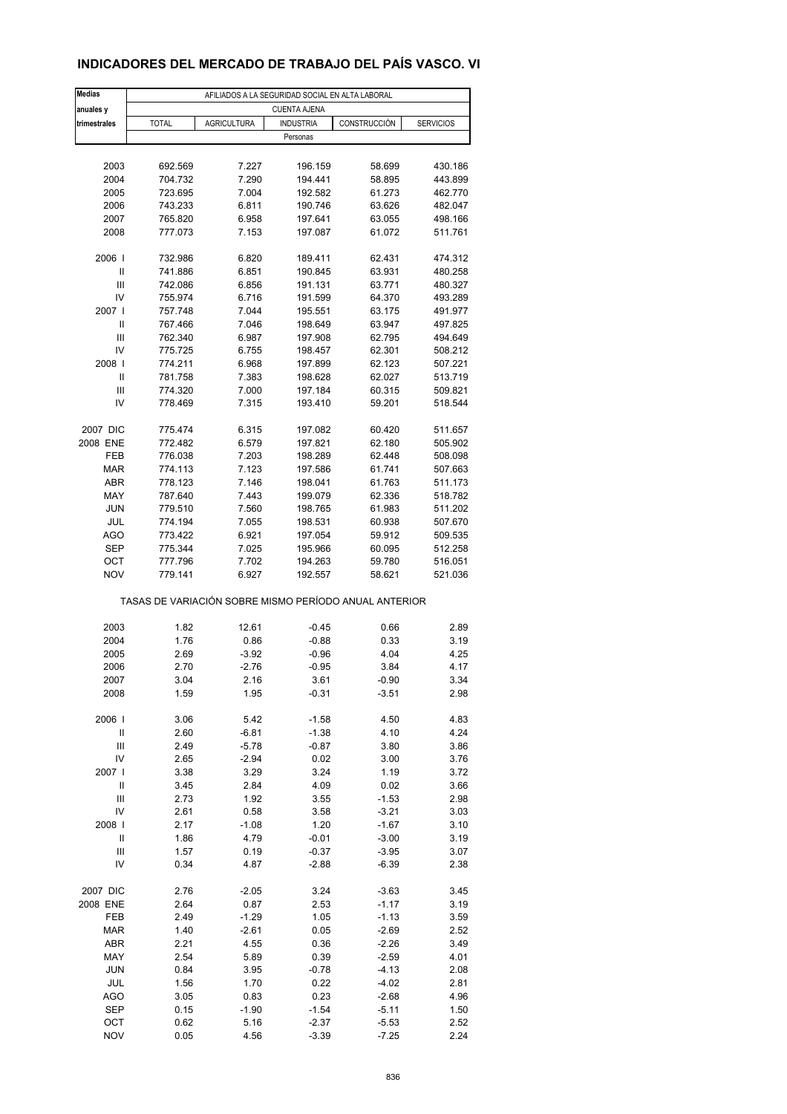### **INDICADORES DEL MERCADO DE TRABAJO DEL PAÍS VASCO. VI**

| <b>Medias</b>     |                                                       |                    | AFILIADOS A LA SEGURIDAD SOCIAL EN ALTA LABORAL |                    |                    |
|-------------------|-------------------------------------------------------|--------------------|-------------------------------------------------|--------------------|--------------------|
| anuales y         |                                                       |                    | <b>CUENTA AJENA</b>                             |                    |                    |
| trimestrales      | <b>TOTAL</b>                                          | <b>AGRICULTURA</b> | <b>INDUSTRIA</b>                                | CONSTRUCCIÓN       | <b>SERVICIOS</b>   |
|                   |                                                       |                    | Personas                                        |                    |                    |
|                   |                                                       |                    |                                                 |                    |                    |
| 2003              | 692.569                                               | 7.227              | 196.159                                         | 58.699             | 430.186            |
| 2004              | 704.732                                               | 7.290              | 194.441                                         | 58.895             | 443.899            |
| 2005              | 723.695                                               | 7.004              | 192.582                                         | 61.273             | 462.770            |
| 2006              | 743.233                                               | 6.811              | 190.746                                         | 63.626             | 482.047            |
| 2007              | 765.820                                               | 6.958              | 197.641                                         | 63.055             | 498.166            |
| 2008              | 777.073                                               | 7.153              | 197.087                                         | 61.072             | 511.761            |
| 2006              | 732.986                                               | 6.820              | 189.411                                         | 62.431             | 474.312            |
| Ш                 | 741.886                                               | 6.851              | 190.845                                         | 63.931             | 480.258            |
| Ш                 | 742.086                                               | 6.856              | 191.131                                         | 63.771             | 480.327            |
| IV                | 755.974                                               | 6.716              | 191.599                                         | 64.370             | 493.289            |
| 2007 l            | 757.748                                               | 7.044              | 195.551                                         | 63.175             | 491.977            |
| Ш                 | 767.466                                               | 7.046              | 198.649                                         | 63.947             | 497.825            |
| Ш                 | 762.340                                               | 6.987              | 197.908                                         | 62.795             | 494.649            |
| IV                | 775.725                                               | 6.755              | 198.457                                         | 62.301             | 508.212            |
| 2008              | 774.211                                               | 6.968              | 197.899                                         | 62.123             | 507.221            |
| Ш                 | 781.758                                               | 7.383              | 198.628                                         | 62.027             | 513.719            |
| Ш                 | 774.320                                               | 7.000              | 197.184                                         | 60.315             | 509.821            |
| IV                | 778.469                                               | 7.315              | 193.410                                         | 59.201             | 518.544            |
|                   |                                                       |                    |                                                 |                    |                    |
| 2007 DIC          | 775.474                                               | 6.315              | 197.082                                         | 60.420             | 511.657            |
| 2008 ENE          | 772.482                                               | 6.579              | 197.821<br>198.289                              | 62.180             | 505.902            |
| FEB<br><b>MAR</b> | 776.038<br>774.113                                    | 7.203<br>7.123     | 197.586                                         | 62.448<br>61.741   | 508.098<br>507.663 |
| ABR               | 778.123                                               | 7.146              | 198.041                                         | 61.763             | 511.173            |
| MAY               | 787.640                                               | 7.443              | 199.079                                         | 62.336             | 518.782            |
| <b>JUN</b>        | 779.510                                               | 7.560              | 198.765                                         | 61.983             | 511.202            |
| JUL               | 774.194                                               | 7.055              | 198.531                                         | 60.938             | 507.670            |
| AGO               | 773.422                                               | 6.921              | 197.054                                         | 59.912             | 509.535            |
| <b>SEP</b>        | 775.344                                               | 7.025              | 195.966                                         | 60.095             | 512.258            |
| OCT               | 777.796                                               | 7.702              | 194.263                                         | 59.780             | 516.051            |
| <b>NOV</b>        | 779.141                                               | 6.927              | 192.557                                         | 58.621             | 521.036            |
|                   | TASAS DE VARIACIÓN SOBRE MISMO PERÍODO ANUAL ANTERIOR |                    |                                                 |                    |                    |
| 2003              | 1.82                                                  | 12.61              | $-0.45$                                         | 0.66               | 2.89               |
| 2004              | 1.76                                                  | 0.86               | $-0.88$                                         | 0.33               | 3.19               |
| 2005              | 2.69                                                  | $-3.92$            | $-0.96$                                         | 4.04               | 4.25               |
| 2006              | 2.70                                                  | $-2.76$            | $-0.95$                                         | 3.84               | 4.17               |
| 2007              | 3.04                                                  | 2.16               | 3.61                                            | $-0.90$            | 3.34               |
| 2008              | 1.59                                                  | 1.95               | $-0.31$                                         | $-3.51$            | 2.98               |
|                   |                                                       |                    |                                                 |                    |                    |
| 2006              | 3.06                                                  | 5.42               | $-1.58$                                         | 4.50               | 4.83               |
| Ш                 | 2.60                                                  | $-6.81$            | $-1.38$                                         | 4.10               | 4.24               |
| $\mathbf{III}$    | 2.49                                                  | $-5.78$            | $-0.87$                                         | 3.80               | 3.86               |
| IV                | 2.65                                                  | $-2.94$            | 0.02                                            | 3.00               | 3.76               |
| 2007              | 3.38                                                  | 3.29               | 3.24                                            | 1.19               | 3.72               |
| $\mathsf{I}$      | 3.45                                                  | 2.84               | 4.09                                            | 0.02               | 3.66               |
| Ш<br>IV           | 2.73<br>2.61                                          | 1.92<br>0.58       | 3.55<br>3.58                                    | $-1.53$<br>$-3.21$ | 2.98<br>3.03       |
| 2008              | 2.17                                                  | $-1.08$            | 1.20                                            | $-1.67$            | 3.10               |
| Ш                 | 1.86                                                  | 4.79               | $-0.01$                                         | $-3.00$            | 3.19               |
| Ш                 | 1.57                                                  | 0.19               | $-0.37$                                         | $-3.95$            | 3.07               |
| IV                | 0.34                                                  | 4.87               | $-2.88$                                         | $-6.39$            | 2.38               |
|                   |                                                       |                    |                                                 |                    |                    |
| 2007 DIC          | 2.76                                                  | $-2.05$            | 3.24                                            | $-3.63$            | 3.45               |
| 2008 ENE          | 2.64                                                  | 0.87               | 2.53                                            | $-1.17$            | 3.19               |
| FEB               | 2.49                                                  | $-1.29$            | 1.05                                            | $-1.13$            | 3.59               |
| <b>MAR</b>        | 1.40                                                  | $-2.61$            | 0.05                                            | $-2.69$            | 2.52               |
| ABR               | 2.21                                                  | 4.55               | 0.36                                            | $-2.26$            | 3.49               |
| MAY               | 2.54                                                  | 5.89               | 0.39                                            | $-2.59$            | 4.01               |
| <b>JUN</b>        | 0.84                                                  | 3.95               | -0.78                                           | $-4.13$            | 2.08               |
| JUL               | 1.56                                                  | 1.70               | 0.22                                            | $-4.02$            | 2.81               |
| AGO               | 3.05                                                  | 0.83               | 0.23                                            | $-2.68$            | 4.96               |
| <b>SEP</b>        | 0.15                                                  | $-1.90$            | -1.54                                           | $-5.11$            | 1.50               |
| OCT               | 0.62                                                  | 5.16               | $-2.37$                                         | $-5.53$            | 2.52               |
| <b>NOV</b>        | 0.05                                                  | 4.56               | $-3.39$                                         | $-7.25$            | 2.24               |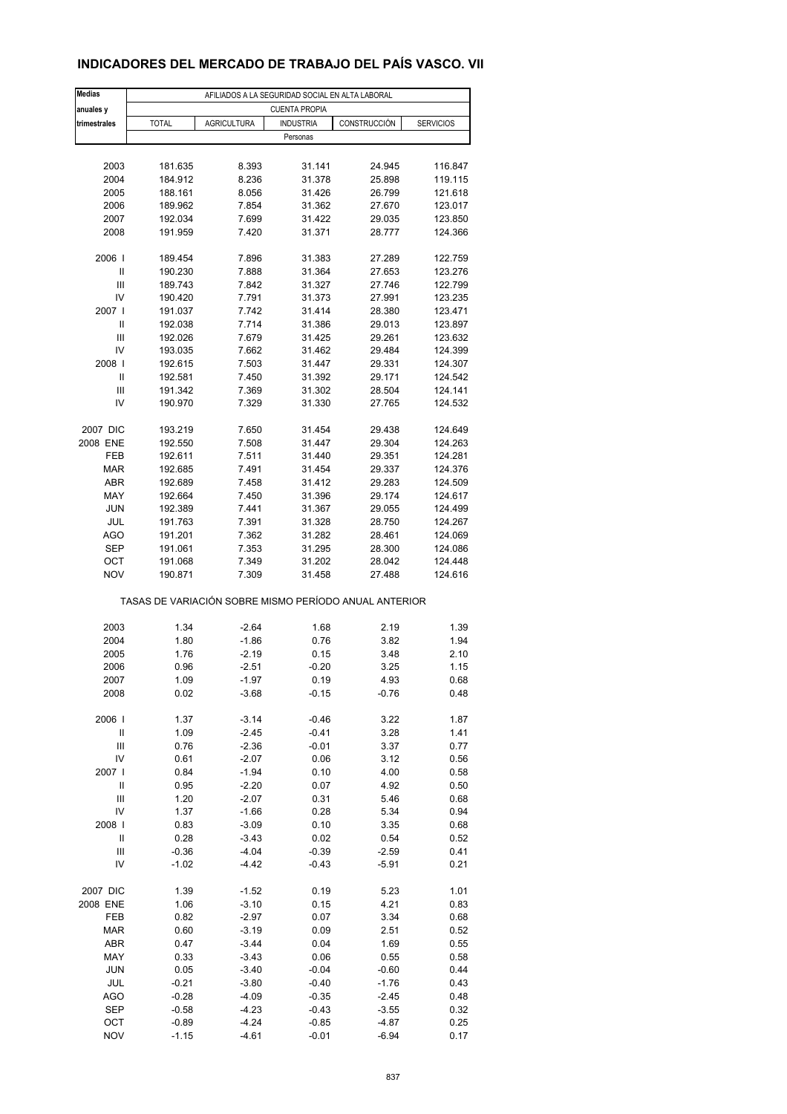### **INDICADORES DEL MERCADO DE TRABAJO DEL PAÍS VASCO. VII**

| <b>Medias</b><br>anuales y |              | AFILIADOS A LA SEGURIDAD SOCIAL EN ALTA LABORAL<br><b>CUENTA PROPIA</b> |                  |              |                  |  |  |  |  |  |
|----------------------------|--------------|-------------------------------------------------------------------------|------------------|--------------|------------------|--|--|--|--|--|
| trimestrales               | <b>TOTAL</b> | <b>AGRICULTURA</b>                                                      | <b>INDUSTRIA</b> | CONSTRUCCIÓN | <b>SERVICIOS</b> |  |  |  |  |  |
|                            |              |                                                                         | Personas         |              |                  |  |  |  |  |  |
|                            |              |                                                                         |                  |              |                  |  |  |  |  |  |
| 2003                       | 181.635      | 8.393                                                                   | 31.141           | 24.945       | 116.847          |  |  |  |  |  |
| 2004                       | 184.912      | 8.236                                                                   | 31.378           | 25.898       | 119.115          |  |  |  |  |  |
| 2005                       | 188.161      | 8.056                                                                   | 31.426           | 26.799       | 121.618          |  |  |  |  |  |
| 2006                       | 189.962      | 7.854                                                                   | 31.362           | 27.670       | 123.017          |  |  |  |  |  |
| 2007                       | 192.034      | 7.699                                                                   | 31.422           | 29.035       | 123.850          |  |  |  |  |  |
| 2008                       | 191.959      | 7.420                                                                   | 31.371           | 28.777       | 124.366          |  |  |  |  |  |
|                            |              |                                                                         |                  |              |                  |  |  |  |  |  |
| 2006                       | 189.454      | 7.896                                                                   | 31.383           | 27.289       | 122.759          |  |  |  |  |  |
| Ш                          | 190.230      | 7.888                                                                   | 31.364           | 27.653       | 123.276          |  |  |  |  |  |
| Ш                          | 189.743      | 7.842                                                                   | 31.327           | 27.746       | 122.799          |  |  |  |  |  |
| IV                         | 190.420      | 7.791                                                                   | 31.373           | 27.991       | 123.235          |  |  |  |  |  |
| 2007 l                     | 191.037      | 7.742                                                                   | 31.414           | 28.380       | 123.471          |  |  |  |  |  |
| Ш                          | 192.038      | 7.714                                                                   | 31.386           | 29.013       | 123.897          |  |  |  |  |  |
| Ш                          | 192.026      | 7.679                                                                   | 31.425           | 29.261       | 123.632          |  |  |  |  |  |
| IV                         | 193.035      | 7.662                                                                   | 31.462           | 29.484       | 124.399          |  |  |  |  |  |
| 2008                       | 192.615      | 7.503                                                                   | 31.447           | 29.331       | 124.307          |  |  |  |  |  |
| Ш                          | 192.581      | 7.450                                                                   | 31.392           | 29.171       | 124.542          |  |  |  |  |  |
|                            |              |                                                                         |                  |              |                  |  |  |  |  |  |
| Ш                          | 191.342      | 7.369                                                                   | 31.302           | 28.504       | 124.141          |  |  |  |  |  |
| IV                         | 190.970      | 7.329                                                                   | 31.330           | 27.765       | 124.532          |  |  |  |  |  |
| 2007 DIC                   | 193.219      | 7.650                                                                   | 31.454           |              | 124.649          |  |  |  |  |  |
| 2008 ENE                   | 192.550      | 7.508                                                                   | 31.447           | 29.438       | 124.263          |  |  |  |  |  |
|                            |              |                                                                         |                  | 29.304       |                  |  |  |  |  |  |
| FEB                        | 192.611      | 7.511                                                                   | 31.440           | 29.351       | 124.281          |  |  |  |  |  |
| <b>MAR</b>                 | 192.685      | 7.491                                                                   | 31.454           | 29.337       | 124.376          |  |  |  |  |  |
| <b>ABR</b>                 | 192.689      | 7.458                                                                   | 31.412           | 29.283       | 124.509          |  |  |  |  |  |
| MAY                        | 192.664      | 7.450                                                                   | 31.396           | 29.174       | 124.617          |  |  |  |  |  |
| <b>JUN</b>                 | 192.389      | 7.441                                                                   | 31.367           | 29.055       | 124.499          |  |  |  |  |  |
| JUL                        | 191.763      | 7.391                                                                   | 31.328           | 28.750       | 124.267          |  |  |  |  |  |
| AGO                        | 191.201      | 7.362                                                                   | 31.282           | 28.461       | 124.069          |  |  |  |  |  |
| <b>SEP</b>                 | 191.061      | 7.353                                                                   | 31.295           | 28.300       | 124.086          |  |  |  |  |  |
| OCT                        | 191.068      | 7.349                                                                   | 31.202           | 28.042       | 124.448          |  |  |  |  |  |
| <b>NOV</b>                 | 190.871      | 7.309                                                                   | 31.458           | 27.488       | 124.616          |  |  |  |  |  |
|                            |              | TASAS DE VARIACIÓN SOBRE MISMO PERÍODO ANUAL ANTERIOR                   |                  |              |                  |  |  |  |  |  |
|                            |              |                                                                         |                  |              |                  |  |  |  |  |  |
| 2003                       | 1.34         | $-2.64$                                                                 | 1.68             | 2.19         | 1.39             |  |  |  |  |  |
| 2004                       | 1.80         | $-1.86$                                                                 | 0.76             | 3.82         | 1.94             |  |  |  |  |  |
| 2005                       | 1.76         | $-2.19$                                                                 | 0.15             | 3.48         | 2.10             |  |  |  |  |  |
| 2006                       | 0.96         | $-2.51$                                                                 | $-0.20$          | 3.25         | 1.15             |  |  |  |  |  |
| 2007                       | 1.09         | $-1.97$                                                                 | 0.19             | 4.93         | 0.68             |  |  |  |  |  |
| 2008                       | 0.02         | $-3.68$                                                                 | $-0.15$          | $-0.76$      | 0.48             |  |  |  |  |  |
|                            |              |                                                                         |                  |              |                  |  |  |  |  |  |
| 2006                       | 1.37         | $-3.14$                                                                 | $-0.46$          | 3.22         | 1.87             |  |  |  |  |  |
| $\sf II$                   | 1.09         | $-2.45$                                                                 | $-0.41$          | 3.28         | 1.41             |  |  |  |  |  |
| Ш                          | 0.76         | $-2.36$                                                                 | $-0.01$          | 3.37         | 0.77             |  |  |  |  |  |
| IV                         | 0.61         | $-2.07$                                                                 | 0.06             | 3.12         | 0.56             |  |  |  |  |  |
| 2007                       | 0.84         | $-1.94$                                                                 | 0.10             | 4.00         | 0.58             |  |  |  |  |  |
| $\mathsf{I}$               | 0.95         | $-2.20$                                                                 | 0.07             | 4.92         | 0.50             |  |  |  |  |  |
| Ш                          | 1.20         | $-2.07$                                                                 | 0.31             | 5.46         | 0.68             |  |  |  |  |  |
| IV                         | 1.37         | $-1.66$                                                                 | 0.28             | 5.34         | 0.94             |  |  |  |  |  |
| 2008                       | 0.83         | $-3.09$                                                                 | 0.10             | 3.35         | 0.68             |  |  |  |  |  |
| $\ensuremath{\mathsf{II}}$ | 0.28         | $-3.43$                                                                 | 0.02             | 0.54         | 0.52             |  |  |  |  |  |
|                            |              |                                                                         |                  |              |                  |  |  |  |  |  |
| Ш                          | $-0.36$      | $-4.04$                                                                 | $-0.39$          | $-2.59$      | 0.41             |  |  |  |  |  |
| IV                         | $-1.02$      | $-4.42$                                                                 | $-0.43$          | $-5.91$      | 0.21             |  |  |  |  |  |
| 2007 DIC                   | 1.39         | $-1.52$                                                                 | 0.19             | 5.23         | 1.01             |  |  |  |  |  |
| 2008 ENE                   | 1.06         | $-3.10$                                                                 | 0.15             | 4.21         | 0.83             |  |  |  |  |  |
| FEB                        | 0.82         | $-2.97$                                                                 | 0.07             | 3.34         | 0.68             |  |  |  |  |  |
| <b>MAR</b>                 | 0.60         | $-3.19$                                                                 | 0.09             | 2.51         | 0.52             |  |  |  |  |  |
|                            |              |                                                                         |                  |              |                  |  |  |  |  |  |
| ABR                        | 0.47         | $-3.44$                                                                 | 0.04             | 1.69         | 0.55             |  |  |  |  |  |
| MAY                        | 0.33         | $-3.43$                                                                 | 0.06             | 0.55         | 0.58             |  |  |  |  |  |
| <b>JUN</b>                 | 0.05         | $-3.40$                                                                 | $-0.04$          | $-0.60$      | 0.44             |  |  |  |  |  |
| JUL                        | $-0.21$      | $-3.80$                                                                 | $-0.40$          | $-1.76$      | 0.43             |  |  |  |  |  |
| AGO                        | -0.28        | $-4.09$                                                                 | $-0.35$          | $-2.45$      | 0.48             |  |  |  |  |  |
| <b>SEP</b>                 | $-0.58$      | $-4.23$                                                                 | $-0.43$          | $-3.55$      | 0.32             |  |  |  |  |  |
| OCT                        | -0.89        | $-4.24$                                                                 | $-0.85$          | $-4.87$      | 0.25             |  |  |  |  |  |
| <b>NOV</b>                 | $-1.15$      | $-4.61$                                                                 | $-0.01$          | $-6.94$      | 0.17             |  |  |  |  |  |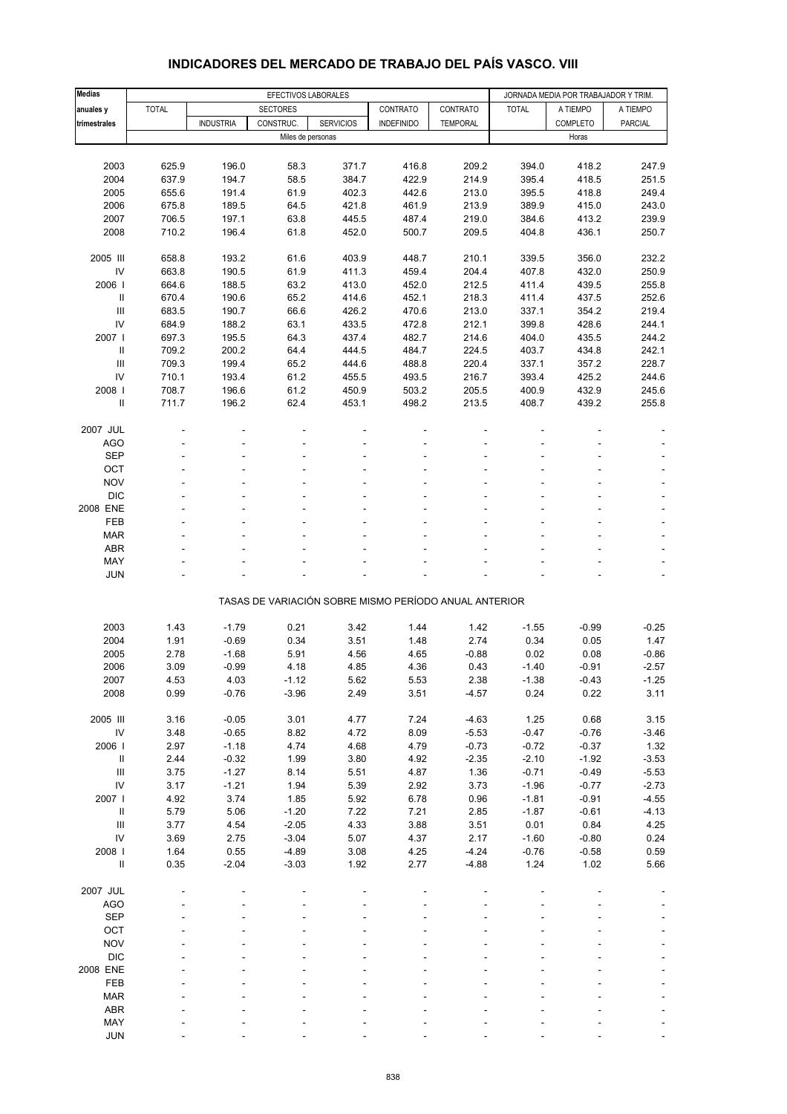| Medias                                 |                | EFECTIVOS LABORALES |                   |                  |                                                       |                 | JORNADA MEDIA POR TRABAJADOR Y TRIM. |                    |                    |  |
|----------------------------------------|----------------|---------------------|-------------------|------------------|-------------------------------------------------------|-----------------|--------------------------------------|--------------------|--------------------|--|
| anuales y                              | <b>TOTAL</b>   |                     | <b>SECTORES</b>   |                  | CONTRATO                                              | CONTRATO        | <b>TOTAL</b>                         | A TIEMPO           | A TIEMPO           |  |
| trimestrales                           |                | <b>INDUSTRIA</b>    | CONSTRUC.         | <b>SERVICIOS</b> | <b>INDEFINIDO</b>                                     | TEMPORAL        |                                      | COMPLETO           | PARCIAL            |  |
|                                        |                |                     | Miles de personas |                  |                                                       |                 |                                      | Horas              |                    |  |
|                                        |                |                     |                   |                  |                                                       |                 |                                      |                    |                    |  |
| 2003                                   | 625.9          | 196.0               | 58.3              | 371.7            | 416.8                                                 | 209.2           | 394.0                                | 418.2              | 247.9              |  |
| 2004<br>2005                           | 637.9<br>655.6 | 194.7<br>191.4      | 58.5<br>61.9      | 384.7<br>402.3   | 422.9<br>442.6                                        | 214.9<br>213.0  | 395.4<br>395.5                       | 418.5<br>418.8     | 251.5<br>249.4     |  |
| 2006                                   | 675.8          | 189.5               | 64.5              | 421.8            | 461.9                                                 | 213.9           | 389.9                                | 415.0              | 243.0              |  |
| 2007                                   | 706.5          | 197.1               | 63.8              | 445.5            | 487.4                                                 | 219.0           | 384.6                                | 413.2              | 239.9              |  |
| 2008                                   | 710.2          | 196.4               | 61.8              | 452.0            | 500.7                                                 | 209.5           | 404.8                                | 436.1              | 250.7              |  |
|                                        |                |                     |                   |                  |                                                       |                 |                                      |                    |                    |  |
| 2005 III                               | 658.8          | 193.2               | 61.6              | 403.9            | 448.7                                                 | 210.1           | 339.5                                | 356.0              | 232.2              |  |
| IV                                     | 663.8          | 190.5               | 61.9              | 411.3            | 459.4                                                 | 204.4           | 407.8                                | 432.0              | 250.9              |  |
| 2006                                   | 664.6          | 188.5               | 63.2              | 413.0            | 452.0                                                 | 212.5           | 411.4                                | 439.5              | 255.8              |  |
| $\,$ II                                | 670.4          | 190.6               | 65.2              | 414.6            | 452.1                                                 | 218.3           | 411.4                                | 437.5              | 252.6              |  |
| $\mathbf{III}$<br>IV                   | 683.5          | 190.7               | 66.6<br>63.1      | 426.2<br>433.5   | 470.6                                                 | 213.0<br>212.1  | 337.1<br>399.8                       | 354.2<br>428.6     | 219.4<br>244.1     |  |
| 2007 l                                 | 684.9<br>697.3 | 188.2<br>195.5      | 64.3              | 437.4            | 472.8<br>482.7                                        | 214.6           | 404.0                                | 435.5              | 244.2              |  |
| $\mathbf{I}$                           | 709.2          | 200.2               | 64.4              | 444.5            | 484.7                                                 | 224.5           | 403.7                                | 434.8              | 242.1              |  |
| $\mathbf{III}$                         | 709.3          | 199.4               | 65.2              | 444.6            | 488.8                                                 | 220.4           | 337.1                                | 357.2              | 228.7              |  |
| IV                                     | 710.1          | 193.4               | 61.2              | 455.5            | 493.5                                                 | 216.7           | 393.4                                | 425.2              | 244.6              |  |
| 2008                                   | 708.7          | 196.6               | 61.2              | 450.9            | 503.2                                                 | 205.5           | 400.9                                | 432.9              | 245.6              |  |
| Ш                                      | 711.7          | 196.2               | 62.4              | 453.1            | 498.2                                                 | 213.5           | 408.7                                | 439.2              | 255.8              |  |
|                                        |                |                     |                   |                  |                                                       |                 |                                      |                    |                    |  |
| 2007 JUL                               |                |                     |                   |                  |                                                       |                 |                                      |                    |                    |  |
| <b>AGO</b><br><b>SEP</b>               |                |                     |                   |                  |                                                       |                 |                                      |                    |                    |  |
| OCT                                    |                |                     |                   |                  |                                                       |                 |                                      |                    |                    |  |
| <b>NOV</b>                             |                |                     |                   |                  |                                                       |                 |                                      |                    |                    |  |
| <b>DIC</b>                             |                |                     |                   |                  |                                                       |                 |                                      |                    |                    |  |
| 2008 ENE                               |                |                     |                   |                  |                                                       |                 |                                      |                    | ÷,                 |  |
| FEB                                    |                |                     |                   |                  |                                                       |                 |                                      |                    |                    |  |
| <b>MAR</b>                             |                |                     |                   |                  |                                                       |                 |                                      |                    |                    |  |
| <b>ABR</b>                             |                |                     |                   |                  |                                                       |                 |                                      |                    |                    |  |
| MAY                                    |                |                     |                   |                  |                                                       |                 |                                      |                    |                    |  |
| <b>JUN</b>                             |                |                     |                   |                  |                                                       |                 |                                      |                    |                    |  |
|                                        |                |                     |                   |                  | TASAS DE VARIACIÓN SOBRE MISMO PERÍODO ANUAL ANTERIOR |                 |                                      |                    |                    |  |
|                                        |                |                     |                   |                  |                                                       |                 |                                      |                    |                    |  |
| 2003                                   | 1.43           | $-1.79$             | 0.21              | 3.42             | 1.44                                                  | 1.42            | $-1.55$                              | $-0.99$            | $-0.25$            |  |
| 2004                                   | 1.91           | $-0.69$             | 0.34              | 3.51             | 1.48                                                  | 2.74            | 0.34                                 | 0.05               | 1.47               |  |
| 2005<br>2006                           | 2.78<br>3.09   | $-1.68$<br>$-0.99$  | 5.91<br>4.18      | 4.56             | 4.65<br>4.36                                          | $-0.88$<br>0.43 | 0.02                                 | 0.08               | $-0.86$<br>$-2.57$ |  |
| 2007                                   | 4.53           | 4.03                | -1.12             | 4.85<br>5.62     | 5.53                                                  | 2.38            | $-1.40$<br>$-1.38$                   | $-0.91$<br>-0.43   | -1.25              |  |
| 2008                                   | 0.99           | $-0.76$             | $-3.96$           | 2.49             | 3.51                                                  | $-4.57$         | 0.24                                 | 0.22               | 3.11               |  |
|                                        |                |                     |                   |                  |                                                       |                 |                                      |                    |                    |  |
| 2005 III                               | 3.16           | $-0.05$             | 3.01              | 4.77             | 7.24                                                  | $-4.63$         | 1.25                                 | 0.68               | 3.15               |  |
| ${\sf IV}$                             | 3.48           | $-0.65$             | 8.82              | 4.72             | 8.09                                                  | $-5.53$         | $-0.47$                              | $-0.76$            | $-3.46$            |  |
| 2006                                   | 2.97           | $-1.18$             | 4.74              | 4.68             | 4.79                                                  | $-0.73$         | $-0.72$                              | $-0.37$            | 1.32               |  |
| Ш                                      | 2.44           | $-0.32$             | 1.99              | 3.80             | 4.92                                                  | $-2.35$         | $-2.10$                              | $-1.92$            | $-3.53$            |  |
| $\mathop{\mathsf{III}}\nolimits$<br>IV | 3.75<br>3.17   | $-1.27$<br>$-1.21$  | 8.14<br>1.94      | 5.51<br>5.39     | 4.87<br>2.92                                          | 1.36<br>3.73    | $-0.71$<br>$-1.96$                   | $-0.49$<br>$-0.77$ | $-5.53$<br>$-2.73$ |  |
| 2007                                   | 4.92           | 3.74                | 1.85              | 5.92             | 6.78                                                  | 0.96            | $-1.81$                              | $-0.91$            | $-4.55$            |  |
| $\ensuremath{\mathsf{II}}$             | 5.79           | 5.06                | $-1.20$           | 7.22             | 7.21                                                  | 2.85            | $-1.87$                              | $-0.61$            | $-4.13$            |  |
| $\ensuremath{\mathsf{III}}\xspace$     | 3.77           | 4.54                | $-2.05$           | 4.33             | 3.88                                                  | 3.51            | 0.01                                 | 0.84               | 4.25               |  |
| IV                                     | 3.69           | 2.75                | $-3.04$           | 5.07             | 4.37                                                  | 2.17            | $-1.60$                              | $-0.80$            | 0.24               |  |
| 2008                                   | 1.64           | 0.55                | $-4.89$           | 3.08             | 4.25                                                  | $-4.24$         | $-0.76$                              | $-0.58$            | 0.59               |  |
| $\ensuremath{\mathsf{II}}\xspace$      | 0.35           | $-2.04$             | $-3.03$           | 1.92             | 2.77                                                  | $-4.88$         | 1.24                                 | 1.02               | 5.66               |  |
| 2007 JUL                               |                |                     |                   |                  |                                                       |                 |                                      |                    |                    |  |
| <b>AGO</b>                             |                |                     |                   |                  |                                                       |                 |                                      |                    |                    |  |
| <b>SEP</b>                             |                |                     |                   |                  |                                                       |                 |                                      |                    |                    |  |
| OCT                                    |                |                     |                   |                  |                                                       |                 |                                      |                    |                    |  |
| <b>NOV</b>                             |                |                     |                   |                  |                                                       |                 |                                      |                    |                    |  |
| <b>DIC</b>                             |                |                     |                   |                  |                                                       |                 |                                      |                    |                    |  |
| 2008 ENE                               |                |                     |                   |                  |                                                       |                 |                                      |                    |                    |  |
| FEB                                    |                |                     |                   |                  |                                                       |                 |                                      |                    |                    |  |
| <b>MAR</b><br>ABR                      |                |                     |                   |                  |                                                       |                 |                                      |                    |                    |  |
| MAY                                    |                |                     |                   |                  |                                                       |                 |                                      |                    |                    |  |
|                                        |                |                     |                   |                  |                                                       |                 |                                      |                    |                    |  |

### **INDICADORES DEL MERCADO DE TRABAJO DEL PAÍS VASCO. VIII**

JUN - - - - - - - - -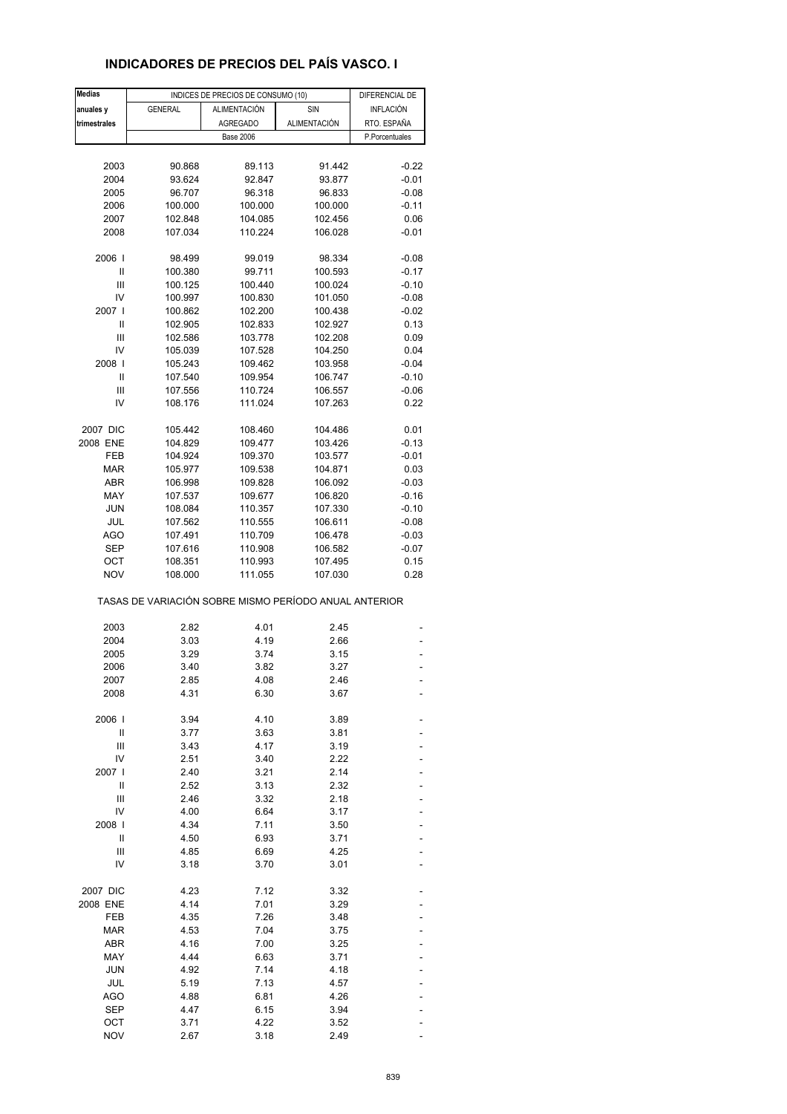# **INDICADORES DE PRECIOS DEL PAÍS VASCO. I**

| <b>Medias</b> |                                                       | INDICES DE PRECIOS DE CONSUMO (10) |                     | DIFERENCIAL DE   |
|---------------|-------------------------------------------------------|------------------------------------|---------------------|------------------|
| anuales y     | <b>GENERAL</b>                                        | ALIMENTACIÓN                       | SIN                 | <b>INFLACIÓN</b> |
| trimestrales  |                                                       | <b>AGREGADO</b>                    | <b>ALIMENTACIÓN</b> | RTO. ESPAÑA      |
|               |                                                       | <b>Base 2006</b>                   |                     | P.Porcentuales   |
|               |                                                       |                                    |                     |                  |
| 2003          | 90.868                                                | 89.113                             | 91.442              | $-0.22$          |
| 2004          | 93.624                                                | 92.847                             | 93.877              | $-0.01$          |
| 2005          | 96.707                                                | 96.318                             | 96.833              | $-0.08$          |
| 2006          | 100.000                                               | 100.000                            | 100.000             | $-0.11$          |
| 2007          | 102.848                                               | 104.085                            | 102.456             | 0.06             |
| 2008          | 107.034                                               | 110.224                            | 106.028             | $-0.01$          |
|               |                                                       |                                    |                     |                  |
| 2006          | 98.499                                                | 99.019                             | 98.334              | $-0.08$          |
| Ш             | 100.380                                               | 99.711                             | 100.593             | $-0.17$          |
| Ш             | 100.125                                               | 100.440                            | 100.024             | $-0.10$          |
| IV            | 100.997                                               | 100.830                            | 101.050             | $-0.08$          |
| 2007 l        | 100.862                                               | 102.200                            | 100.438             | $-0.02$          |
| Ш             | 102.905                                               | 102.833                            | 102.927             | 0.13             |
| Ш             | 102.586                                               | 103.778                            | 102.208             | 0.09             |
| IV            | 105.039                                               | 107.528                            | 104.250             | 0.04             |
| 2008          | 105.243                                               | 109.462                            | 103.958             | $-0.04$          |
| Ш             | 107.540                                               | 109.954                            | 106.747             | $-0.10$          |
| Ш             |                                                       |                                    | 106.557             |                  |
|               | 107.556                                               | 110.724                            |                     | $-0.06$          |
| IV            | 108.176                                               | 111.024                            | 107.263             | 0.22             |
| 2007 DIC      | 105.442                                               | 108.460                            | 104.486             | 0.01             |
| 2008 ENE      | 104.829                                               | 109.477                            | 103.426             | $-0.13$          |
| FEB           | 104.924                                               | 109.370                            | 103.577             | $-0.01$          |
| <b>MAR</b>    | 105.977                                               | 109.538                            | 104.871             | 0.03             |
| ABR           | 106.998                                               | 109.828                            | 106.092             | $-0.03$          |
| MAY           |                                                       |                                    |                     |                  |
|               | 107.537                                               | 109.677                            | 106.820             | $-0.16$          |
| <b>JUN</b>    | 108.084                                               | 110.357                            | 107.330             | $-0.10$          |
| JUL           | 107.562                                               | 110.555                            | 106.611             | $-0.08$          |
| <b>AGO</b>    | 107.491                                               | 110.709                            | 106.478             | $-0.03$          |
| SEP           | 107.616                                               | 110.908                            | 106.582             | $-0.07$          |
| ОСТ           | 108.351                                               | 110.993                            | 107.495             | 0.15             |
| <b>NOV</b>    | 108.000                                               | 111.055                            | 107.030             | 0.28             |
|               | TASAS DE VARIACIÓN SOBRE MISMO PERÍODO ANUAL ANTERIOR |                                    |                     |                  |
| 2003          | 2.82                                                  | 4.01                               | 2.45                |                  |
| 2004          | 3.03                                                  | 4.19                               | 2.66                |                  |
| 2005          | 3.29                                                  | 3.74                               | 3.15                |                  |
| 2006          | 3.40                                                  | 3.82                               | 3.27                | ÷                |
|               |                                                       |                                    |                     |                  |
| 2007<br>2008  | 2.85<br>4.31                                          | 4.08<br>6.30                       | 2.46<br>3.67        |                  |
|               |                                                       |                                    |                     |                  |
| 2006          | 3.94                                                  | 4.10                               | 3.89                |                  |
| Ш             | 3.77                                                  | 3.63                               | 3.81                |                  |
| Ш             | 3.43                                                  | 4.17                               | 3.19                |                  |
| IV            | 2.51                                                  | 3.40                               | 2.22                |                  |
| 2007          | 2.40                                                  | 3.21                               | 2.14                |                  |
| Ш             | 2.52                                                  | 3.13                               | 2.32                |                  |
| Ш             | 2.46                                                  | 3.32                               | 2.18                |                  |
| IV            | 4.00                                                  | 6.64                               | 3.17                |                  |
| 2008          | 4.34                                                  | 7.11                               | 3.50                |                  |
| Ш             | 4.50                                                  | 6.93                               | 3.71                |                  |
| Ш             | 4.85                                                  | 6.69                               | 4.25                |                  |
| IV            | 3.18                                                  | 3.70                               | 3.01                |                  |
|               |                                                       |                                    |                     |                  |
| 2007 DIC      | 4.23                                                  | 7.12                               | 3.32                |                  |
| 2008 ENE      | 4.14                                                  | 7.01                               | 3.29                |                  |
| FEB           | 4.35                                                  | 7.26                               | 3.48                |                  |
| <b>MAR</b>    | 4.53                                                  | 7.04                               | 3.75                |                  |
| ABR           | 4.16                                                  | 7.00                               | 3.25                |                  |
| MAY           | 4.44                                                  | 6.63                               | 3.71                |                  |
| <b>JUN</b>    | 4.92                                                  | 7.14                               | 4.18                |                  |
| JUL           | 5.19                                                  | 7.13                               | 4.57                |                  |
| AGO           | 4.88                                                  | 6.81                               | 4.26                |                  |
| <b>SEP</b>    | 4.47                                                  | 6.15                               | 3.94                |                  |
| OCT           | 3.71                                                  | 4.22                               | 3.52                |                  |
| <b>NOV</b>    | 2.67                                                  | 3.18                               | 2.49                |                  |
|               |                                                       |                                    |                     |                  |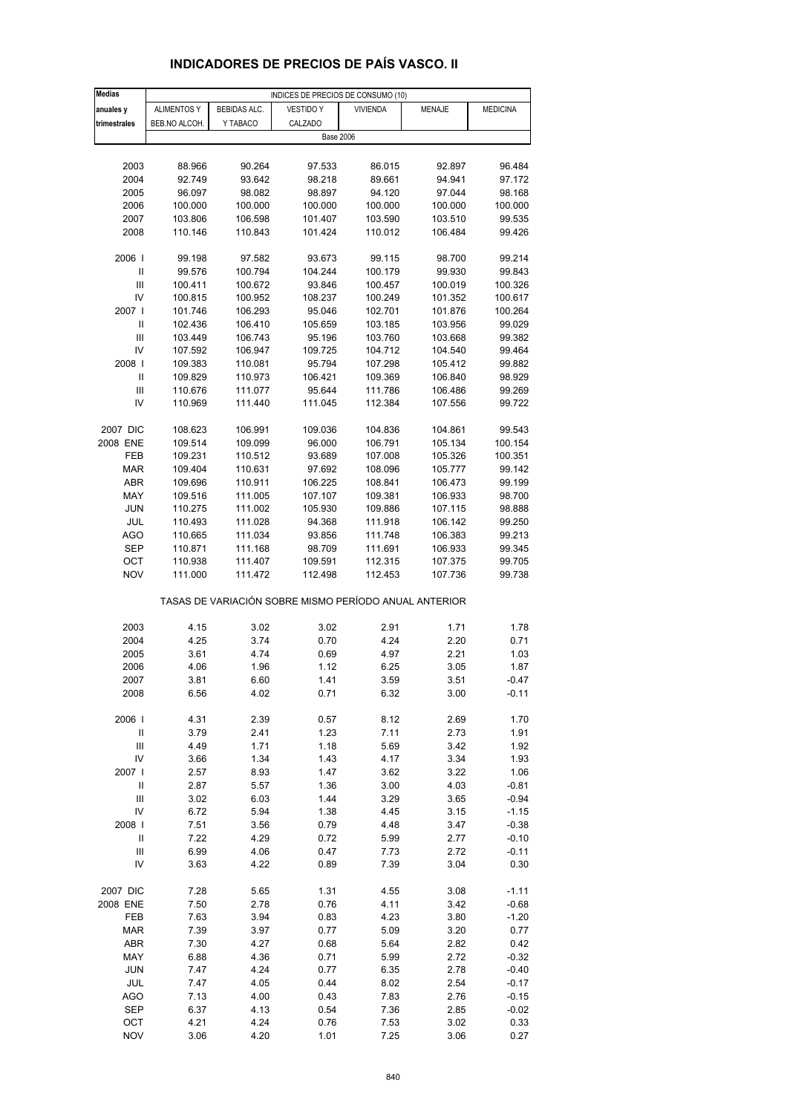| <b>Medias</b>              |                    |                    | INDICES DE PRECIOS DE CONSUMO (10)                    |                    |                    |                    |
|----------------------------|--------------------|--------------------|-------------------------------------------------------|--------------------|--------------------|--------------------|
| anuales y                  | <b>ALIMENTOS Y</b> | BEBIDAS ALC.       | <b>VESTIDO Y</b>                                      | <b>VIVIENDA</b>    | <b>MENAJE</b>      | <b>MEDICINA</b>    |
| trimestrales               | BEB.NO ALCOH.      | Y TABACO           | CALZADO                                               |                    |                    |                    |
|                            |                    |                    | <b>Base 2006</b>                                      |                    |                    |                    |
|                            |                    |                    |                                                       |                    |                    |                    |
| 2003                       | 88.966             | 90.264             | 97.533                                                | 86.015             | 92.897             | 96.484             |
| 2004                       | 92.749             | 93.642             | 98.218                                                | 89.661             | 94.941             | 97.172             |
| 2005<br>2006               | 96.097<br>100.000  | 98.082<br>100.000  | 98.897<br>100.000                                     | 94.120<br>100.000  | 97.044<br>100.000  | 98.168<br>100.000  |
| 2007                       | 103.806            | 106.598            | 101.407                                               | 103.590            | 103.510            | 99.535             |
| 2008                       | 110.146            | 110.843            | 101.424                                               | 110.012            | 106.484            | 99.426             |
|                            |                    |                    |                                                       |                    |                    |                    |
| 2006                       | 99.198             | 97.582             | 93.673                                                | 99.115             | 98.700             | 99.214             |
| Ш                          | 99.576             | 100.794            | 104.244                                               | 100.179            | 99.930             | 99.843             |
| Ш                          | 100.411            | 100.672            | 93.846                                                | 100.457            | 100.019            | 100.326            |
| IV<br>2007 l               | 100.815<br>101.746 | 100.952<br>106.293 | 108.237<br>95.046                                     | 100.249<br>102.701 | 101.352<br>101.876 | 100.617<br>100.264 |
| $\mathbf{I}$               | 102.436            | 106.410            | 105.659                                               | 103.185            | 103.956            | 99.029             |
| Ш                          | 103.449            | 106.743            | 95.196                                                | 103.760            | 103.668            | 99.382             |
| IV                         | 107.592            | 106.947            | 109.725                                               | 104.712            | 104.540            | 99.464             |
| 2008                       | 109.383            | 110.081            | 95.794                                                | 107.298            | 105.412            | 99.882             |
| Ш                          | 109.829            | 110.973            | 106.421                                               | 109.369            | 106.840            | 98.929             |
| Ш                          | 110.676            | 111.077            | 95.644                                                | 111.786            | 106.486            | 99.269             |
| IV                         | 110.969            | 111.440            | 111.045                                               | 112.384            | 107.556            | 99.722             |
|                            |                    |                    |                                                       |                    |                    |                    |
| 2007 DIC                   | 108.623            | 106.991            | 109.036                                               | 104.836            | 104.861            | 99.543             |
| 2008 ENE<br>FEB            | 109.514<br>109.231 | 109.099<br>110.512 | 96.000<br>93.689                                      | 106.791<br>107.008 | 105.134<br>105.326 | 100.154<br>100.351 |
| <b>MAR</b>                 | 109.404            | 110.631            | 97.692                                                | 108.096            | 105.777            | 99.142             |
| ABR                        | 109.696            | 110.911            | 106.225                                               | 108.841            | 106.473            | 99.199             |
| MAY                        | 109.516            | 111.005            | 107.107                                               | 109.381            | 106.933            | 98.700             |
| <b>JUN</b>                 | 110.275            | 111.002            | 105.930                                               | 109.886            | 107.115            | 98.888             |
| JUL                        | 110.493            | 111.028            | 94.368                                                | 111.918            | 106.142            | 99.250             |
| AGO                        | 110.665            | 111.034            | 93.856                                                | 111.748            | 106.383            | 99.213             |
| <b>SEP</b>                 | 110.871            | 111.168            | 98.709                                                | 111.691            | 106.933            | 99.345             |
| OCT                        | 110.938            | 111.407            | 109.591                                               | 112.315            | 107.375            | 99.705             |
| <b>NOV</b>                 | 111.000            | 111.472            | 112.498                                               | 112.453            | 107.736            | 99.738             |
|                            |                    |                    | TASAS DE VARIACIÓN SOBRE MISMO PERÍODO ANUAL ANTERIOR |                    |                    |                    |
| 2003                       | 4.15               | 3.02               | 3.02                                                  | 2.91               | 1.71               | 1.78               |
| 2004                       | 4.25               | 3.74               | 0.70                                                  | 4.24               | 2.20               | 0.71               |
| 2005                       | 3.61               | 4.74               | 0.69                                                  | 4.97               | 2.21               | 1.03               |
| 2006                       | 4.06               | 1.96               | 1.12                                                  | 6.25               | 3.05               | 1.87               |
| 2007                       | 3.81               | 6.60               | 1.41                                                  | 3.59               | 3.51               | -0.47              |
| 2008                       | 6.56               | 4.02               | 0.71                                                  | 6.32               | 3.00               | $-0.11$            |
| 2006                       | 4.31               | 2.39               | 0.57                                                  | 8.12               | 2.69               | 1.70               |
| $\ensuremath{\mathsf{II}}$ | 3.79               | 2.41               | 1.23                                                  | 7.11               | 2.73               | 1.91               |
| Ш                          | 4.49               | 1.71               | 1.18                                                  | 5.69               | 3.42               | 1.92               |
| IV                         | 3.66               | 1.34               | 1.43                                                  | 4.17               | 3.34               | 1.93               |
| 2007 I                     | 2.57               | 8.93               | 1.47                                                  | 3.62               | 3.22               | 1.06               |
| $\ensuremath{\mathsf{II}}$ | 2.87               | 5.57               | 1.36                                                  | 3.00               | 4.03               | $-0.81$            |
| Ш                          | 3.02               | 6.03               | 1.44                                                  | 3.29               | 3.65               | $-0.94$            |
| IV                         | 6.72               | 5.94               | 1.38                                                  | 4.45               | 3.15               | $-1.15$            |
| 2008                       | 7.51               | 3.56               | 0.79                                                  | 4.48               | 3.47               | $-0.38$            |
| $\ensuremath{\mathsf{II}}$ | 7.22               | 4.29               | 0.72                                                  | 5.99               | 2.77               | $-0.10$            |
| Ш<br>IV                    | 6.99<br>3.63       | 4.06<br>4.22       | 0.47<br>0.89                                          | 7.73<br>7.39       | 2.72<br>3.04       | $-0.11$<br>0.30    |
|                            |                    |                    |                                                       |                    |                    |                    |
| 2007 DIC                   | 7.28               | 5.65               | 1.31                                                  | 4.55               | 3.08               | $-1.11$            |
| 2008 ENE                   | 7.50               | 2.78               | 0.76                                                  | 4.11               | 3.42               | $-0.68$            |
| FEB                        | 7.63               | 3.94               | 0.83                                                  | 4.23               | 3.80               | $-1.20$            |
| <b>MAR</b>                 | 7.39               | 3.97               | 0.77                                                  | 5.09               | 3.20               | 0.77               |
| ABR                        | 7.30               | 4.27               | 0.68                                                  | 5.64               | 2.82               | 0.42               |
| MAY<br><b>JUN</b>          | 6.88               | 4.36<br>4.24       | 0.71                                                  | 5.99               | 2.72               | $-0.32$            |
| JUL                        | 7.47<br>7.47       | 4.05               | 0.77<br>0.44                                          | 6.35<br>8.02       | 2.78<br>2.54       | $-0.40$<br>$-0.17$ |
| AGO                        | 7.13               | 4.00               | 0.43                                                  | 7.83               | 2.76               | $-0.15$            |
| <b>SEP</b>                 | 6.37               | 4.13               | 0.54                                                  | 7.36               | 2.85               | $-0.02$            |
| OCT                        | 4.21               | 4.24               | 0.76                                                  | 7.53               | 3.02               | 0.33               |
| <b>NOV</b>                 | 3.06               | 4.20               | 1.01                                                  | 7.25               | 3.06               | 0.27               |

# **INDICADORES DE PRECIOS DE PAÍS VASCO. II**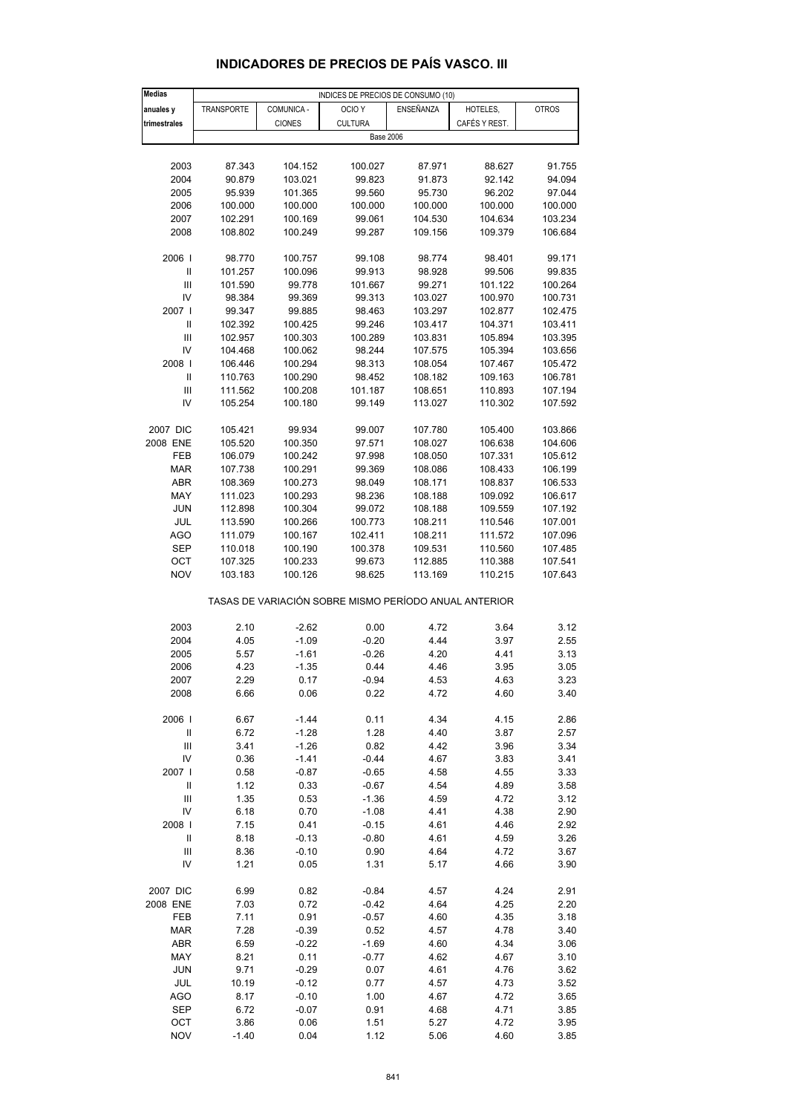| <b>Medias</b>                      |                   |               | INDICES DE PRECIOS DE CONSUMO (10)                    |           |               |              |
|------------------------------------|-------------------|---------------|-------------------------------------------------------|-----------|---------------|--------------|
| anuales y                          | <b>TRANSPORTE</b> | COMUNICA -    | OCIO <sub>Y</sub>                                     | ENSEÑANZA | HOTELES,      | <b>OTROS</b> |
| trimestrales                       |                   | <b>CIONES</b> | <b>CULTURA</b>                                        |           | CAFÉS Y REST. |              |
|                                    |                   |               |                                                       |           |               |              |
|                                    |                   |               | <b>Base 2006</b>                                      |           |               |              |
|                                    |                   |               |                                                       |           |               |              |
| 2003                               | 87.343            | 104.152       | 100.027                                               | 87.971    | 88.627        | 91.755       |
| 2004                               | 90.879            | 103.021       | 99.823                                                | 91.873    | 92.142        | 94.094       |
| 2005                               | 95.939            | 101.365       | 99.560                                                | 95.730    | 96.202        | 97.044       |
| 2006                               | 100.000           | 100.000       | 100.000                                               | 100.000   | 100.000       | 100.000      |
| 2007                               | 102.291           | 100.169       | 99.061                                                | 104.530   | 104.634       | 103.234      |
| 2008                               | 108.802           | 100.249       | 99.287                                                | 109.156   | 109.379       | 106.684      |
|                                    |                   |               |                                                       |           |               |              |
| 2006                               | 98.770            | 100.757       | 99.108                                                | 98.774    | 98.401        | 99.171       |
|                                    |                   |               |                                                       |           |               |              |
| Ш                                  | 101.257           | 100.096       | 99.913                                                | 98.928    | 99.506        | 99.835       |
| Ш                                  | 101.590           | 99.778        | 101.667                                               | 99.271    | 101.122       | 100.264      |
| IV                                 | 98.384            | 99.369        | 99.313                                                | 103.027   | 100.970       | 100.731      |
| 2007                               | 99.347            | 99.885        | 98.463                                                | 103.297   | 102.877       | 102.475      |
| Ш                                  | 102.392           | 100.425       | 99.246                                                | 103.417   | 104.371       | 103.411      |
| Ш                                  | 102.957           | 100.303       | 100.289                                               | 103.831   | 105.894       | 103.395      |
| IV                                 | 104.468           | 100.062       | 98.244                                                | 107.575   | 105.394       | 103.656      |
| 2008                               | 106.446           | 100.294       | 98.313                                                | 108.054   | 107.467       | 105.472      |
| $\ensuremath{\mathsf{II}}$         | 110.763           | 100.290       | 98.452                                                | 108.182   | 109.163       | 106.781      |
| Ш                                  | 111.562           | 100.208       | 101.187                                               | 108.651   | 110.893       | 107.194      |
|                                    |                   |               |                                                       |           |               |              |
| IV                                 | 105.254           | 100.180       | 99.149                                                | 113.027   | 110.302       | 107.592      |
|                                    |                   |               |                                                       |           |               |              |
| 2007 DIC                           | 105.421           | 99.934        | 99.007                                                | 107.780   | 105.400       | 103.866      |
| 2008 ENE                           | 105.520           | 100.350       | 97.571                                                | 108.027   | 106.638       | 104.606      |
| FEB                                | 106.079           | 100.242       | 97.998                                                | 108.050   | 107.331       | 105.612      |
| MAR                                | 107.738           | 100.291       | 99.369                                                | 108.086   | 108.433       | 106.199      |
| ABR                                | 108.369           | 100.273       | 98.049                                                | 108.171   | 108.837       | 106.533      |
| MAY                                | 111.023           | 100.293       | 98.236                                                | 108.188   | 109.092       | 106.617      |
| <b>JUN</b>                         | 112.898           | 100.304       | 99.072                                                | 108.188   | 109.559       | 107.192      |
| JUL                                | 113.590           | 100.266       | 100.773                                               | 108.211   | 110.546       | 107.001      |
|                                    |                   |               |                                                       |           |               |              |
| <b>AGO</b>                         | 111.079           | 100.167       | 102.411                                               | 108.211   | 111.572       | 107.096      |
| SEP                                | 110.018           | 100.190       | 100.378                                               | 109.531   | 110.560       | 107.485      |
| OCT                                | 107.325           | 100.233       | 99.673                                                | 112.885   | 110.388       | 107.541      |
| <b>NOV</b>                         | 103.183           | 100.126       | 98.625                                                | 113.169   | 110.215       | 107.643      |
|                                    |                   |               |                                                       |           |               |              |
|                                    |                   |               | TASAS DE VARIACIÓN SOBRE MISMO PERÍODO ANUAL ANTERIOR |           |               |              |
|                                    |                   |               |                                                       |           |               |              |
| 2003                               | 2.10              | $-2.62$       | 0.00                                                  | 4.72      | 3.64          | 3.12         |
| 2004                               | 4.05              | $-1.09$       | $-0.20$                                               | 4.44      | 3.97          | 2.55         |
| 2005                               | 5.57              | $-1.61$       | $-0.26$                                               | 4.20      | 4.41          | 3.13         |
| 2006                               | 4.23              | $-1.35$       | 0.44                                                  | 4.46      | 3.95          | 3.05         |
| 2007                               | 2.29              | 0.17          | $-0.94$                                               | 4.53      | 4.63          | 3.23         |
|                                    |                   |               |                                                       |           |               |              |
| 2008                               | 6.66              | 0.06          | 0.22                                                  | 4.72      | 4.60          | 3.40         |
|                                    |                   |               |                                                       |           |               |              |
| 2006                               | 6.67              | $-1.44$       | 0.11                                                  | 4.34      | 4.15          | 2.86         |
| Ш                                  | 6.72              | $-1.28$       | 1.28                                                  | 4.40      | 3.87          | 2.57         |
| $\ensuremath{\mathsf{III}}\xspace$ | 3.41              | $-1.26$       | 0.82                                                  | 4.42      | 3.96          | 3.34         |
| IV                                 | 0.36              | $-1.41$       | $-0.44$                                               | 4.67      | 3.83          | 3.41         |
| 2007                               | 0.58              | $-0.87$       | $-0.65$                                               | 4.58      | 4.55          | 3.33         |
| $\ensuremath{\mathsf{II}}$         | 1.12              | 0.33          | $-0.67$                                               | 4.54      | 4.89          | 3.58         |
| Ш                                  | 1.35              | 0.53          | $-1.36$                                               | 4.59      | 4.72          | 3.12         |
| IV                                 | 6.18              | 0.70          | $-1.08$                                               | 4.41      | 4.38          | 2.90         |
|                                    |                   |               |                                                       |           |               |              |
| 2008                               | 7.15              | 0.41          | $-0.15$                                               | 4.61      | 4.46          | 2.92         |
| Ш                                  | 8.18              | $-0.13$       | $-0.80$                                               | 4.61      | 4.59          | 3.26         |
| Ш                                  | 8.36              | $-0.10$       | 0.90                                                  | 4.64      | 4.72          | 3.67         |
| IV                                 | 1.21              | 0.05          | 1.31                                                  | 5.17      | 4.66          | 3.90         |
|                                    |                   |               |                                                       |           |               |              |
| 2007 DIC                           | 6.99              | 0.82          | $-0.84$                                               | 4.57      | 4.24          | 2.91         |
| 2008 ENE                           | 7.03              | 0.72          | $-0.42$                                               | 4.64      | 4.25          | 2.20         |
| FEB                                | 7.11              | 0.91          | $-0.57$                                               | 4.60      | 4.35          | 3.18         |
| MAR                                | 7.28              | $-0.39$       | 0.52                                                  | 4.57      | 4.78          | 3.40         |
| ABR                                | 6.59              | $-0.22$       | $-1.69$                                               | 4.60      | 4.34          | 3.06         |
|                                    |                   |               |                                                       |           |               |              |
| MAY                                | 8.21              | 0.11          | $-0.77$                                               | 4.62      | 4.67          | 3.10         |
| <b>JUN</b>                         | 9.71              | $-0.29$       | 0.07                                                  | 4.61      | 4.76          | 3.62         |
| JUL                                | 10.19             | $-0.12$       | 0.77                                                  | 4.57      | 4.73          | 3.52         |
| <b>AGO</b>                         | 8.17              | $-0.10$       | 1.00                                                  | 4.67      | 4.72          | 3.65         |
| <b>SEP</b>                         | 6.72              | $-0.07$       | 0.91                                                  | 4.68      | 4.71          | 3.85         |
| OCT                                | 3.86              | 0.06          | 1.51                                                  | 5.27      | 4.72          | 3.95         |

#### **INDICADORES DE PRECIOS DE PAÍS VASCO. III**

NOV -1.40 0.04 1.12 5.06 4.60 3.85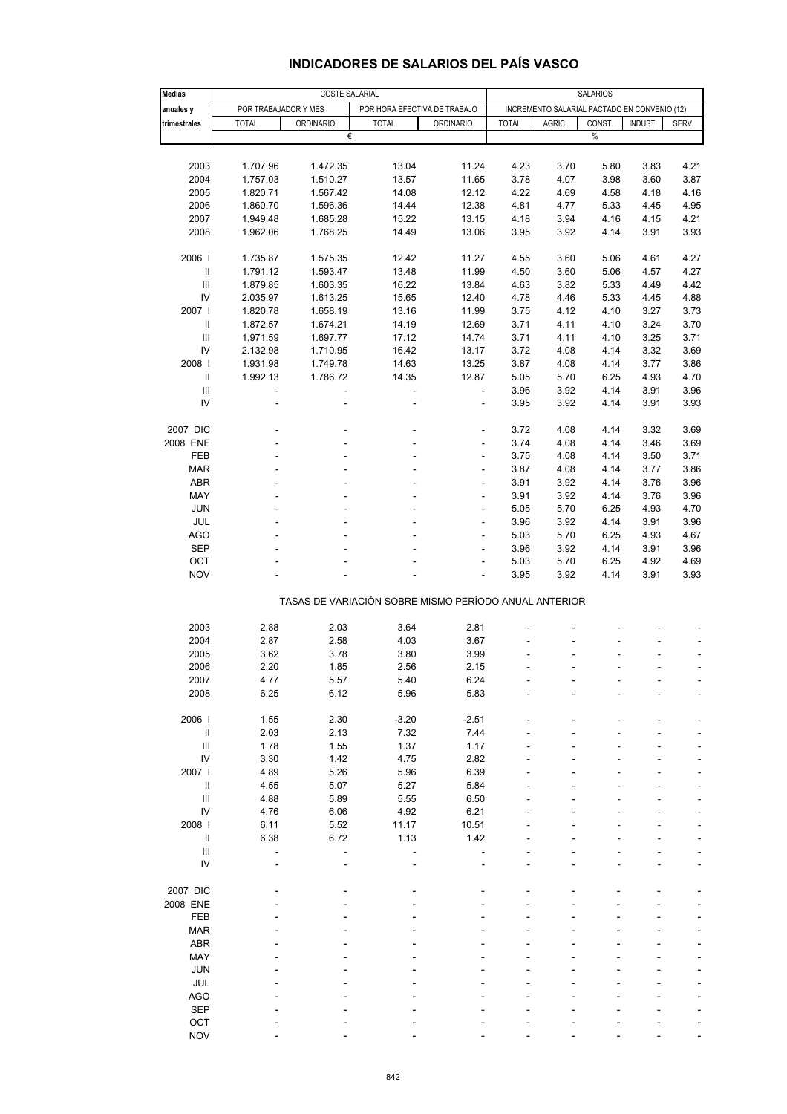# **INDICADORES DE SALARIOS DEL PAÍS VASCO**

| <b>Medias</b>                      |                          | <b>COSTE SALARIAL</b>                                 |                | <b>SALARIOS</b>              |              |                                              |        |         |                              |
|------------------------------------|--------------------------|-------------------------------------------------------|----------------|------------------------------|--------------|----------------------------------------------|--------|---------|------------------------------|
| anuales y                          | POR TRABAJADOR Y MES     |                                                       |                | POR HORA EFECTIVA DE TRABAJO |              | INCREMENTO SALARIAL PACTADO EN CONVENIO (12) |        |         |                              |
| trimestrales                       | <b>TOTAL</b>             | <b>ORDINARIO</b>                                      | <b>TOTAL</b>   | <b>ORDINARIO</b>             | <b>TOTAL</b> | AGRIC.                                       | CONST. | INDUST. | SERV.                        |
|                                    |                          | €                                                     |                |                              |              |                                              | $\%$   |         |                              |
|                                    |                          |                                                       |                |                              |              |                                              |        |         |                              |
| 2003                               | 1.707.96                 | 1.472.35                                              | 13.04          | 11.24                        | 4.23         | 3.70                                         | 5.80   | 3.83    | 4.21                         |
| 2004                               | 1.757.03                 | 1.510.27                                              | 13.57          | 11.65                        | 3.78         | 4.07                                         | 3.98   | 3.60    | 3.87                         |
| 2005                               | 1.820.71                 | 1.567.42                                              | 14.08          | 12.12                        | 4.22         | 4.69                                         | 4.58   | 4.18    | 4.16                         |
| 2006                               | 1.860.70                 | 1.596.36                                              | 14.44          | 12.38                        | 4.81         | 4.77                                         | 5.33   | 4.45    | 4.95                         |
| 2007                               | 1.949.48                 | 1.685.28                                              | 15.22          | 13.15                        | 4.18         | 3.94                                         | 4.16   | 4.15    | 4.21                         |
| 2008                               | 1.962.06                 | 1.768.25                                              | 14.49          | 13.06                        | 3.95         | 3.92                                         | 4.14   | 3.91    | 3.93                         |
|                                    |                          |                                                       |                |                              |              |                                              |        |         |                              |
| 2006                               | 1.735.87                 | 1.575.35                                              | 12.42          | 11.27                        | 4.55         | 3.60                                         | 5.06   | 4.61    | 4.27                         |
| $\sf II$                           | 1.791.12                 | 1.593.47                                              | 13.48          | 11.99                        | 4.50         | 3.60                                         | 5.06   | 4.57    | 4.27                         |
| $\ensuremath{\mathsf{III}}\xspace$ | 1.879.85                 | 1.603.35                                              | 16.22          | 13.84                        | 4.63         | 3.82                                         | 5.33   | 4.49    | 4.42                         |
| IV                                 | 2.035.97                 | 1.613.25                                              | 15.65          | 12.40                        | 4.78         | 4.46                                         | 5.33   | 4.45    | 4.88                         |
| 2007 l                             | 1.820.78                 | 1.658.19                                              | 13.16          | 11.99                        | 3.75         | 4.12                                         | 4.10   | 3.27    | 3.73                         |
|                                    |                          |                                                       |                |                              |              | 4.11                                         |        | 3.24    |                              |
| Ш                                  | 1.872.57                 | 1.674.21                                              | 14.19          | 12.69                        | 3.71         |                                              | 4.10   |         | 3.70                         |
| Ш                                  | 1.971.59                 | 1.697.77                                              | 17.12          | 14.74                        | 3.71         | 4.11                                         | 4.10   | 3.25    | 3.71                         |
| IV                                 | 2.132.98                 | 1.710.95                                              | 16.42          | 13.17                        | 3.72         | 4.08                                         | 4.14   | 3.32    | 3.69                         |
| 2008                               | 1.931.98                 | 1.749.78                                              | 14.63          | 13.25                        | 3.87         | 4.08                                         | 4.14   | 3.77    | 3.86                         |
| Ш                                  | 1.992.13                 | 1.786.72                                              | 14.35          | 12.87                        | 5.05         | 5.70                                         | 6.25   | 4.93    | 4.70                         |
| Ш                                  | $\overline{\phantom{a}}$ |                                                       | $\blacksquare$ | $\blacksquare$               | 3.96         | 3.92                                         | 4.14   | 3.91    | 3.96                         |
| IV                                 | ÷.                       |                                                       | ÷              | ÷                            | 3.95         | 3.92                                         | 4.14   | 3.91    | 3.93                         |
|                                    |                          |                                                       |                |                              |              |                                              |        |         |                              |
| 2007 DIC                           |                          |                                                       | ÷,             | ÷,                           | 3.72         | 4.08                                         | 4.14   | 3.32    | 3.69                         |
| 2008 ENE                           |                          |                                                       | ä,             | ä,                           | 3.74         | 4.08                                         | 4.14   | 3.46    | 3.69                         |
| FEB                                |                          |                                                       | ä,             | $\frac{1}{2}$                | 3.75         | 4.08                                         | 4.14   | 3.50    | 3.71                         |
| <b>MAR</b>                         |                          |                                                       |                | $\overline{\phantom{0}}$     | 3.87         | 4.08                                         | 4.14   | 3.77    | 3.86                         |
| ABR                                |                          |                                                       | ä,             | ä,                           | 3.91         | 3.92                                         | 4.14   | 3.76    | 3.96                         |
| MAY                                |                          |                                                       | ä,             | $\frac{1}{2}$                | 3.91         | 3.92                                         | 4.14   | 3.76    | 3.96                         |
| JUN                                |                          |                                                       |                | $\overline{\phantom{0}}$     | 5.05         | 5.70                                         | 6.25   | 4.93    | 4.70                         |
| <b>JUL</b>                         |                          |                                                       | ä,             | ä,                           | 3.96         | 3.92                                         | 4.14   | 3.91    | 3.96                         |
| <b>AGO</b>                         |                          |                                                       |                | $\frac{1}{2}$                | 5.03         | 5.70                                         | 6.25   | 4.93    | 4.67                         |
| <b>SEP</b>                         |                          |                                                       |                |                              | 3.96         | 3.92                                         | 4.14   | 3.91    | 3.96                         |
| OCT                                |                          |                                                       |                | ä,                           | 5.03         | 5.70                                         | 6.25   | 4.92    | 4.69                         |
| <b>NOV</b>                         |                          |                                                       |                | $\overline{\phantom{0}}$     | 3.95         | 3.92                                         | 4.14   | 3.91    | 3.93                         |
|                                    |                          | TASAS DE VARIACIÓN SOBRE MISMO PERÍODO ANUAL ANTERIOR |                |                              |              |                                              |        |         |                              |
|                                    |                          |                                                       |                |                              |              |                                              |        |         |                              |
| 2003                               | 2.88                     | 2.03                                                  | 3.64           | 2.81                         |              |                                              |        |         |                              |
| 2004                               | 2.87                     | 2.58                                                  | 4.03           | 3.67                         |              |                                              |        |         |                              |
| 2005                               | 3.62                     | 3.78                                                  | 3.80           | 3.99                         |              |                                              |        |         | $\overline{\phantom{m}}$     |
| 2006                               | 2.20                     | 1.85                                                  | 2.56           | 2.15                         |              |                                              |        |         | $\qquad \qquad \blacksquare$ |
| 2007                               | 4.77                     | 5.57                                                  | 5.40           | 6.24                         |              |                                              |        |         |                              |
| 2008                               | 6.25                     | 6.12                                                  | 5.96           | 5.83                         |              |                                              |        |         |                              |
|                                    |                          |                                                       |                |                              |              |                                              |        |         |                              |
| 2006                               | 1.55                     | 2.30                                                  | $-3.20$        | $-2.51$                      |              |                                              |        |         |                              |
| $\mathsf{I}\mathsf{I}$             | 2.03                     | 2.13                                                  | 7.32           | 7.44                         |              |                                              |        |         |                              |
| Ш                                  | 1.78                     | 1.55                                                  | 1.37           | 1.17                         |              |                                              |        |         |                              |
| ${\sf IV}$                         | 3.30                     | 1.42                                                  | 4.75           | 2.82                         |              |                                              |        |         |                              |
| 2007 l                             | 4.89                     | 5.26                                                  | 5.96           | 6.39                         |              |                                              |        |         |                              |
| $\mathsf{I}\mathsf{I}$             | 4.55                     | 5.07                                                  | 5.27           | 5.84                         |              |                                              |        |         |                              |
| Ш                                  | 4.88                     | 5.89                                                  | 5.55           | 6.50                         |              |                                              |        |         |                              |
| ${\sf IV}$                         | 4.76                     | 6.06                                                  | 4.92           | 6.21                         |              |                                              |        |         |                              |
| 2008                               | 6.11                     | 5.52                                                  | 11.17          | 10.51                        |              |                                              |        |         |                              |
| Ш                                  | 6.38                     | 6.72                                                  | 1.13           | 1.42                         |              |                                              |        |         |                              |
| $\ensuremath{\mathsf{III}}\xspace$ | $\overline{a}$           |                                                       | ÷              |                              |              |                                              |        |         |                              |
| IV                                 |                          |                                                       |                |                              |              |                                              |        |         |                              |
|                                    |                          |                                                       |                |                              |              |                                              |        |         |                              |
| 2007 DIC                           |                          |                                                       |                |                              |              |                                              |        |         |                              |
| 2008 ENE                           |                          |                                                       |                |                              |              |                                              |        |         |                              |
| FEB                                |                          |                                                       |                |                              |              |                                              |        |         |                              |
| <b>MAR</b>                         |                          |                                                       |                |                              |              |                                              |        |         |                              |
| <b>ABR</b>                         |                          |                                                       |                |                              |              |                                              |        |         |                              |
| MAY                                |                          |                                                       |                |                              |              |                                              |        |         |                              |
| <b>JUN</b>                         |                          |                                                       |                |                              |              |                                              |        |         |                              |
| JUL                                |                          |                                                       |                |                              |              |                                              |        |         |                              |
| <b>AGO</b>                         |                          |                                                       |                |                              |              |                                              |        |         |                              |
| <b>SEP</b>                         |                          |                                                       |                |                              |              |                                              |        |         |                              |
| OCT                                |                          |                                                       |                |                              |              |                                              |        |         |                              |
| <b>NOV</b>                         |                          |                                                       |                |                              |              |                                              |        |         |                              |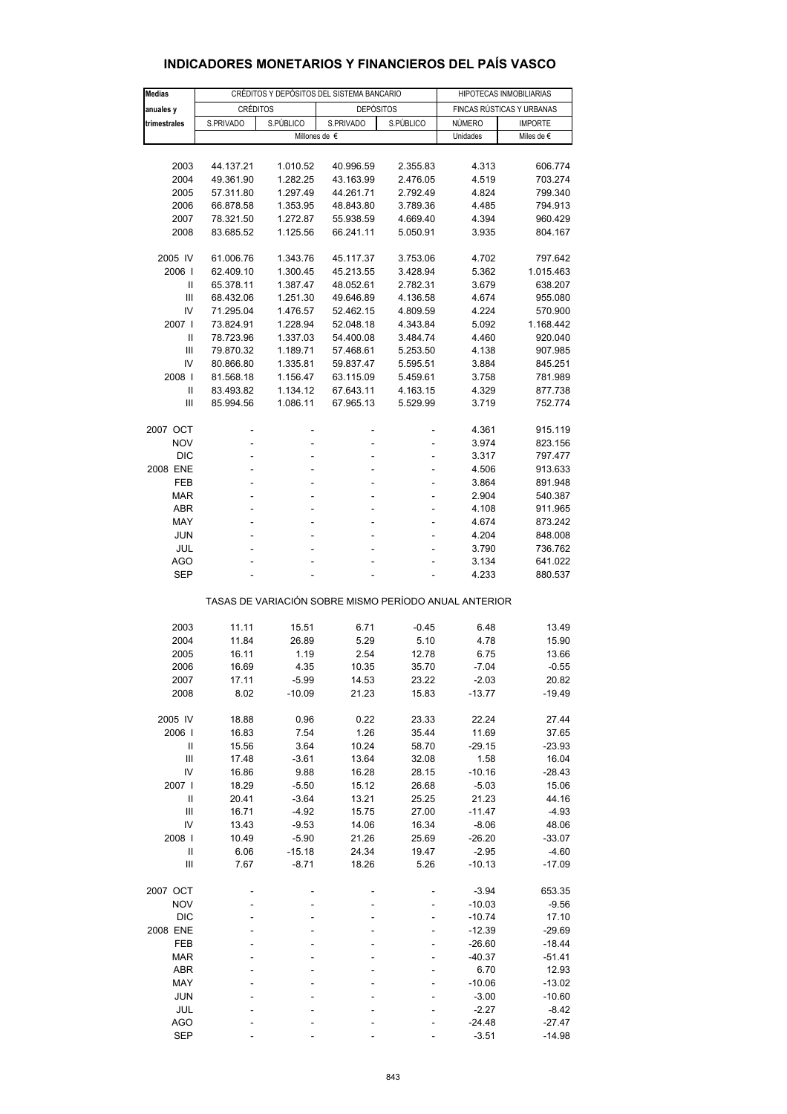| <b>Medias</b>                                   |                        | CRÉDITOS Y DEPÓSITOS DEL SISTEMA BANCARIO | HIPOTECAS INMOBILIARIAS                               |                      |                           |                      |  |  |  |  |  |  |  |  |
|-------------------------------------------------|------------------------|-------------------------------------------|-------------------------------------------------------|----------------------|---------------------------|----------------------|--|--|--|--|--|--|--|--|
| anuales y                                       | <b>CRÉDITOS</b>        |                                           | <b>DEPÓSITOS</b>                                      |                      | FINCAS RÚSTICAS Y URBANAS |                      |  |  |  |  |  |  |  |  |
| trimestrales                                    | S.PRIVADO              | S.PÚBLICO                                 | S.PRIVADO                                             | S.PÚBLICO            | NÚMERO                    | <b>IMPORTE</b>       |  |  |  |  |  |  |  |  |
|                                                 |                        |                                           | Millones de $\epsilon$                                |                      | Unidades                  | Miles de $\epsilon$  |  |  |  |  |  |  |  |  |
|                                                 |                        |                                           |                                                       |                      |                           |                      |  |  |  |  |  |  |  |  |
| 2003                                            | 44.137.21              | 1.010.52                                  | 40.996.59                                             | 2.355.83             | 4.313                     | 606.774              |  |  |  |  |  |  |  |  |
| 2004                                            | 49.361.90              | 1.282.25                                  | 43.163.99                                             | 2.476.05             | 4.519                     | 703.274              |  |  |  |  |  |  |  |  |
| 2005                                            | 57.311.80              | 1.297.49                                  | 44.261.71                                             | 2.792.49             | 4.824                     | 799.340              |  |  |  |  |  |  |  |  |
| 2006                                            | 66.878.58              | 1.353.95                                  | 48.843.80                                             | 3.789.36             | 4.485                     | 794.913              |  |  |  |  |  |  |  |  |
| 2007<br>2008                                    | 78.321.50<br>83.685.52 | 1.272.87<br>1.125.56                      | 55.938.59<br>66.241.11                                | 4.669.40<br>5.050.91 | 4.394<br>3.935            | 960.429<br>804.167   |  |  |  |  |  |  |  |  |
|                                                 |                        |                                           |                                                       |                      |                           |                      |  |  |  |  |  |  |  |  |
| 2005 IV                                         | 61.006.76              | 1.343.76                                  | 45.117.37                                             | 3.753.06             | 4.702                     | 797.642              |  |  |  |  |  |  |  |  |
| 2006                                            | 62.409.10              | 1.300.45                                  | 45.213.55                                             | 3.428.94             | 5.362                     | 1.015.463            |  |  |  |  |  |  |  |  |
| Ш                                               | 65.378.11              | 1.387.47                                  | 48.052.61                                             | 2.782.31             | 3.679                     | 638.207              |  |  |  |  |  |  |  |  |
| Ш                                               | 68.432.06              | 1.251.30                                  | 49.646.89                                             | 4.136.58             | 4.674                     | 955.080              |  |  |  |  |  |  |  |  |
| IV                                              | 71.295.04              | 1.476.57                                  | 52.462.15                                             | 4.809.59             | 4.224                     | 570.900              |  |  |  |  |  |  |  |  |
| 2007 l                                          | 73.824.91              | 1.228.94                                  | 52.048.18                                             | 4.343.84             | 5.092                     | 1.168.442            |  |  |  |  |  |  |  |  |
| Ш                                               | 78.723.96              | 1.337.03                                  | 54.400.08                                             | 3.484.74             | 4.460                     | 920.040              |  |  |  |  |  |  |  |  |
| Ш                                               | 79.870.32              | 1.189.71                                  | 57.468.61                                             | 5.253.50             | 4.138                     | 907.985              |  |  |  |  |  |  |  |  |
| IV<br>2008                                      | 80.866.80<br>81.568.18 | 1.335.81<br>1.156.47                      | 59.837.47<br>63.115.09                                | 5.595.51<br>5.459.61 | 3.884<br>3.758            | 845.251<br>781.989   |  |  |  |  |  |  |  |  |
| $\mathbf{I}$                                    | 83.493.82              | 1.134.12                                  | 67.643.11                                             | 4.163.15             | 4.329                     | 877.738              |  |  |  |  |  |  |  |  |
| Ш                                               | 85.994.56              | 1.086.11                                  | 67.965.13                                             | 5.529.99             | 3.719                     | 752.774              |  |  |  |  |  |  |  |  |
|                                                 |                        |                                           |                                                       |                      |                           |                      |  |  |  |  |  |  |  |  |
| 2007 OCT                                        |                        |                                           |                                                       |                      | 4.361                     | 915.119              |  |  |  |  |  |  |  |  |
| <b>NOV</b>                                      | -                      |                                           |                                                       |                      | 3.974                     | 823.156              |  |  |  |  |  |  |  |  |
| DIC                                             | ä,                     |                                           | ä,                                                    | ٠                    | 3.317                     | 797.477              |  |  |  |  |  |  |  |  |
| 2008 ENE                                        | L,                     |                                           |                                                       | ä,                   | 4.506                     | 913.633              |  |  |  |  |  |  |  |  |
| <b>FEB</b>                                      |                        |                                           |                                                       |                      | 3.864                     | 891.948              |  |  |  |  |  |  |  |  |
| MAR                                             | ۰                      |                                           |                                                       | ÷,                   | 2.904                     | 540.387              |  |  |  |  |  |  |  |  |
| <b>ABR</b>                                      | L,                     |                                           |                                                       | ä,                   | 4.108                     | 911.965              |  |  |  |  |  |  |  |  |
| <b>MAY</b><br><b>JUN</b>                        | ÷<br>ä,                |                                           |                                                       |                      | 4.674<br>4.204            | 873.242<br>848.008   |  |  |  |  |  |  |  |  |
| JUL                                             | L,                     |                                           |                                                       |                      | 3.790                     | 736.762              |  |  |  |  |  |  |  |  |
| <b>AGO</b>                                      | L,                     |                                           |                                                       |                      | 3.134                     | 641.022              |  |  |  |  |  |  |  |  |
| <b>SEP</b>                                      |                        |                                           |                                                       |                      | 4.233                     | 880.537              |  |  |  |  |  |  |  |  |
|                                                 |                        |                                           |                                                       |                      |                           |                      |  |  |  |  |  |  |  |  |
|                                                 |                        |                                           | TASAS DE VARIACIÓN SOBRE MISMO PERÍODO ANUAL ANTERIOR |                      |                           |                      |  |  |  |  |  |  |  |  |
|                                                 |                        |                                           |                                                       |                      |                           |                      |  |  |  |  |  |  |  |  |
| 2003                                            | 11.11                  | 15.51                                     | 6.71                                                  | $-0.45$              | 6.48                      | 13.49                |  |  |  |  |  |  |  |  |
| 2004                                            | 11.84                  | 26.89<br>1.19                             | 5.29                                                  | 5.10<br>12.78        | 4.78                      | 15.90                |  |  |  |  |  |  |  |  |
| 2005<br>2006                                    | 16.11<br>16.69         | 4.35                                      | 2.54<br>10.35                                         | 35.70                | 6.75<br>$-7.04$           | 13.66<br>$-0.55$     |  |  |  |  |  |  |  |  |
| 2007                                            | 17.11                  | -5.99                                     | 14.53                                                 | 23.22                | $-2.03$                   | 20.82                |  |  |  |  |  |  |  |  |
| 2008                                            | 8.02                   | $-10.09$                                  | 21.23                                                 | 15.83                | $-13.77$                  | $-19.49$             |  |  |  |  |  |  |  |  |
|                                                 |                        |                                           |                                                       |                      |                           |                      |  |  |  |  |  |  |  |  |
| 2005 IV                                         | 18.88                  | 0.96                                      | 0.22                                                  | 23.33                | 22.24                     | 27.44                |  |  |  |  |  |  |  |  |
| 2006                                            | 16.83                  | 7.54                                      | 1.26                                                  | 35.44                | 11.69                     | 37.65                |  |  |  |  |  |  |  |  |
| $\sf II$                                        | 15.56                  | 3.64                                      | 10.24                                                 | 58.70                | $-29.15$                  | $-23.93$             |  |  |  |  |  |  |  |  |
| $\mathbf{III}$                                  | 17.48                  | $-3.61$                                   | 13.64                                                 | 32.08                | 1.58                      | 16.04                |  |  |  |  |  |  |  |  |
| IV                                              | 16.86                  | 9.88                                      | 16.28                                                 | 28.15                | $-10.16$                  | $-28.43$             |  |  |  |  |  |  |  |  |
| 2007 l<br>$\begin{array}{c} \hline \end{array}$ | 18.29                  | $-5.50$                                   | 15.12                                                 | 26.68                | $-5.03$                   | 15.06                |  |  |  |  |  |  |  |  |
| Ш                                               | 20.41<br>16.71         | $-3.64$<br>$-4.92$                        | 13.21<br>15.75                                        | 25.25<br>27.00       | 21.23<br>$-11.47$         | 44.16<br>$-4.93$     |  |  |  |  |  |  |  |  |
| IV                                              | 13.43                  | $-9.53$                                   | 14.06                                                 | 16.34                | $-8.06$                   | 48.06                |  |  |  |  |  |  |  |  |
| 2008                                            | 10.49                  | $-5.90$                                   | 21.26                                                 | 25.69                | $-26.20$                  | $-33.07$             |  |  |  |  |  |  |  |  |
| $\mathbf{I}$                                    | 6.06                   | $-15.18$                                  | 24.34                                                 | 19.47                | $-2.95$                   | $-4.60$              |  |  |  |  |  |  |  |  |
| Ш                                               | 7.67                   | $-8.71$                                   | 18.26                                                 | 5.26                 | $-10.13$                  | $-17.09$             |  |  |  |  |  |  |  |  |
|                                                 |                        |                                           |                                                       |                      |                           |                      |  |  |  |  |  |  |  |  |
| 2007 OCT                                        |                        |                                           |                                                       |                      | $-3.94$                   | 653.35               |  |  |  |  |  |  |  |  |
| <b>NOV</b>                                      |                        |                                           |                                                       |                      | $-10.03$                  | $-9.56$              |  |  |  |  |  |  |  |  |
| <b>DIC</b>                                      |                        |                                           |                                                       |                      | $-10.74$                  | 17.10                |  |  |  |  |  |  |  |  |
| 2008 ENE                                        |                        |                                           |                                                       |                      | $-12.39$                  | $-29.69$             |  |  |  |  |  |  |  |  |
| FEB<br><b>MAR</b>                               |                        |                                           |                                                       |                      | $-26.60$<br>$-40.37$      | $-18.44$<br>$-51.41$ |  |  |  |  |  |  |  |  |
| <b>ABR</b>                                      |                        |                                           |                                                       |                      | 6.70                      | 12.93                |  |  |  |  |  |  |  |  |
| MAY                                             |                        |                                           |                                                       |                      | $-10.06$                  | $-13.02$             |  |  |  |  |  |  |  |  |
| <b>JUN</b>                                      |                        |                                           |                                                       |                      | $-3.00$                   | $-10.60$             |  |  |  |  |  |  |  |  |
| JUL                                             |                        |                                           |                                                       |                      | $-2.27$                   | -8.42                |  |  |  |  |  |  |  |  |
| <b>AGO</b>                                      |                        |                                           |                                                       |                      | $-24.48$                  | $-27.47$             |  |  |  |  |  |  |  |  |

# **INDICADORES MONETARIOS Y FINANCIEROS DEL PAÍS VASCO**

SEP - - - - - - - - - - - - - -3.51 - 14.98